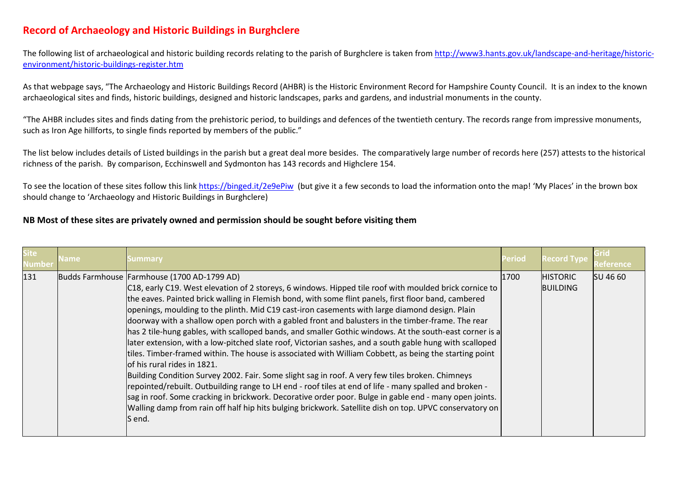## **Record of Archaeology and Historic Buildings in Burghclere**

The following list of archaeological and historic building records relating to the parish of Burghclere is taken from [http://www3.hants.gov.uk/landscape-and-heritage/historic](http://www3.hants.gov.uk/landscape-and-heritage/historic-environment/historic-buildings-register.htm)[environment/historic-buildings-register.htm](http://www3.hants.gov.uk/landscape-and-heritage/historic-environment/historic-buildings-register.htm)

As that webpage says, "The Archaeology and Historic Buildings Record (AHBR) is the Historic Environment Record for Hampshire County Council. It is an index to the known archaeological sites and finds, historic buildings, designed and historic landscapes, parks and gardens, and industrial monuments in the county.

"The AHBR includes sites and finds dating from the prehistoric period, to buildings and defences of the twentieth century. The records range from impressive monuments, such as Iron Age hillforts, to single finds reported by members of the public."

The list below includes details of Listed buildings in the parish but a great deal more besides. The comparatively large number of records here (257) attests to the historical richness of the parish. By comparison, Ecchinswell and Sydmonton has 143 records and Highclere 154.

To see the location of these sites follow this lin[k https://binged.it/2e9ePiw](https://binged.it/2e9ePiw) (but give it a few seconds to load the information onto the map! 'My Places' in the brown box should change to 'Archaeology and Historic Buildings in Burghclere)

## **NB Most of these sites are privately owned and permission should be sought before visiting them**

| <b>Site</b><br>Number | Name | Summary                                                                                                                                                                                                                                                                                                                                                                                                                                                                                                                                                                                                                                                                                                                                                                                                                                                                                                                                                                                                                                                                                                                                                                                                                                                                           | <b>Period</b> | <b>Record Type</b>                 |                 |
|-----------------------|------|-----------------------------------------------------------------------------------------------------------------------------------------------------------------------------------------------------------------------------------------------------------------------------------------------------------------------------------------------------------------------------------------------------------------------------------------------------------------------------------------------------------------------------------------------------------------------------------------------------------------------------------------------------------------------------------------------------------------------------------------------------------------------------------------------------------------------------------------------------------------------------------------------------------------------------------------------------------------------------------------------------------------------------------------------------------------------------------------------------------------------------------------------------------------------------------------------------------------------------------------------------------------------------------|---------------|------------------------------------|-----------------|
| 131                   |      | Budds Farmhouse Farmhouse (1700 AD-1799 AD)<br>C18, early C19. West elevation of 2 storeys, 6 windows. Hipped tile roof with moulded brick cornice to<br>the eaves. Painted brick walling in Flemish bond, with some flint panels, first floor band, cambered<br>openings, moulding to the plinth. Mid C19 cast-iron casements with large diamond design. Plain<br>doorway with a shallow open porch with a gabled front and balusters in the timber-frame. The rear<br>has 2 tile-hung gables, with scalloped bands, and smaller Gothic windows. At the south-east corner is a<br>later extension, with a low-pitched slate roof, Victorian sashes, and a south gable hung with scalloped<br>tiles. Timber-framed within. The house is associated with William Cobbett, as being the starting point<br>lof his rural rides in 1821.<br>Building Condition Survey 2002. Fair. Some slight sag in roof. A very few tiles broken. Chimneys<br>repointed/rebuilt. Outbuilding range to LH end - roof tiles at end of life - many spalled and broken -<br>sag in roof. Some cracking in brickwork. Decorative order poor. Bulge in gable end - many open joints.<br>Walling damp from rain off half hip hits bulging brickwork. Satellite dish on top. UPVC conservatory on<br>S end. | 1700          | <b>HISTORIC</b><br><b>BUILDING</b> | <b>SU 46 60</b> |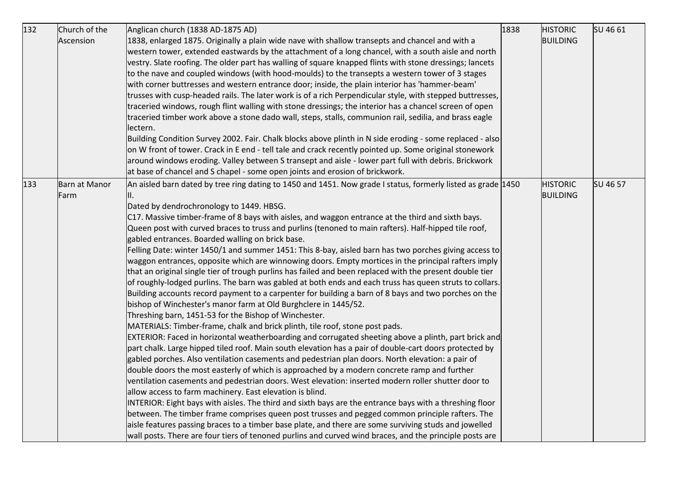| 132 | Church of the<br>Ascension | Anglican church (1838 AD-1875 AD)<br>1838, enlarged 1875. Originally a plain wide nave with shallow transepts and chancel and with a<br>western tower, extended eastwards by the attachment of a long chancel, with a south aisle and north<br>vestry. Slate roofing. The older part has walling of square knapped flints with stone dressings; lancets<br>to the nave and coupled windows (with hood-moulds) to the transepts a western tower of 3 stages<br>with corner buttresses and western entrance door; inside, the plain interior has 'hammer-beam'<br>trusses with cusp-headed rails. The later work is of a rich Perpendicular style, with stepped buttresses,<br>traceried windows, rough flint walling with stone dressings; the interior has a chancel screen of open<br>traceried timber work above a stone dado wall, steps, stalls, communion rail, sedilia, and brass eagle<br>lectern.<br>Building Condition Survey 2002. Fair. Chalk blocks above plinth in N side eroding - some replaced - also<br>on W front of tower. Crack in E end - tell tale and crack recently pointed up. Some original stonework<br>around windows eroding. Valley between S transept and aisle - lower part full with debris. Brickwork<br>at base of chancel and S chapel - some open joints and erosion of brickwork.                                                                                                                                                                                                                                                                                                                                                                                                                                                                                                                                                                                                                                                                                                                                                                                                                                                                                       | 1838 | <b>HISTORIC</b><br><b>BUILDING</b> | SU 46 61 |
|-----|----------------------------|---------------------------------------------------------------------------------------------------------------------------------------------------------------------------------------------------------------------------------------------------------------------------------------------------------------------------------------------------------------------------------------------------------------------------------------------------------------------------------------------------------------------------------------------------------------------------------------------------------------------------------------------------------------------------------------------------------------------------------------------------------------------------------------------------------------------------------------------------------------------------------------------------------------------------------------------------------------------------------------------------------------------------------------------------------------------------------------------------------------------------------------------------------------------------------------------------------------------------------------------------------------------------------------------------------------------------------------------------------------------------------------------------------------------------------------------------------------------------------------------------------------------------------------------------------------------------------------------------------------------------------------------------------------------------------------------------------------------------------------------------------------------------------------------------------------------------------------------------------------------------------------------------------------------------------------------------------------------------------------------------------------------------------------------------------------------------------------------------------------------------------------------------------------------------------------------------------------|------|------------------------------------|----------|
| 133 | Barn at Manor<br>Farm      | An aisled barn dated by tree ring dating to 1450 and 1451. Now grade I status, formerly listed as grade 1450<br>Dated by dendrochronology to 1449. HBSG.<br>C17. Massive timber-frame of 8 bays with aisles, and waggon entrance at the third and sixth bays.<br>Queen post with curved braces to truss and purlins (tenoned to main rafters). Half-hipped tile roof,<br>gabled entrances. Boarded walling on brick base.<br>Felling Date: winter 1450/1 and summer 1451: This 8-bay, aisled barn has two porches giving access to<br>waggon entrances, opposite which are winnowing doors. Empty mortices in the principal rafters imply<br>that an original single tier of trough purlins has failed and been replaced with the present double tier<br>of roughly-lodged purlins. The barn was gabled at both ends and each truss has queen struts to collars.<br>Building accounts record payment to a carpenter for building a barn of 8 bays and two porches on the<br>bishop of Winchester's manor farm at Old Burghclere in 1445/52.<br>Threshing barn, 1451-53 for the Bishop of Winchester.<br>MATERIALS: Timber-frame, chalk and brick plinth, tile roof, stone post pads.<br>EXTERIOR: Faced in horizontal weatherboarding and corrugated sheeting above a plinth, part brick and<br>part chalk. Large hipped tiled roof. Main south elevation has a pair of double-cart doors protected by<br>gabled porches. Also ventilation casements and pedestrian plan doors. North elevation: a pair of<br>double doors the most easterly of which is approached by a modern concrete ramp and further<br>ventilation casements and pedestrian doors. West elevation: inserted modern roller shutter door to<br>allow access to farm machinery. East elevation is blind.<br>INTERIOR: Eight bays with aisles. The third and sixth bays are the entrance bays with a threshing floor<br>between. The timber frame comprises queen post trusses and pegged common principle rafters. The<br>aisle features passing braces to a timber base plate, and there are some surviving studs and jowelled<br>wall posts. There are four tiers of tenoned purlins and curved wind braces, and the principle posts are |      | <b>HISTORIC</b><br><b>BUILDING</b> | SU 46 57 |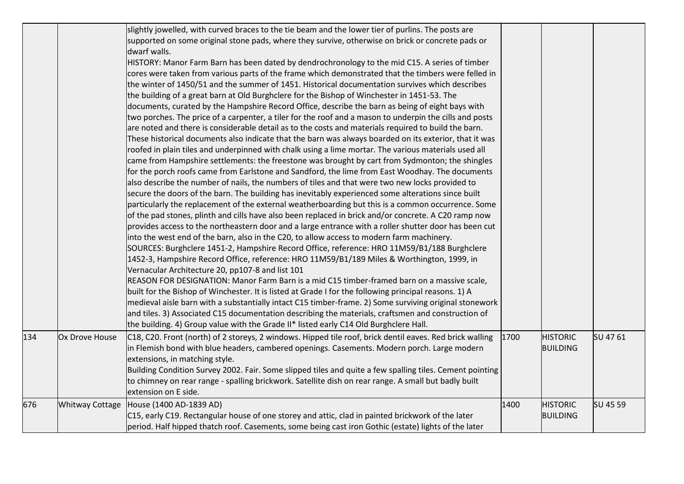|     |                        | slightly jowelled, with curved braces to the tie beam and the lower tier of purlins. The posts are<br>supported on some original stone pads, where they survive, otherwise on brick or concrete pads or<br>dwarf walls.<br>HISTORY: Manor Farm Barn has been dated by dendrochronology to the mid C15. A series of timber<br>cores were taken from various parts of the frame which demonstrated that the timbers were felled in<br>the winter of 1450/51 and the summer of 1451. Historical documentation survives which describes<br>the building of a great barn at Old Burghclere for the Bishop of Winchester in 1451-53. The<br>documents, curated by the Hampshire Record Office, describe the barn as being of eight bays with<br>two porches. The price of a carpenter, a tiler for the roof and a mason to underpin the cills and posts<br>are noted and there is considerable detail as to the costs and materials required to build the barn.<br>These historical documents also indicate that the barn was always boarded on its exterior, that it was<br>roofed in plain tiles and underpinned with chalk using a lime mortar. The various materials used all<br>came from Hampshire settlements: the freestone was brought by cart from Sydmonton; the shingles<br>for the porch roofs came from Earlstone and Sandford, the lime from East Woodhay. The documents<br>also describe the number of nails, the numbers of tiles and that were two new locks provided to<br>secure the doors of the barn. The building has inevitably experienced some alterations since built<br>particularly the replacement of the external weatherboarding but this is a common occurrence. Some<br>of the pad stones, plinth and cills have also been replaced in brick and/or concrete. A C20 ramp now<br>provides access to the northeastern door and a large entrance with a roller shutter door has been cut<br>into the west end of the barn, also in the C20, to allow access to modern farm machinery.<br>SOURCES: Burghclere 1451-2, Hampshire Record Office, reference: HRO 11M59/B1/188 Burghclere<br>1452-3, Hampshire Record Office, reference: HRO 11M59/B1/189 Miles & Worthington, 1999, in<br>Vernacular Architecture 20, pp107-8 and list 101<br>REASON FOR DESIGNATION: Manor Farm Barn is a mid C15 timber-framed barn on a massive scale,<br>built for the Bishop of Winchester. It is listed at Grade I for the following principal reasons. 1) A<br>medieval aisle barn with a substantially intact C15 timber-frame. 2) Some surviving original stonework<br>and tiles. 3) Associated C15 documentation describing the materials, craftsmen and construction of |      |                                    |          |  |
|-----|------------------------|-----------------------------------------------------------------------------------------------------------------------------------------------------------------------------------------------------------------------------------------------------------------------------------------------------------------------------------------------------------------------------------------------------------------------------------------------------------------------------------------------------------------------------------------------------------------------------------------------------------------------------------------------------------------------------------------------------------------------------------------------------------------------------------------------------------------------------------------------------------------------------------------------------------------------------------------------------------------------------------------------------------------------------------------------------------------------------------------------------------------------------------------------------------------------------------------------------------------------------------------------------------------------------------------------------------------------------------------------------------------------------------------------------------------------------------------------------------------------------------------------------------------------------------------------------------------------------------------------------------------------------------------------------------------------------------------------------------------------------------------------------------------------------------------------------------------------------------------------------------------------------------------------------------------------------------------------------------------------------------------------------------------------------------------------------------------------------------------------------------------------------------------------------------------------------------------------------------------------------------------------------------------------------------------------------------------------------------------------------------------------------------------------------------------------------------------------------------------------------------------------------------------------------------------------------------------------------------------------------------------------------------------------------------------------------------------|------|------------------------------------|----------|--|
|     |                        | the building. 4) Group value with the Grade II* listed early C14 Old Burghclere Hall.                                                                                                                                                                                                                                                                                                                                                                                                                                                                                                                                                                                                                                                                                                                                                                                                                                                                                                                                                                                                                                                                                                                                                                                                                                                                                                                                                                                                                                                                                                                                                                                                                                                                                                                                                                                                                                                                                                                                                                                                                                                                                                                                                                                                                                                                                                                                                                                                                                                                                                                                                                                                   |      |                                    |          |  |
| 134 | Ox Drove House         | C18, C20. Front (north) of 2 storeys, 2 windows. Hipped tile roof, brick dentil eaves. Red brick walling<br>in Flemish bond with blue headers, cambered openings. Casements. Modern porch. Large modern<br>extensions, in matching style.<br>Building Condition Survey 2002. Fair. Some slipped tiles and quite a few spalling tiles. Cement pointing<br>to chimney on rear range - spalling brickwork. Satellite dish on rear range. A small but badly built<br>extension on E side.                                                                                                                                                                                                                                                                                                                                                                                                                                                                                                                                                                                                                                                                                                                                                                                                                                                                                                                                                                                                                                                                                                                                                                                                                                                                                                                                                                                                                                                                                                                                                                                                                                                                                                                                                                                                                                                                                                                                                                                                                                                                                                                                                                                                   | 1700 | <b>HISTORIC</b><br><b>BUILDING</b> | SU 4761  |  |
| 676 | <b>Whitway Cottage</b> | House (1400 AD-1839 AD)<br>C15, early C19. Rectangular house of one storey and attic, clad in painted brickwork of the later<br>period. Half hipped thatch roof. Casements, some being cast iron Gothic (estate) lights of the later                                                                                                                                                                                                                                                                                                                                                                                                                                                                                                                                                                                                                                                                                                                                                                                                                                                                                                                                                                                                                                                                                                                                                                                                                                                                                                                                                                                                                                                                                                                                                                                                                                                                                                                                                                                                                                                                                                                                                                                                                                                                                                                                                                                                                                                                                                                                                                                                                                                    | 1400 | <b>HISTORIC</b><br><b>BUILDING</b> | SU 45 59 |  |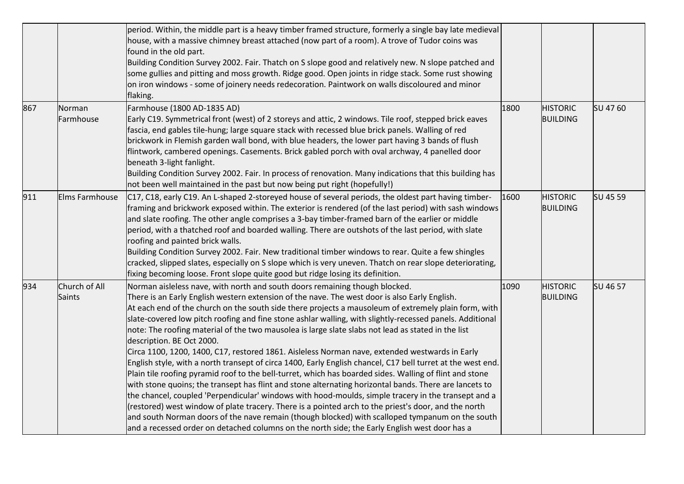|     |                                | period. Within, the middle part is a heavy timber framed structure, formerly a single bay late medieval<br>house, with a massive chimney breast attached (now part of a room). A trove of Tudor coins was<br>found in the old part.<br>Building Condition Survey 2002. Fair. Thatch on S slope good and relatively new. N slope patched and<br>some gullies and pitting and moss growth. Ridge good. Open joints in ridge stack. Some rust showing<br>on iron windows - some of joinery needs redecoration. Paintwork on walls discoloured and minor<br>flaking.                                                                                                                                                                                                                                                                                                                                                                                                                                                                                                                                                                                                                                                                                                                                                                                                                             |      |                                    |          |
|-----|--------------------------------|----------------------------------------------------------------------------------------------------------------------------------------------------------------------------------------------------------------------------------------------------------------------------------------------------------------------------------------------------------------------------------------------------------------------------------------------------------------------------------------------------------------------------------------------------------------------------------------------------------------------------------------------------------------------------------------------------------------------------------------------------------------------------------------------------------------------------------------------------------------------------------------------------------------------------------------------------------------------------------------------------------------------------------------------------------------------------------------------------------------------------------------------------------------------------------------------------------------------------------------------------------------------------------------------------------------------------------------------------------------------------------------------|------|------------------------------------|----------|
| 867 | Norman<br>Farmhouse            | Farmhouse (1800 AD-1835 AD)<br>Early C19. Symmetrical front (west) of 2 storeys and attic, 2 windows. Tile roof, stepped brick eaves<br>fascia, end gables tile-hung; large square stack with recessed blue brick panels. Walling of red<br>brickwork in Flemish garden wall bond, with blue headers, the lower part having 3 bands of flush<br>flintwork, cambered openings. Casements. Brick gabled porch with oval archway, 4 panelled door<br>beneath 3-light fanlight.<br>Building Condition Survey 2002. Fair. In process of renovation. Many indications that this building has<br>not been well maintained in the past but now being put right (hopefully!)                                                                                                                                                                                                                                                                                                                                                                                                                                                                                                                                                                                                                                                                                                                          | 1800 | <b>HISTORIC</b><br><b>BUILDING</b> | SU 47 60 |
| 911 | Elms Farmhouse                 | C17, C18, early C19. An L-shaped 2-storeyed house of several periods, the oldest part having timber-<br>framing and brickwork exposed within. The exterior is rendered (of the last period) with sash windows<br>and slate roofing. The other angle comprises a 3-bay timber-framed barn of the earlier or middle<br>period, with a thatched roof and boarded walling. There are outshots of the last period, with slate<br>roofing and painted brick walls.<br>Building Condition Survey 2002. Fair. New traditional timber windows to rear. Quite a few shingles<br>cracked, slipped slates, especially on S slope which is very uneven. Thatch on rear slope deteriorating,<br>fixing becoming loose. Front slope quite good but ridge losing its definition.                                                                                                                                                                                                                                                                                                                                                                                                                                                                                                                                                                                                                             | 1600 | <b>HISTORIC</b><br><b>BUILDING</b> | SU 45 59 |
| 934 | Church of All<br><b>Saints</b> | Norman aisleless nave, with north and south doors remaining though blocked.<br>There is an Early English western extension of the nave. The west door is also Early English.<br>At each end of the church on the south side there projects a mausoleum of extremely plain form, with<br>slate-covered low pitch roofing and fine stone ashlar walling, with slightly-recessed panels. Additional<br>note: The roofing material of the two mausolea is large slate slabs not lead as stated in the list<br>description. BE Oct 2000.<br>Circa 1100, 1200, 1400, C17, restored 1861. Aisleless Norman nave, extended westwards in Early<br>English style, with a north transept of circa 1400, Early English chancel, C17 bell turret at the west end.<br>Plain tile roofing pyramid roof to the bell-turret, which has boarded sides. Walling of flint and stone<br>with stone quoins; the transept has flint and stone alternating horizontal bands. There are lancets to<br>the chancel, coupled 'Perpendicular' windows with hood-moulds, simple tracery in the transept and a<br>(restored) west window of plate tracery. There is a pointed arch to the priest's door, and the north<br>and south Norman doors of the nave remain (though blocked) with scalloped tympanum on the south<br>and a recessed order on detached columns on the north side; the Early English west door has a | 1090 | <b>HISTORIC</b><br><b>BUILDING</b> | SU 46 57 |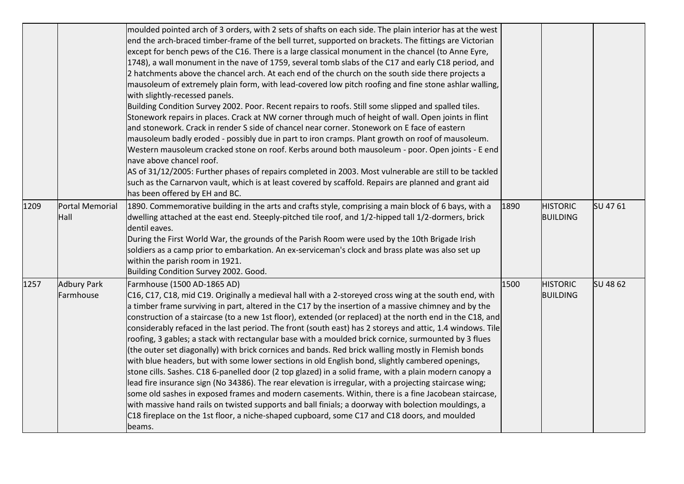|      |                                 | moulded pointed arch of 3 orders, with 2 sets of shafts on each side. The plain interior has at the west<br>end the arch-braced timber-frame of the bell turret, supported on brackets. The fittings are Victorian<br>except for bench pews of the C16. There is a large classical monument in the chancel (to Anne Eyre,<br>1748), a wall monument in the nave of 1759, several tomb slabs of the C17 and early C18 period, and<br>2 hatchments above the chancel arch. At each end of the church on the south side there projects a<br>mausoleum of extremely plain form, with lead-covered low pitch roofing and fine stone ashlar walling,<br>with slightly-recessed panels.<br>Building Condition Survey 2002. Poor. Recent repairs to roofs. Still some slipped and spalled tiles.<br>Stonework repairs in places. Crack at NW corner through much of height of wall. Open joints in flint<br>and stonework. Crack in render S side of chancel near corner. Stonework on E face of eastern<br>mausoleum badly eroded - possibly due in part to iron cramps. Plant growth on roof of mausoleum.<br>Western mausoleum cracked stone on roof. Kerbs around both mausoleum - poor. Open joints - E end<br>nave above chancel roof.<br>AS of 31/12/2005: Further phases of repairs completed in 2003. Most vulnerable are still to be tackled<br>such as the Carnarvon vault, which is at least covered by scaffold. Repairs are planned and grant aid<br>has been offered by EH and BC. |      |                                    |          |
|------|---------------------------------|-------------------------------------------------------------------------------------------------------------------------------------------------------------------------------------------------------------------------------------------------------------------------------------------------------------------------------------------------------------------------------------------------------------------------------------------------------------------------------------------------------------------------------------------------------------------------------------------------------------------------------------------------------------------------------------------------------------------------------------------------------------------------------------------------------------------------------------------------------------------------------------------------------------------------------------------------------------------------------------------------------------------------------------------------------------------------------------------------------------------------------------------------------------------------------------------------------------------------------------------------------------------------------------------------------------------------------------------------------------------------------------------------------------------------------------------------------------------------------------------|------|------------------------------------|----------|
| 1209 | Portal Memorial<br>Hall         | 1890. Commemorative building in the arts and crafts style, comprising a main block of 6 bays, with a<br>dwelling attached at the east end. Steeply-pitched tile roof, and 1/2-hipped tall 1/2-dormers, brick<br>dentil eaves.<br>During the First World War, the grounds of the Parish Room were used by the 10th Brigade Irish<br>soldiers as a camp prior to embarkation. An ex-serviceman's clock and brass plate was also set up<br>within the parish room in 1921.<br>Building Condition Survey 2002. Good.                                                                                                                                                                                                                                                                                                                                                                                                                                                                                                                                                                                                                                                                                                                                                                                                                                                                                                                                                                          | 1890 | <b>HISTORIC</b><br><b>BUILDING</b> | SU 47 61 |
| 1257 | <b>Adbury Park</b><br>Farmhouse | Farmhouse (1500 AD-1865 AD)<br>C16, C17, C18, mid C19. Originally a medieval hall with a 2-storeyed cross wing at the south end, with<br>a timber frame surviving in part, altered in the C17 by the insertion of a massive chimney and by the<br>construction of a staircase (to a new 1st floor), extended (or replaced) at the north end in the C18, and<br>considerably refaced in the last period. The front (south east) has 2 storeys and attic, 1.4 windows. Tile<br>roofing, 3 gables; a stack with rectangular base with a moulded brick cornice, surmounted by 3 flues<br>(the outer set diagonally) with brick cornices and bands. Red brick walling mostly in Flemish bonds<br>with blue headers, but with some lower sections in old English bond, slightly cambered openings,<br>stone cills. Sashes. C18 6-panelled door (2 top glazed) in a solid frame, with a plain modern canopy a<br>lead fire insurance sign (No 34386). The rear elevation is irregular, with a projecting staircase wing;<br>some old sashes in exposed frames and modern casements. Within, there is a fine Jacobean staircase,<br>with massive hand rails on twisted supports and ball finials; a doorway with bolection mouldings, a<br>C18 fireplace on the 1st floor, a niche-shaped cupboard, some C17 and C18 doors, and moulded<br>beams.                                                                                                                                                 | 1500 | <b>HISTORIC</b><br><b>BUILDING</b> | SU 48 62 |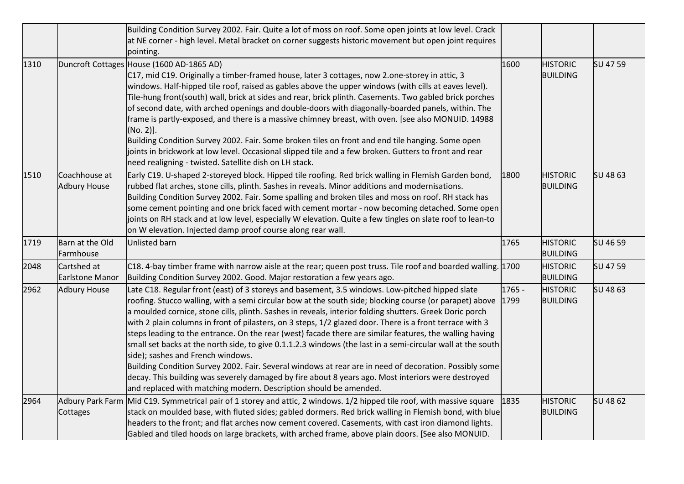|      |                                       | Building Condition Survey 2002. Fair. Quite a lot of moss on roof. Some open joints at low level. Crack<br>at NE corner - high level. Metal bracket on corner suggests historic movement but open joint requires<br>pointing.                                                                                                                                                                                                                                                                                                                                                                                                                                                                                                                                                                                                                                                                                                                                                         |                |                                    |          |
|------|---------------------------------------|---------------------------------------------------------------------------------------------------------------------------------------------------------------------------------------------------------------------------------------------------------------------------------------------------------------------------------------------------------------------------------------------------------------------------------------------------------------------------------------------------------------------------------------------------------------------------------------------------------------------------------------------------------------------------------------------------------------------------------------------------------------------------------------------------------------------------------------------------------------------------------------------------------------------------------------------------------------------------------------|----------------|------------------------------------|----------|
| 1310 |                                       | Duncroft Cottages House (1600 AD-1865 AD)<br>C17, mid C19. Originally a timber-framed house, later 3 cottages, now 2.one-storey in attic, 3<br>windows. Half-hipped tile roof, raised as gables above the upper windows (with cills at eaves level).<br>Tile-hung front(south) wall, brick at sides and rear, brick plinth. Casements. Two gabled brick porches<br>of second date, with arched openings and double-doors with diagonally-boarded panels, within. The<br>frame is partly-exposed, and there is a massive chimney breast, with oven. [see also MONUID. 14988<br>(No. 2)].<br>Building Condition Survey 2002. Fair. Some broken tiles on front and end tile hanging. Some open<br>joints in brickwork at low level. Occasional slipped tile and a few broken. Gutters to front and rear<br>need realigning - twisted. Satellite dish on LH stack.                                                                                                                        | 1600           | <b>HISTORIC</b><br><b>BUILDING</b> | SU 47 59 |
| 1510 | Coachhouse at<br><b>Adbury House</b>  | Early C19. U-shaped 2-storeyed block. Hipped tile roofing. Red brick walling in Flemish Garden bond,<br>rubbed flat arches, stone cills, plinth. Sashes in reveals. Minor additions and modernisations.<br>Building Condition Survey 2002. Fair. Some spalling and broken tiles and moss on roof. RH stack has<br>some cement pointing and one brick faced with cement mortar - now becoming detached. Some open<br>joints on RH stack and at low level, especially W elevation. Quite a few tingles on slate roof to lean-to<br>on W elevation. Injected damp proof course along rear wall.                                                                                                                                                                                                                                                                                                                                                                                          | 1800           | <b>HISTORIC</b><br><b>BUILDING</b> | SU 48 63 |
| 1719 | Barn at the Old<br>Farmhouse          | Unlisted barn                                                                                                                                                                                                                                                                                                                                                                                                                                                                                                                                                                                                                                                                                                                                                                                                                                                                                                                                                                         | 1765           | <b>HISTORIC</b><br><b>BUILDING</b> | SU 46 59 |
| 2048 | Cartshed at<br><b>Earlstone Manor</b> | C18. 4-bay timber frame with narrow aisle at the rear; queen post truss. Tile roof and boarded walling. 1700<br>Building Condition Survey 2002. Good. Major restoration a few years ago.                                                                                                                                                                                                                                                                                                                                                                                                                                                                                                                                                                                                                                                                                                                                                                                              |                | <b>HISTORIC</b><br><b>BUILDING</b> | SU 47 59 |
| 2962 | <b>Adbury House</b>                   | Late C18. Regular front (east) of 3 storeys and basement, 3.5 windows. Low-pitched hipped slate<br>roofing. Stucco walling, with a semi circular bow at the south side; blocking course (or parapet) above<br>a moulded cornice, stone cills, plinth. Sashes in reveals, interior folding shutters. Greek Doric porch<br>with 2 plain columns in front of pilasters, on 3 steps, 1/2 glazed door. There is a front terrace with 3<br>steps leading to the entrance. On the rear (west) facade there are similar features, the walling having<br>small set backs at the north side, to give 0.1.1.2.3 windows (the last in a semi-circular wall at the south<br>side); sashes and French windows.<br>Building Condition Survey 2002. Fair. Several windows at rear are in need of decoration. Possibly some<br>decay. This building was severely damaged by fire about 8 years ago. Most interiors were destroyed<br>and replaced with matching modern. Description should be amended. | 1765 -<br>1799 | <b>HISTORIC</b><br><b>BUILDING</b> | SU 48 63 |
| 2964 | Cottages                              | Adbury Park Farm Mid C19. Symmetrical pair of 1 storey and attic, 2 windows. 1/2 hipped tile roof, with massive square<br>stack on moulded base, with fluted sides; gabled dormers. Red brick walling in Flemish bond, with blue<br>headers to the front; and flat arches now cement covered. Casements, with cast iron diamond lights.<br>Gabled and tiled hoods on large brackets, with arched frame, above plain doors. [See also MONUID.                                                                                                                                                                                                                                                                                                                                                                                                                                                                                                                                          | 1835           | <b>HISTORIC</b><br><b>BUILDING</b> | SU 48 62 |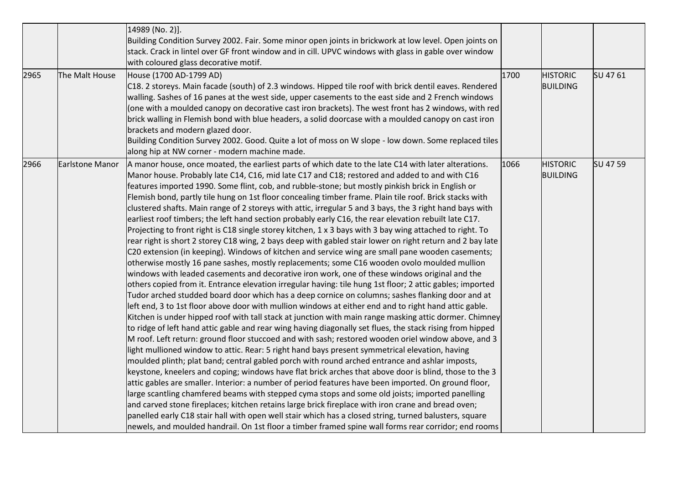|      |                        | 14989 (No. 2)].<br>Building Condition Survey 2002. Fair. Some minor open joints in brickwork at low level. Open joints on<br>stack. Crack in lintel over GF front window and in cill. UPVC windows with glass in gable over window                                                                                                                                                                                                                                                                                                                                                                                                                                                                                                                                                                                                                                                                                                                                                                                                                                                                                                                                                                                                                                                                                                                                                                                                                                                                                                                                                                                                                                                                                                                                                                                                                                                                                                                                                                                                                                                                                                                                                                                                                                                                                                                                                                                                                                                                                                                                                                                                                                               |      |                                    |          |
|------|------------------------|----------------------------------------------------------------------------------------------------------------------------------------------------------------------------------------------------------------------------------------------------------------------------------------------------------------------------------------------------------------------------------------------------------------------------------------------------------------------------------------------------------------------------------------------------------------------------------------------------------------------------------------------------------------------------------------------------------------------------------------------------------------------------------------------------------------------------------------------------------------------------------------------------------------------------------------------------------------------------------------------------------------------------------------------------------------------------------------------------------------------------------------------------------------------------------------------------------------------------------------------------------------------------------------------------------------------------------------------------------------------------------------------------------------------------------------------------------------------------------------------------------------------------------------------------------------------------------------------------------------------------------------------------------------------------------------------------------------------------------------------------------------------------------------------------------------------------------------------------------------------------------------------------------------------------------------------------------------------------------------------------------------------------------------------------------------------------------------------------------------------------------------------------------------------------------------------------------------------------------------------------------------------------------------------------------------------------------------------------------------------------------------------------------------------------------------------------------------------------------------------------------------------------------------------------------------------------------------------------------------------------------------------------------------------------------|------|------------------------------------|----------|
| 2965 | The Malt House         | with coloured glass decorative motif.<br>House (1700 AD-1799 AD)<br>C18. 2 storeys. Main facade (south) of 2.3 windows. Hipped tile roof with brick dentil eaves. Rendered<br>walling. Sashes of 16 panes at the west side, upper casements to the east side and 2 French windows<br>(one with a moulded canopy on decorative cast iron brackets). The west front has 2 windows, with red<br>brick walling in Flemish bond with blue headers, a solid doorcase with a moulded canopy on cast iron<br>brackets and modern glazed door.<br>Building Condition Survey 2002. Good. Quite a lot of moss on W slope - low down. Some replaced tiles<br>along hip at NW corner - modern machine made.                                                                                                                                                                                                                                                                                                                                                                                                                                                                                                                                                                                                                                                                                                                                                                                                                                                                                                                                                                                                                                                                                                                                                                                                                                                                                                                                                                                                                                                                                                                                                                                                                                                                                                                                                                                                                                                                                                                                                                                   | 1700 | <b>HISTORIC</b><br><b>BUILDING</b> | SU 4761  |
| 2966 | <b>Earlstone Manor</b> | A manor house, once moated, the earliest parts of which date to the late C14 with later alterations.<br>Manor house. Probably late C14, C16, mid late C17 and C18; restored and added to and with C16<br>features imported 1990. Some flint, cob, and rubble-stone; but mostly pinkish brick in English or<br>Flemish bond, partly tile hung on 1st floor concealing timber frame. Plain tile roof. Brick stacks with<br>clustered shafts. Main range of 2 storeys with attic, irregular 5 and 3 bays, the 3 right hand bays with<br>earliest roof timbers; the left hand section probably early C16, the rear elevation rebuilt late C17.<br>Projecting to front right is C18 single storey kitchen, 1 x 3 bays with 3 bay wing attached to right. To<br>rear right is short 2 storey C18 wing, 2 bays deep with gabled stair lower on right return and 2 bay late<br>C20 extension (in keeping). Windows of kitchen and service wing are small pane wooden casements;<br>otherwise mostly 16 pane sashes, mostly replacements; some C16 wooden ovolo moulded mullion<br>windows with leaded casements and decorative iron work, one of these windows original and the<br>others copied from it. Entrance elevation irregular having: tile hung 1st floor; 2 attic gables; imported<br>Tudor arched studded board door which has a deep cornice on columns; sashes flanking door and at<br>left end, 3 to 1st floor above door with mullion windows at either end and to right hand attic gable.<br>Kitchen is under hipped roof with tall stack at junction with main range masking attic dormer. Chimney<br>to ridge of left hand attic gable and rear wing having diagonally set flues, the stack rising from hipped<br>M roof. Left return: ground floor stuccoed and with sash; restored wooden oriel window above, and 3<br>light mullioned window to attic. Rear: 5 right hand bays present symmetrical elevation, having<br>moulded plinth; plat band; central gabled porch with round arched entrance and ashlar imposts,<br>keystone, kneelers and coping; windows have flat brick arches that above door is blind, those to the 3<br>attic gables are smaller. Interior: a number of period features have been imported. On ground floor,<br>large scantling chamfered beams with stepped cyma stops and some old joists; imported panelling<br>and carved stone fireplaces; kitchen retains large brick fireplace with iron crane and bread oven;<br>panelled early C18 stair hall with open well stair which has a closed string, turned balusters, square<br>newels, and moulded handrail. On 1st floor a timber framed spine wall forms rear corridor; end rooms | 1066 | <b>HISTORIC</b><br><b>BUILDING</b> | SU 47 59 |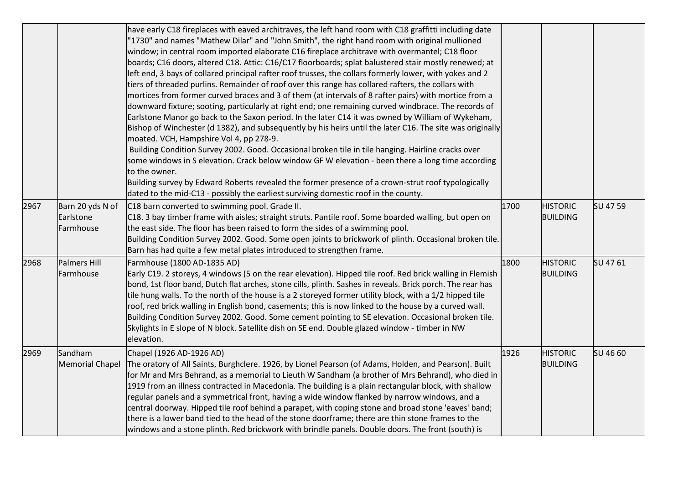|      |                                            | have early C18 fireplaces with eaved architraves, the left hand room with C18 graffitti including date<br>"1730" and names "Mathew Dilar" and "John Smith", the right hand room with original mullioned<br>window; in central room imported elaborate C16 fireplace architrave with overmantel; C18 floor<br>boards; C16 doors, altered C18. Attic: C16/C17 floorboards; splat balustered stair mostly renewed; at<br>left end, 3 bays of collared principal rafter roof trusses, the collars formerly lower, with yokes and 2<br>tiers of threaded purlins. Remainder of roof over this range has collared rafters, the collars with<br>mortices from former curved braces and 3 of them (at intervals of 8 rafter pairs) with mortice from a<br>downward fixture; sooting, particularly at right end; one remaining curved windbrace. The records of<br>Earlstone Manor go back to the Saxon period. In the later C14 it was owned by William of Wykeham,<br>Bishop of Winchester (d 1382), and subsequently by his heirs until the later C16. The site was originally<br>moated. VCH, Hampshire Vol 4, pp 278-9.<br>Building Condition Survey 2002. Good. Occasional broken tile in tile hanging. Hairline cracks over<br>some windows in S elevation. Crack below window GF W elevation - been there a long time according<br>to the owner.<br>Building survey by Edward Roberts revealed the former presence of a crown-strut roof typologically<br>dated to the mid-C13 - possibly the earliest surviving domestic roof in the county. |      |                                    |          |
|------|--------------------------------------------|----------------------------------------------------------------------------------------------------------------------------------------------------------------------------------------------------------------------------------------------------------------------------------------------------------------------------------------------------------------------------------------------------------------------------------------------------------------------------------------------------------------------------------------------------------------------------------------------------------------------------------------------------------------------------------------------------------------------------------------------------------------------------------------------------------------------------------------------------------------------------------------------------------------------------------------------------------------------------------------------------------------------------------------------------------------------------------------------------------------------------------------------------------------------------------------------------------------------------------------------------------------------------------------------------------------------------------------------------------------------------------------------------------------------------------------------------------------------------------------------------------------------------------------------|------|------------------------------------|----------|
| 2967 | Barn 20 yds N of<br>Earlstone<br>Farmhouse | C18 barn converted to swimming pool. Grade II.<br>C18. 3 bay timber frame with aisles; straight struts. Pantile roof. Some boarded walling, but open on<br>the east side. The floor has been raised to form the sides of a swimming pool.<br>Building Condition Survey 2002. Good. Some open joints to brickwork of plinth. Occasional broken tile.<br>Barn has had quite a few metal plates introduced to strengthen frame.                                                                                                                                                                                                                                                                                                                                                                                                                                                                                                                                                                                                                                                                                                                                                                                                                                                                                                                                                                                                                                                                                                                 | 1700 | <b>HISTORIC</b><br><b>BUILDING</b> | SU 47 59 |
| 2968 | Palmers Hill<br>Farmhouse                  | Farmhouse (1800 AD-1835 AD)<br>Early C19. 2 storeys, 4 windows (5 on the rear elevation). Hipped tile roof. Red brick walling in Flemish<br>bond, 1st floor band, Dutch flat arches, stone cills, plinth. Sashes in reveals. Brick porch. The rear has<br>tile hung walls. To the north of the house is a 2 storeyed former utility block, with a 1/2 hipped tile<br>roof, red brick walling in English bond, casements; this is now linked to the house by a curved wall.<br>Building Condition Survey 2002. Good. Some cement pointing to SE elevation. Occasional broken tile.<br>Skylights in E slope of N block. Satellite dish on SE end. Double glazed window - timber in NW<br>elevation.                                                                                                                                                                                                                                                                                                                                                                                                                                                                                                                                                                                                                                                                                                                                                                                                                                            | 1800 | <b>HISTORIC</b><br><b>BUILDING</b> | SU 4761  |
| 2969 | Sandham<br><b>Memorial Chapel</b>          | Chapel (1926 AD-1926 AD)<br>The oratory of All Saints, Burghclere. 1926, by Lionel Pearson (of Adams, Holden, and Pearson). Built<br>for Mr and Mrs Behrand, as a memorial to Lieuth W Sandham (a brother of Mrs Behrand), who died in<br>1919 from an illness contracted in Macedonia. The building is a plain rectangular block, with shallow<br>regular panels and a symmetrical front, having a wide window flanked by narrow windows, and a<br>central doorway. Hipped tile roof behind a parapet, with coping stone and broad stone 'eaves' band;<br>there is a lower band tied to the head of the stone doorframe; there are thin stone frames to the<br>windows and a stone plinth. Red brickwork with brindle panels. Double doors. The front (south) is                                                                                                                                                                                                                                                                                                                                                                                                                                                                                                                                                                                                                                                                                                                                                                            | 1926 | <b>HISTORIC</b><br><b>BUILDING</b> | SU 46 60 |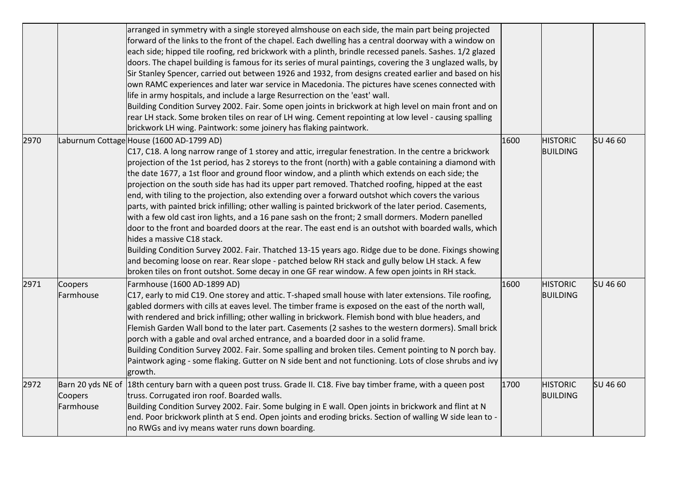|      |                      | arranged in symmetry with a single storeyed almshouse on each side, the main part being projected<br>forward of the links to the front of the chapel. Each dwelling has a central doorway with a window on<br>each side; hipped tile roofing, red brickwork with a plinth, brindle recessed panels. Sashes. 1/2 glazed<br>doors. The chapel building is famous for its series of mural paintings, covering the 3 unglazed walls, by<br>Sir Stanley Spencer, carried out between 1926 and 1932, from designs created earlier and based on his<br>own RAMC experiences and later war service in Macedonia. The pictures have scenes connected with<br>life in army hospitals, and include a large Resurrection on the 'east' wall.<br>Building Condition Survey 2002. Fair. Some open joints in brickwork at high level on main front and on<br>rear LH stack. Some broken tiles on rear of LH wing. Cement repointing at low level - causing spalling<br>brickwork LH wing. Paintwork: some joinery has flaking paintwork.                                                                                                                                                                                                                           |      |                                    |          |
|------|----------------------|-----------------------------------------------------------------------------------------------------------------------------------------------------------------------------------------------------------------------------------------------------------------------------------------------------------------------------------------------------------------------------------------------------------------------------------------------------------------------------------------------------------------------------------------------------------------------------------------------------------------------------------------------------------------------------------------------------------------------------------------------------------------------------------------------------------------------------------------------------------------------------------------------------------------------------------------------------------------------------------------------------------------------------------------------------------------------------------------------------------------------------------------------------------------------------------------------------------------------------------------------------|------|------------------------------------|----------|
| 2970 |                      | Laburnum Cottage House (1600 AD-1799 AD)<br>C17, C18. A long narrow range of 1 storey and attic, irregular fenestration. In the centre a brickwork<br>projection of the 1st period, has 2 storeys to the front (north) with a gable containing a diamond with<br>the date 1677, a 1st floor and ground floor window, and a plinth which extends on each side; the<br>projection on the south side has had its upper part removed. Thatched roofing, hipped at the east<br>end, with tiling to the projection, also extending over a forward outshot which covers the various<br>parts, with painted brick infilling; other walling is painted brickwork of the later period. Casements,<br>with a few old cast iron lights, and a 16 pane sash on the front; 2 small dormers. Modern panelled<br>door to the front and boarded doors at the rear. The east end is an outshot with boarded walls, which<br>hides a massive C18 stack.<br>Building Condition Survey 2002. Fair. Thatched 13-15 years ago. Ridge due to be done. Fixings showing<br>and becoming loose on rear. Rear slope - patched below RH stack and gully below LH stack. A few<br>broken tiles on front outshot. Some decay in one GF rear window. A few open joints in RH stack. | 1600 | <b>HISTORIC</b><br><b>BUILDING</b> | SU 46 60 |
| 2971 | Coopers<br>Farmhouse | Farmhouse (1600 AD-1899 AD)<br>C17, early to mid C19. One storey and attic. T-shaped small house with later extensions. Tile roofing,<br>gabled dormers with cills at eaves level. The timber frame is exposed on the east of the north wall,<br>with rendered and brick infilling; other walling in brickwork. Flemish bond with blue headers, and<br>Flemish Garden Wall bond to the later part. Casements (2 sashes to the western dormers). Small brick<br>porch with a gable and oval arched entrance, and a boarded door in a solid frame.<br>Building Condition Survey 2002. Fair. Some spalling and broken tiles. Cement pointing to N porch bay.<br>Paintwork aging - some flaking. Gutter on N side bent and not functioning. Lots of close shrubs and ivy<br>growth.                                                                                                                                                                                                                                                                                                                                                                                                                                                                     | 1600 | <b>HISTORIC</b><br><b>BUILDING</b> | SU 46 60 |
| 2972 | Coopers<br>Farmhouse | Barn 20 yds NE of 18th century barn with a queen post truss. Grade II. C18. Five bay timber frame, with a queen post<br>truss. Corrugated iron roof. Boarded walls.<br>Building Condition Survey 2002. Fair. Some bulging in E wall. Open joints in brickwork and flint at N<br>end. Poor brickwork plinth at S end. Open joints and eroding bricks. Section of walling W side lean to<br>no RWGs and ivy means water runs down boarding.                                                                                                                                                                                                                                                                                                                                                                                                                                                                                                                                                                                                                                                                                                                                                                                                           | 1700 | <b>HISTORIC</b><br><b>BUILDING</b> | SU 46 60 |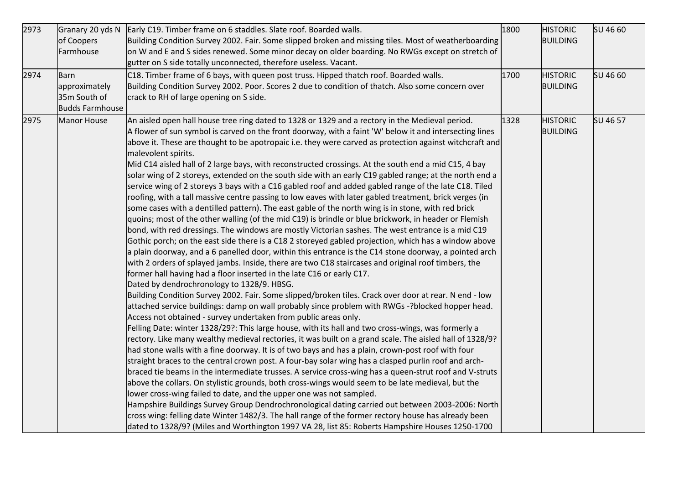| 2973<br>2974 | Granary 20 yds N<br>of Coopers<br>Farmhouse<br>Barn<br>approximately<br>35m South of<br><b>Budds Farmhouse</b> | Early C19. Timber frame on 6 staddles. Slate roof. Boarded walls.<br>Building Condition Survey 2002. Fair. Some slipped broken and missing tiles. Most of weatherboarding<br>on W and E and S sides renewed. Some minor decay on older boarding. No RWGs except on stretch of<br>gutter on S side totally unconnected, therefore useless. Vacant.<br>C18. Timber frame of 6 bays, with queen post truss. Hipped thatch roof. Boarded walls.<br>Building Condition Survey 2002. Poor. Scores 2 due to condition of thatch. Also some concern over<br>crack to RH of large opening on S side.                                                                                                                                                                                                                                                                                                                                                                                                                                                                                                                                                                                                                                                                                                                                                                                                                                                                                                                                                                                                                                                                                                                                                                                                                                                                                                                                                                                                                                                                                                                                                                                                                                                                                                                                                                                                                                                                                                                                                                                                                                                                                                                                                                                                                                                                             | 1800<br>1700 | <b>HISTORIC</b><br><b>BUILDING</b><br><b>HISTORIC</b><br><b>BUILDING</b> | SU 46 60<br>SU 46 60 |
|--------------|----------------------------------------------------------------------------------------------------------------|-------------------------------------------------------------------------------------------------------------------------------------------------------------------------------------------------------------------------------------------------------------------------------------------------------------------------------------------------------------------------------------------------------------------------------------------------------------------------------------------------------------------------------------------------------------------------------------------------------------------------------------------------------------------------------------------------------------------------------------------------------------------------------------------------------------------------------------------------------------------------------------------------------------------------------------------------------------------------------------------------------------------------------------------------------------------------------------------------------------------------------------------------------------------------------------------------------------------------------------------------------------------------------------------------------------------------------------------------------------------------------------------------------------------------------------------------------------------------------------------------------------------------------------------------------------------------------------------------------------------------------------------------------------------------------------------------------------------------------------------------------------------------------------------------------------------------------------------------------------------------------------------------------------------------------------------------------------------------------------------------------------------------------------------------------------------------------------------------------------------------------------------------------------------------------------------------------------------------------------------------------------------------------------------------------------------------------------------------------------------------------------------------------------------------------------------------------------------------------------------------------------------------------------------------------------------------------------------------------------------------------------------------------------------------------------------------------------------------------------------------------------------------------------------------------------------------------------------------------------------------|--------------|--------------------------------------------------------------------------|----------------------|
| 2975         | Manor House                                                                                                    | An aisled open hall house tree ring dated to 1328 or 1329 and a rectory in the Medieval period.<br>A flower of sun symbol is carved on the front doorway, with a faint 'W' below it and intersecting lines<br>above it. These are thought to be apotropaic i.e. they were carved as protection against witchcraft and<br>malevolent spirits.<br>Mid C14 aisled hall of 2 large bays, with reconstructed crossings. At the south end a mid C15, 4 bay<br>solar wing of 2 storeys, extended on the south side with an early C19 gabled range; at the north end a<br>service wing of 2 storeys 3 bays with a C16 gabled roof and added gabled range of the late C18. Tiled<br>roofing, with a tall massive centre passing to low eaves with later gabled treatment, brick verges (in<br>some cases with a dentilled pattern). The east gable of the north wing is in stone, with red brick<br>quoins; most of the other walling (of the mid C19) is brindle or blue brickwork, in header or Flemish<br>bond, with red dressings. The windows are mostly Victorian sashes. The west entrance is a mid C19<br>Gothic porch; on the east side there is a C18 2 storeyed gabled projection, which has a window above<br>a plain doorway, and a 6 panelled door, within this entrance is the C14 stone doorway, a pointed arch<br>with 2 orders of splayed jambs. Inside, there are two C18 staircases and original roof timbers, the<br>former hall having had a floor inserted in the late C16 or early C17.<br>Dated by dendrochronology to 1328/9. HBSG.<br>Building Condition Survey 2002. Fair. Some slipped/broken tiles. Crack over door at rear. N end - low<br>attached service buildings: damp on wall probably since problem with RWGs -?blocked hopper head.<br>Access not obtained - survey undertaken from public areas only.<br>Felling Date: winter 1328/29?: This large house, with its hall and two cross-wings, was formerly a<br>rectory. Like many wealthy medieval rectories, it was built on a grand scale. The aisled hall of 1328/9?<br>had stone walls with a fine doorway. It is of two bays and has a plain, crown-post roof with four<br>straight braces to the central crown post. A four-bay solar wing has a clasped purlin roof and arch-<br>braced tie beams in the intermediate trusses. A service cross-wing has a queen-strut roof and V-struts<br>above the collars. On stylistic grounds, both cross-wings would seem to be late medieval, but the<br>lower cross-wing failed to date, and the upper one was not sampled.<br>Hampshire Buildings Survey Group Dendrochronological dating carried out between 2003-2006: North<br>cross wing: felling date Winter 1482/3. The hall range of the former rectory house has already been<br>dated to 1328/9? (Miles and Worthington 1997 VA 28, list 85: Roberts Hampshire Houses 1250-1700 | 1328         | <b>HISTORIC</b><br><b>BUILDING</b>                                       | SU 46 57             |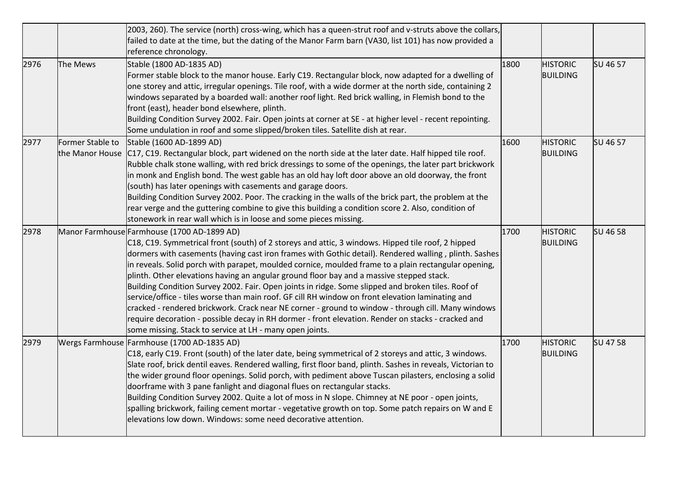|      |                  | [2003, 260]. The service (north) cross-wing, which has a queen-strut roof and v-struts above the collars,<br>failed to date at the time, but the dating of the Manor Farm barn (VA30, list 101) has now provided a<br>reference chronology.                                                                                                                                                                                                                                                                                                                                                                                                                                                                                                                                                                                                                                                                                                     |      |                                    |          |
|------|------------------|-------------------------------------------------------------------------------------------------------------------------------------------------------------------------------------------------------------------------------------------------------------------------------------------------------------------------------------------------------------------------------------------------------------------------------------------------------------------------------------------------------------------------------------------------------------------------------------------------------------------------------------------------------------------------------------------------------------------------------------------------------------------------------------------------------------------------------------------------------------------------------------------------------------------------------------------------|------|------------------------------------|----------|
| 2976 | The Mews         | Stable (1800 AD-1835 AD)<br>Former stable block to the manor house. Early C19. Rectangular block, now adapted for a dwelling of<br>one storey and attic, irregular openings. Tile roof, with a wide dormer at the north side, containing 2<br>windows separated by a boarded wall: another roof light. Red brick walling, in Flemish bond to the<br>front (east), header bond elsewhere, plinth.<br>Building Condition Survey 2002. Fair. Open joints at corner at SE - at higher level - recent repointing.<br>Some undulation in roof and some slipped/broken tiles. Satellite dish at rear.                                                                                                                                                                                                                                                                                                                                                  | 1800 | <b>HISTORIC</b><br><b>BUILDING</b> | SU 46 57 |
| 2977 | Former Stable to | Stable (1600 AD-1899 AD)<br>the Manor House   C17, C19. Rectangular block, part widened on the north side at the later date. Half hipped tile roof.<br>Rubble chalk stone walling, with red brick dressings to some of the openings, the later part brickwork<br>in monk and English bond. The west gable has an old hay loft door above an old doorway, the front<br>(south) has later openings with casements and garage doors.<br>Building Condition Survey 2002. Poor. The cracking in the walls of the brick part, the problem at the<br>rear verge and the guttering combine to give this building a condition score 2. Also, condition of<br>stonework in rear wall which is in loose and some pieces missing.                                                                                                                                                                                                                           | 1600 | <b>HISTORIC</b><br><b>BUILDING</b> | SU 46 57 |
| 2978 |                  | Manor Farmhouse Farmhouse (1700 AD-1899 AD)<br>C18, C19. Symmetrical front (south) of 2 storeys and attic, 3 windows. Hipped tile roof, 2 hipped<br>dormers with casements (having cast iron frames with Gothic detail). Rendered walling, plinth. Sashes<br>in reveals. Solid porch with parapet, moulded cornice, moulded frame to a plain rectangular opening,<br>plinth. Other elevations having an angular ground floor bay and a massive stepped stack.<br>Building Condition Survey 2002. Fair. Open joints in ridge. Some slipped and broken tiles. Roof of<br>service/office - tiles worse than main roof. GF cill RH window on front elevation laminating and<br>cracked - rendered brickwork. Crack near NE corner - ground to window - through cill. Many windows<br>require decoration - possible decay in RH dormer - front elevation. Render on stacks - cracked and<br>some missing. Stack to service at LH - many open joints. | 1700 | <b>HISTORIC</b><br><b>BUILDING</b> | SU 46 58 |
| 2979 |                  | Wergs Farmhouse Farmhouse (1700 AD-1835 AD)<br>C18, early C19. Front (south) of the later date, being symmetrical of 2 storeys and attic, 3 windows.<br>Slate roof, brick dentil eaves. Rendered walling, first floor band, plinth. Sashes in reveals, Victorian to<br>the wider ground floor openings. Solid porch, with pediment above Tuscan pilasters, enclosing a solid<br>doorframe with 3 pane fanlight and diagonal flues on rectangular stacks.<br>Building Condition Survey 2002. Quite a lot of moss in N slope. Chimney at NE poor - open joints,<br>spalling brickwork, failing cement mortar - vegetative growth on top. Some patch repairs on W and E<br>elevations low down. Windows: some need decorative attention.                                                                                                                                                                                                           | 1700 | <b>HISTORIC</b><br><b>BUILDING</b> | SU 47 58 |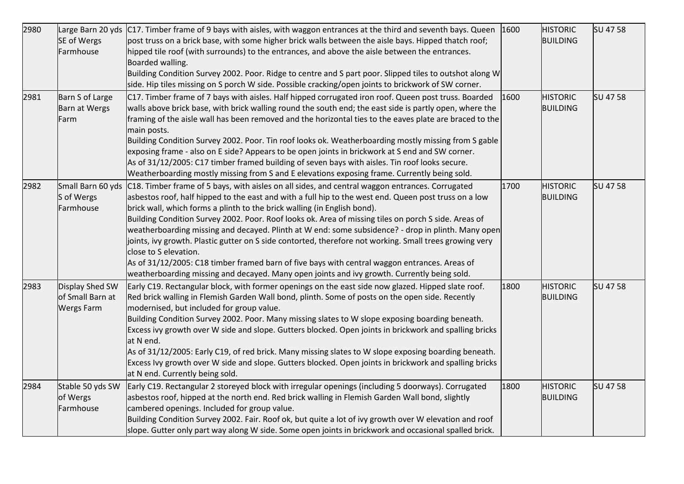| 2980 | SE of Wergs<br>Farmhouse                                 | Large Barn 20 yds   C17. Timber frame of 9 bays with aisles, with waggon entrances at the third and seventh bays. Queen<br>post truss on a brick base, with some higher brick walls between the aisle bays. Hipped thatch roof;<br>hipped tile roof (with surrounds) to the entrances, and above the aisle between the entrances.<br>Boarded walling.                                                                                                                                                                                                                                                                                                                                                                                                                                                                                                    | 1600 | <b>HISTORIC</b><br><b>BUILDING</b> | SU 47 58 |
|------|----------------------------------------------------------|----------------------------------------------------------------------------------------------------------------------------------------------------------------------------------------------------------------------------------------------------------------------------------------------------------------------------------------------------------------------------------------------------------------------------------------------------------------------------------------------------------------------------------------------------------------------------------------------------------------------------------------------------------------------------------------------------------------------------------------------------------------------------------------------------------------------------------------------------------|------|------------------------------------|----------|
|      |                                                          | Building Condition Survey 2002. Poor. Ridge to centre and S part poor. Slipped tiles to outshot along W<br>side. Hip tiles missing on S porch W side. Possible cracking/open joints to brickwork of SW corner.                                                                                                                                                                                                                                                                                                                                                                                                                                                                                                                                                                                                                                           |      |                                    |          |
| 2981 | Barn S of Large<br>Barn at Wergs<br>Farm                 | C17. Timber frame of 7 bays with aisles. Half hipped corrugated iron roof. Queen post truss. Boarded<br>walls above brick base, with brick walling round the south end; the east side is partly open, where the<br>framing of the aisle wall has been removed and the horizontal ties to the eaves plate are braced to the<br>main posts.<br>Building Condition Survey 2002. Poor. Tin roof looks ok. Weatherboarding mostly missing from S gable<br>exposing frame - also on E side? Appears to be open joints in brickwork at S end and SW corner.<br>As of 31/12/2005: C17 timber framed building of seven bays with aisles. Tin roof looks secure.<br>Weatherboarding mostly missing from S and E elevations exposing frame. Currently being sold.                                                                                                   | 1600 | <b>HISTORIC</b><br><b>BUILDING</b> | SU 47 58 |
| 2982 | S of Wergs<br>Farmhouse                                  | Small Barn 60 yds C18. Timber frame of 5 bays, with aisles on all sides, and central waggon entrances. Corrugated<br>asbestos roof, half hipped to the east and with a full hip to the west end. Queen post truss on a low<br>brick wall, which forms a plinth to the brick walling (in English bond).<br>Building Condition Survey 2002. Poor. Roof looks ok. Area of missing tiles on porch S side. Areas of<br>weatherboarding missing and decayed. Plinth at W end: some subsidence? - drop in plinth. Many open<br>joints, ivy growth. Plastic gutter on S side contorted, therefore not working. Small trees growing very<br>close to S elevation.<br>As of 31/12/2005: C18 timber framed barn of five bays with central waggon entrances. Areas of<br>weatherboarding missing and decayed. Many open joints and ivy growth. Currently being sold. | 1700 | <b>HISTORIC</b><br><b>BUILDING</b> | SU 47 58 |
| 2983 | Display Shed SW<br>of Small Barn at<br><b>Wergs Farm</b> | Early C19. Rectangular block, with former openings on the east side now glazed. Hipped slate roof.<br>Red brick walling in Flemish Garden Wall bond, plinth. Some of posts on the open side. Recently<br>modernised, but included for group value.<br>Building Condition Survey 2002. Poor. Many missing slates to W slope exposing boarding beneath.<br>Excess ivy growth over W side and slope. Gutters blocked. Open joints in brickwork and spalling bricks<br>at N end.<br>As of 31/12/2005: Early C19, of red brick. Many missing slates to W slope exposing boarding beneath.<br>Excess Ivy growth over W side and slope. Gutters blocked. Open joints in brickwork and spalling bricks<br>at N end. Currently being sold.                                                                                                                        | 1800 | <b>HISTORIC</b><br><b>BUILDING</b> | SU 47 58 |
| 2984 | Stable 50 yds SW<br>of Wergs<br>Farmhouse                | Early C19. Rectangular 2 storeyed block with irregular openings (including 5 doorways). Corrugated<br>asbestos roof, hipped at the north end. Red brick walling in Flemish Garden Wall bond, slightly<br>cambered openings. Included for group value.<br>Building Condition Survey 2002. Fair. Roof ok, but quite a lot of ivy growth over W elevation and roof<br>slope. Gutter only part way along W side. Some open joints in brickwork and occasional spalled brick.                                                                                                                                                                                                                                                                                                                                                                                 | 1800 | <b>HISTORIC</b><br><b>BUILDING</b> | SU 47 58 |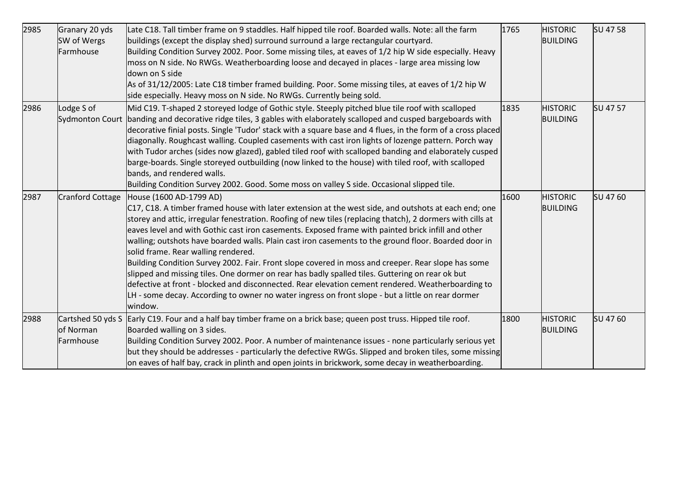| 2985 | Granary 20 yds<br>SW of Wergs<br>Farmhouse  | Late C18. Tall timber frame on 9 staddles. Half hipped tile roof. Boarded walls. Note: all the farm<br>buildings (except the display shed) surround surround a large rectangular courtyard.<br>Building Condition Survey 2002. Poor. Some missing tiles, at eaves of 1/2 hip W side especially. Heavy<br>moss on N side. No RWGs. Weatherboarding loose and decayed in places - large area missing low<br>down on S side<br>As of 31/12/2005: Late C18 timber framed building. Poor. Some missing tiles, at eaves of 1/2 hip W<br>side especially. Heavy moss on N side. No RWGs. Currently being sold.                                                                                                                                                                                                                                                                                                                          | 1765 | <b>HISTORIC</b><br><b>BUILDING</b> | SU 47 58 |
|------|---------------------------------------------|----------------------------------------------------------------------------------------------------------------------------------------------------------------------------------------------------------------------------------------------------------------------------------------------------------------------------------------------------------------------------------------------------------------------------------------------------------------------------------------------------------------------------------------------------------------------------------------------------------------------------------------------------------------------------------------------------------------------------------------------------------------------------------------------------------------------------------------------------------------------------------------------------------------------------------|------|------------------------------------|----------|
| 2986 | Lodge S of<br><b>Sydmonton Court</b>        | Mid C19. T-shaped 2 storeyed lodge of Gothic style. Steeply pitched blue tile roof with scalloped<br>banding and decorative ridge tiles, 3 gables with elaborately scalloped and cusped bargeboards with<br>decorative finial posts. Single 'Tudor' stack with a square base and 4 flues, in the form of a cross placed<br>diagonally. Roughcast walling. Coupled casements with cast iron lights of lozenge pattern. Porch way<br>with Tudor arches (sides now glazed), gabled tiled roof with scalloped banding and elaborately cusped<br>barge-boards. Single storeyed outbuilding (now linked to the house) with tiled roof, with scalloped<br>bands, and rendered walls.<br>Building Condition Survey 2002. Good. Some moss on valley S side. Occasional slipped tile.                                                                                                                                                      | 1835 | <b>HISTORIC</b><br><b>BUILDING</b> | SU 47 57 |
| 2987 | <b>Cranford Cottage</b>                     | House (1600 AD-1799 AD)<br>C17, C18. A timber framed house with later extension at the west side, and outshots at each end; one<br>storey and attic, irregular fenestration. Roofing of new tiles (replacing thatch), 2 dormers with cills at<br>eaves level and with Gothic cast iron casements. Exposed frame with painted brick infill and other<br>walling; outshots have boarded walls. Plain cast iron casements to the ground floor. Boarded door in<br>solid frame. Rear walling rendered.<br>Building Condition Survey 2002. Fair. Front slope covered in moss and creeper. Rear slope has some<br>slipped and missing tiles. One dormer on rear has badly spalled tiles. Guttering on rear ok but<br>defective at front - blocked and disconnected. Rear elevation cement rendered. Weatherboarding to<br>LH - some decay. According to owner no water ingress on front slope - but a little on rear dormer<br>window. | 1600 | <b>HISTORIC</b><br><b>BUILDING</b> | SU 47 60 |
| 2988 | Cartshed 50 yds S<br>of Norman<br>Farmhouse | Early C19. Four and a half bay timber frame on a brick base; queen post truss. Hipped tile roof.<br>Boarded walling on 3 sides.<br>Building Condition Survey 2002. Poor. A number of maintenance issues - none particularly serious yet<br>but they should be addresses - particularly the defective RWGs. Slipped and broken tiles, some missing<br>on eaves of half bay, crack in plinth and open joints in brickwork, some decay in weatherboarding.                                                                                                                                                                                                                                                                                                                                                                                                                                                                          | 1800 | <b>HISTORIC</b><br><b>BUILDING</b> | SU 47 60 |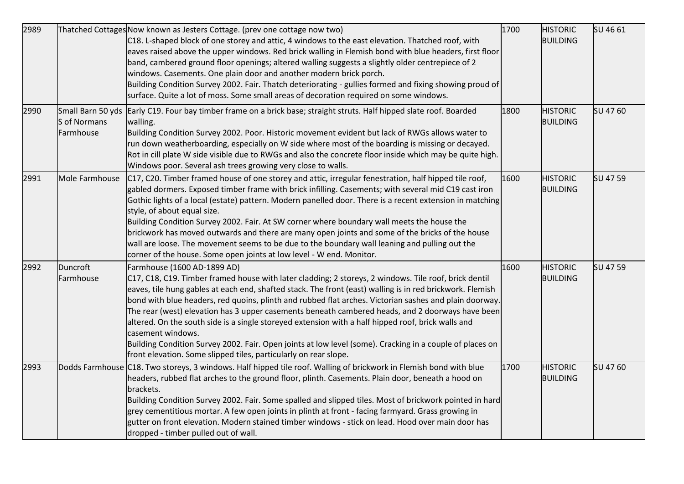| 2989 |                           | Thatched Cottages Now known as Jesters Cottage. (prev one cottage now two)<br>C18. L-shaped block of one storey and attic, 4 windows to the east elevation. Thatched roof, with<br>eaves raised above the upper windows. Red brick walling in Flemish bond with blue headers, first floor<br>band, cambered ground floor openings; altered walling suggests a slightly older centrepiece of 2<br>windows. Casements. One plain door and another modern brick porch.<br>Building Condition Survey 2002. Fair. Thatch deteriorating - gullies formed and fixing showing proud of<br>surface. Quite a lot of moss. Some small areas of decoration required on some windows.                                                                                                   | 1700 | <b>HISTORIC</b><br><b>BUILDING</b> | SU 46 61 |
|------|---------------------------|----------------------------------------------------------------------------------------------------------------------------------------------------------------------------------------------------------------------------------------------------------------------------------------------------------------------------------------------------------------------------------------------------------------------------------------------------------------------------------------------------------------------------------------------------------------------------------------------------------------------------------------------------------------------------------------------------------------------------------------------------------------------------|------|------------------------------------|----------|
| 2990 | S of Normans<br>Farmhouse | Small Barn 50 yds Early C19. Four bay timber frame on a brick base; straight struts. Half hipped slate roof. Boarded<br>walling.<br>Building Condition Survey 2002. Poor. Historic movement evident but lack of RWGs allows water to<br>run down weatherboarding, especially on W side where most of the boarding is missing or decayed.<br>Rot in cill plate W side visible due to RWGs and also the concrete floor inside which may be quite high.<br>Windows poor. Several ash trees growing very close to walls.                                                                                                                                                                                                                                                       | 1800 | <b>HISTORIC</b><br><b>BUILDING</b> | SU 47 60 |
| 2991 | Mole Farmhouse            | $C17$ , C20. Timber framed house of one storey and attic, irregular fenestration, half hipped tile roof,<br>gabled dormers. Exposed timber frame with brick infilling. Casements; with several mid C19 cast iron<br>Gothic lights of a local (estate) pattern. Modern panelled door. There is a recent extension in matching<br>style, of about equal size.<br>Building Condition Survey 2002. Fair. At SW corner where boundary wall meets the house the<br>brickwork has moved outwards and there are many open joints and some of the bricks of the house<br>wall are loose. The movement seems to be due to the boundary wall leaning and pulling out the<br>corner of the house. Some open joints at low level - W end. Monitor.                                      | 1600 | <b>HISTORIC</b><br><b>BUILDING</b> | SU 47 59 |
| 2992 | Duncroft<br>Farmhouse     | Farmhouse (1600 AD-1899 AD)<br>C17, C18, C19. Timber framed house with later cladding; 2 storeys, 2 windows. Tile roof, brick dentil<br>eaves, tile hung gables at each end, shafted stack. The front (east) walling is in red brickwork. Flemish<br>bond with blue headers, red quoins, plinth and rubbed flat arches. Victorian sashes and plain doorway.<br>The rear (west) elevation has 3 upper casements beneath cambered heads, and 2 doorways have been<br>altered. On the south side is a single storeyed extension with a half hipped roof, brick walls and<br>casement windows.<br>Building Condition Survey 2002. Fair. Open joints at low level (some). Cracking in a couple of places on<br>front elevation. Some slipped tiles, particularly on rear slope. | 1600 | <b>HISTORIC</b><br><b>BUILDING</b> | SU 47 59 |
| 2993 |                           | Dodds Farmhouse C18. Two storeys, 3 windows. Half hipped tile roof. Walling of brickwork in Flemish bond with blue<br>headers, rubbed flat arches to the ground floor, plinth. Casements. Plain door, beneath a hood on<br>brackets.<br>Building Condition Survey 2002. Fair. Some spalled and slipped tiles. Most of brickwork pointed in hard<br>grey cementitious mortar. A few open joints in plinth at front - facing farmyard. Grass growing in<br>gutter on front elevation. Modern stained timber windows - stick on lead. Hood over main door has<br>dropped - timber pulled out of wall.                                                                                                                                                                         | 1700 | <b>HISTORIC</b><br><b>BUILDING</b> | SU 47 60 |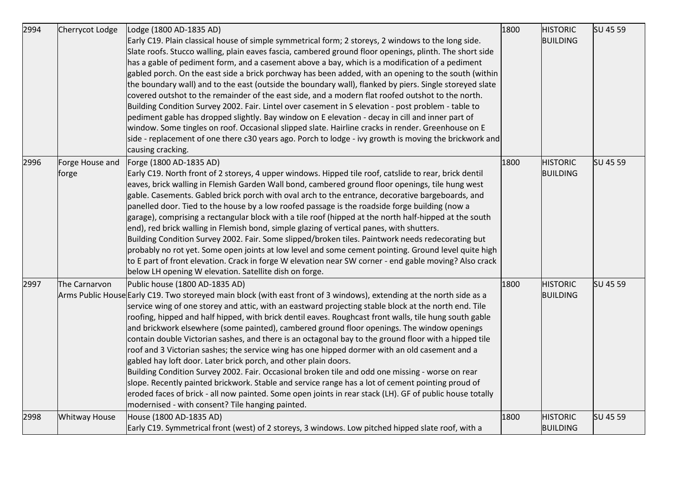| 2994 | Cherrycot Lodge          | Lodge (1800 AD-1835 AD)                                                                                                                                                                                                                                                                                                                                                                                                                                                                                                                                                                                                                                                                                                                                                                                                                                                                                                                                                                                                                                                                                                          | 1800 | <b>HISTORIC</b>                    | SU 45 59 |
|------|--------------------------|----------------------------------------------------------------------------------------------------------------------------------------------------------------------------------------------------------------------------------------------------------------------------------------------------------------------------------------------------------------------------------------------------------------------------------------------------------------------------------------------------------------------------------------------------------------------------------------------------------------------------------------------------------------------------------------------------------------------------------------------------------------------------------------------------------------------------------------------------------------------------------------------------------------------------------------------------------------------------------------------------------------------------------------------------------------------------------------------------------------------------------|------|------------------------------------|----------|
|      |                          | Early C19. Plain classical house of simple symmetrical form; 2 storeys, 2 windows to the long side.<br>Slate roofs. Stucco walling, plain eaves fascia, cambered ground floor openings, plinth. The short side<br>has a gable of pediment form, and a casement above a bay, which is a modification of a pediment<br>gabled porch. On the east side a brick porchway has been added, with an opening to the south (within<br>the boundary wall) and to the east (outside the boundary wall), flanked by piers. Single storeyed slate<br>covered outshot to the remainder of the east side, and a modern flat roofed outshot to the north.<br>Building Condition Survey 2002. Fair. Lintel over casement in S elevation - post problem - table to<br>pediment gable has dropped slightly. Bay window on E elevation - decay in cill and inner part of<br>window. Some tingles on roof. Occasional slipped slate. Hairline cracks in render. Greenhouse on E<br>side - replacement of one there c30 years ago. Porch to lodge - ivy growth is moving the brickwork and<br>causing cracking.                                        |      | <b>BUILDING</b>                    |          |
| 2996 | Forge House and<br>forge | Forge (1800 AD-1835 AD)<br>Early C19. North front of 2 storeys, 4 upper windows. Hipped tile roof, catslide to rear, brick dentil<br>eaves, brick walling in Flemish Garden Wall bond, cambered ground floor openings, tile hung west<br>gable. Casements. Gabled brick porch with oval arch to the entrance, decorative bargeboards, and<br>panelled door. Tied to the house by a low roofed passage is the roadside forge building (now a<br>garage), comprising a rectangular block with a tile roof (hipped at the north half-hipped at the south<br>end), red brick walling in Flemish bond, simple glazing of vertical panes, with shutters.<br>Building Condition Survey 2002. Fair. Some slipped/broken tiles. Paintwork needs redecorating but<br>probably no rot yet. Some open joints at low level and some cement pointing. Ground level quite high<br>to E part of front elevation. Crack in forge W elevation near SW corner - end gable moving? Also crack<br>below LH opening W elevation. Satellite dish on forge.                                                                                              | 1800 | <b>HISTORIC</b><br><b>BUILDING</b> | SU 45 59 |
| 2997 | The Carnarvon            | Public house (1800 AD-1835 AD)<br>Arms Public House Early C19. Two storeyed main block (with east front of 3 windows), extending at the north side as a<br>service wing of one storey and attic, with an eastward projecting stable block at the north end. Tile<br>roofing, hipped and half hipped, with brick dentil eaves. Roughcast front walls, tile hung south gable<br>and brickwork elsewhere (some painted), cambered ground floor openings. The window openings<br>contain double Victorian sashes, and there is an octagonal bay to the ground floor with a hipped tile<br>roof and 3 Victorian sashes; the service wing has one hipped dormer with an old casement and a<br>gabled hay loft door. Later brick porch, and other plain doors.<br>Building Condition Survey 2002. Fair. Occasional broken tile and odd one missing - worse on rear<br>slope. Recently painted brickwork. Stable and service range has a lot of cement pointing proud of<br>eroded faces of brick - all now painted. Some open joints in rear stack (LH). GF of public house totally<br>modernised - with consent? Tile hanging painted. | 1800 | <b>HISTORIC</b><br><b>BUILDING</b> | SU 45 59 |
| 2998 | <b>Whitway House</b>     | House (1800 AD-1835 AD)<br>Early C19. Symmetrical front (west) of 2 storeys, 3 windows. Low pitched hipped slate roof, with a                                                                                                                                                                                                                                                                                                                                                                                                                                                                                                                                                                                                                                                                                                                                                                                                                                                                                                                                                                                                    | 1800 | <b>HISTORIC</b><br><b>BUILDING</b> | SU 45 59 |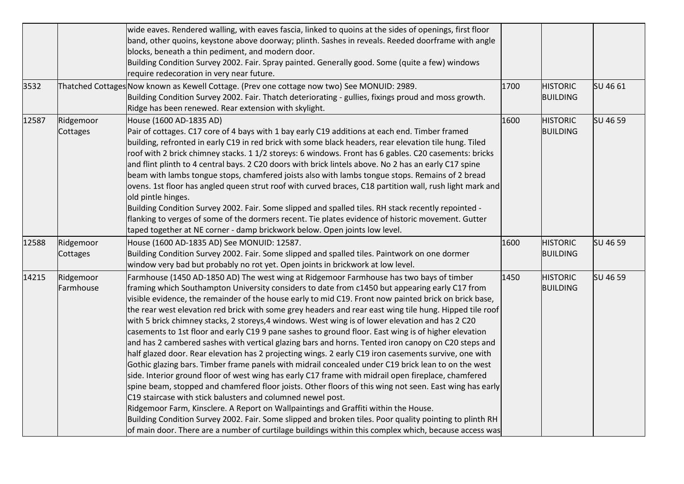| 3532  |                        | wide eaves. Rendered walling, with eaves fascia, linked to quoins at the sides of openings, first floor<br>band, other quoins, keystone above doorway; plinth. Sashes in reveals. Reeded doorframe with angle<br>blocks, beneath a thin pediment, and modern door.<br>Building Condition Survey 2002. Fair. Spray painted. Generally good. Some (quite a few) windows<br>require redecoration in very near future.<br>Thatched Cottages Now known as Kewell Cottage. (Prev one cottage now two) See MONUID: 2989.                                                                                                                                                                                                                                                                                                                                                                                                                                                                                                                                                                                                                                                                                                                                                                                                                                                                                                                                                                                                                            | 1700 | <b>HISTORIC</b>                    | SU 46 61 |
|-------|------------------------|----------------------------------------------------------------------------------------------------------------------------------------------------------------------------------------------------------------------------------------------------------------------------------------------------------------------------------------------------------------------------------------------------------------------------------------------------------------------------------------------------------------------------------------------------------------------------------------------------------------------------------------------------------------------------------------------------------------------------------------------------------------------------------------------------------------------------------------------------------------------------------------------------------------------------------------------------------------------------------------------------------------------------------------------------------------------------------------------------------------------------------------------------------------------------------------------------------------------------------------------------------------------------------------------------------------------------------------------------------------------------------------------------------------------------------------------------------------------------------------------------------------------------------------------|------|------------------------------------|----------|
|       |                        | Building Condition Survey 2002. Fair. Thatch deteriorating - gullies, fixings proud and moss growth.<br>Ridge has been renewed. Rear extension with skylight.                                                                                                                                                                                                                                                                                                                                                                                                                                                                                                                                                                                                                                                                                                                                                                                                                                                                                                                                                                                                                                                                                                                                                                                                                                                                                                                                                                                |      | <b>BUILDING</b>                    |          |
| 12587 | Ridgemoor<br>Cottages  | House (1600 AD-1835 AD)<br>Pair of cottages. C17 core of 4 bays with 1 bay early C19 additions at each end. Timber framed<br>building, refronted in early C19 in red brick with some black headers, rear elevation tile hung. Tiled<br>roof with 2 brick chimney stacks. 1 1/2 storeys: 6 windows. Front has 6 gables. C20 casements: bricks<br>and flint plinth to 4 central bays. 2 C20 doors with brick lintels above. No 2 has an early C17 spine<br>beam with lambs tongue stops, chamfered joists also with lambs tongue stops. Remains of 2 bread<br>ovens. 1st floor has angled queen strut roof with curved braces, C18 partition wall, rush light mark and<br>old pintle hinges.<br>Building Condition Survey 2002. Fair. Some slipped and spalled tiles. RH stack recently repointed -<br>flanking to verges of some of the dormers recent. Tie plates evidence of historic movement. Gutter<br>taped together at NE corner - damp brickwork below. Open joints low level.                                                                                                                                                                                                                                                                                                                                                                                                                                                                                                                                                        | 1600 | <b>HISTORIC</b><br><b>BUILDING</b> | SU 46 59 |
| 12588 | Ridgemoor<br>Cottages  | House (1600 AD-1835 AD) See MONUID: 12587.<br>Building Condition Survey 2002. Fair. Some slipped and spalled tiles. Paintwork on one dormer<br>window very bad but probably no rot yet. Open joints in brickwork at low level.                                                                                                                                                                                                                                                                                                                                                                                                                                                                                                                                                                                                                                                                                                                                                                                                                                                                                                                                                                                                                                                                                                                                                                                                                                                                                                               | 1600 | <b>HISTORIC</b><br><b>BUILDING</b> | SU 46 59 |
| 14215 | Ridgemoor<br>Farmhouse | Farmhouse (1450 AD-1850 AD) The west wing at Ridgemoor Farmhouse has two bays of timber<br>framing which Southampton University considers to date from c1450 but appearing early C17 from<br>visible evidence, the remainder of the house early to mid C19. Front now painted brick on brick base,<br>the rear west elevation red brick with some grey headers and rear east wing tile hung. Hipped tile roof<br>with 5 brick chimney stacks, 2 storeys, 4 windows. West wing is of lower elevation and has 2 C20<br>casements to 1st floor and early C19 9 pane sashes to ground floor. East wing is of higher elevation<br>and has 2 cambered sashes with vertical glazing bars and horns. Tented iron canopy on C20 steps and<br>half glazed door. Rear elevation has 2 projecting wings. 2 early C19 iron casements survive, one with<br>Gothic glazing bars. Timber frame panels with midrail concealed under C19 brick lean to on the west<br>side. Interior ground floor of west wing has early C17 frame with midrail open fireplace, chamfered<br>spine beam, stopped and chamfered floor joists. Other floors of this wing not seen. East wing has early<br>C19 staircase with stick balusters and columned newel post.<br>Ridgemoor Farm, Kinsclere. A Report on Wallpaintings and Graffiti within the House.<br>Building Condition Survey 2002. Fair. Some slipped and broken tiles. Poor quality pointing to plinth RH<br>of main door. There are a number of curtilage buildings within this complex which, because access was | 1450 | <b>HISTORIC</b><br><b>BUILDING</b> | SU 46 59 |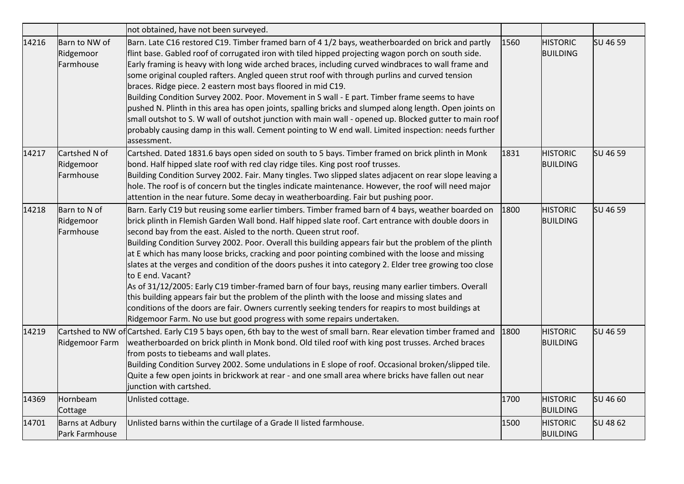|       |                                         | not obtained, have not been surveyed.                                                                                                                                                                                                                                                                                                                                                                                                                                                                                                                                                                                                                                                                                                                                                                                                                                                                                                                                                                                 |      |                                    |          |
|-------|-----------------------------------------|-----------------------------------------------------------------------------------------------------------------------------------------------------------------------------------------------------------------------------------------------------------------------------------------------------------------------------------------------------------------------------------------------------------------------------------------------------------------------------------------------------------------------------------------------------------------------------------------------------------------------------------------------------------------------------------------------------------------------------------------------------------------------------------------------------------------------------------------------------------------------------------------------------------------------------------------------------------------------------------------------------------------------|------|------------------------------------|----------|
| 14216 | Barn to NW of<br>Ridgemoor<br>Farmhouse | Barn. Late C16 restored C19. Timber framed barn of 4 1/2 bays, weatherboarded on brick and partly<br>flint base. Gabled roof of corrugated iron with tiled hipped projecting wagon porch on south side.<br>Early framing is heavy with long wide arched braces, including curved windbraces to wall frame and<br>some original coupled rafters. Angled queen strut roof with through purlins and curved tension<br>braces. Ridge piece. 2 eastern most bays floored in mid C19.<br>Building Condition Survey 2002. Poor. Movement in S wall - E part. Timber frame seems to have<br>pushed N. Plinth in this area has open joints, spalling bricks and slumped along length. Open joints on<br>small outshot to S. W wall of outshot junction with main wall - opened up. Blocked gutter to main roof<br>probably causing damp in this wall. Cement pointing to W end wall. Limited inspection: needs further<br>assessment.                                                                                          | 1560 | <b>HISTORIC</b><br><b>BUILDING</b> | SU 46 59 |
| 14217 | Cartshed N of<br>Ridgemoor<br>Farmhouse | Cartshed. Dated 1831.6 bays open sided on south to 5 bays. Timber framed on brick plinth in Monk<br>bond. Half hipped slate roof with red clay ridge tiles. King post roof trusses.<br>Building Condition Survey 2002. Fair. Many tingles. Two slipped slates adjacent on rear slope leaving a<br>hole. The roof is of concern but the tingles indicate maintenance. However, the roof will need major<br>attention in the near future. Some decay in weatherboarding. Fair but pushing poor.                                                                                                                                                                                                                                                                                                                                                                                                                                                                                                                         | 1831 | <b>HISTORIC</b><br><b>BUILDING</b> | SU 46 59 |
| 14218 | Barn to N of<br>Ridgemoor<br>Farmhouse  | Barn. Early C19 but reusing some earlier timbers. Timber framed barn of 4 bays, weather boarded on<br>brick plinth in Flemish Garden Wall bond. Half hipped slate roof. Cart entrance with double doors in<br>second bay from the east. Aisled to the north. Queen strut roof.<br>Building Condition Survey 2002. Poor. Overall this building appears fair but the problem of the plinth<br>at E which has many loose bricks, cracking and poor pointing combined with the loose and missing<br>slates at the verges and condition of the doors pushes it into category 2. Elder tree growing too close<br>to E end. Vacant?<br>As of 31/12/2005: Early C19 timber-framed barn of four bays, reusing many earlier timbers. Overall<br>this building appears fair but the problem of the plinth with the loose and missing slates and<br>conditions of the doors are fair. Owners currently seeking tenders for reapirs to most buildings at<br>Ridgemoor Farm. No use but good progress with some repairs undertaken. | 1800 | <b>HISTORIC</b><br><b>BUILDING</b> | SU 46 59 |
| 14219 | Ridgemoor Farm                          | Cartshed to NW of Cartshed. Early C19 5 bays open, 6th bay to the west of small barn. Rear elevation timber framed and<br>weatherboarded on brick plinth in Monk bond. Old tiled roof with king post trusses. Arched braces<br>from posts to tiebeams and wall plates.<br>Building Condition Survey 2002. Some undulations in E slope of roof. Occasional broken/slipped tile.<br>Quite a few open joints in brickwork at rear - and one small area where bricks have fallen out near<br>junction with cartshed.                                                                                                                                                                                                                                                                                                                                                                                                                                                                                                      | 1800 | <b>HISTORIC</b><br><b>BUILDING</b> | SU 46 59 |
| 14369 | Hornbeam<br>Cottage                     | Unlisted cottage.                                                                                                                                                                                                                                                                                                                                                                                                                                                                                                                                                                                                                                                                                                                                                                                                                                                                                                                                                                                                     | 1700 | <b>HISTORIC</b><br><b>BUILDING</b> | SU 46 60 |
| 14701 | Barns at Adbury<br>Park Farmhouse       | Unlisted barns within the curtilage of a Grade II listed farmhouse.                                                                                                                                                                                                                                                                                                                                                                                                                                                                                                                                                                                                                                                                                                                                                                                                                                                                                                                                                   | 1500 | <b>HISTORIC</b><br><b>BUILDING</b> | SU 48 62 |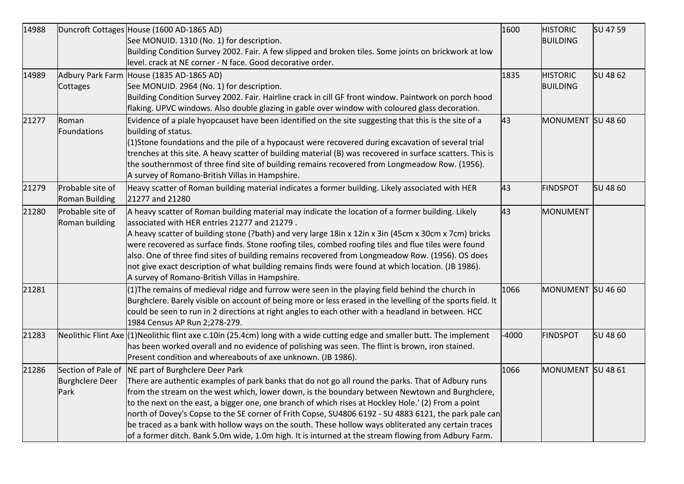| 14988 |                        | Duncroft Cottages House (1600 AD-1865 AD)                                                                                | 1600    | <b>HISTORIC</b>   | SU 47 59 |
|-------|------------------------|--------------------------------------------------------------------------------------------------------------------------|---------|-------------------|----------|
|       |                        | See MONUID. 1310 (No. 1) for description.                                                                                |         | <b>BUILDING</b>   |          |
|       |                        | Building Condition Survey 2002. Fair. A few slipped and broken tiles. Some joints on brickwork at low                    |         |                   |          |
|       |                        | level. crack at NE corner - N face. Good decorative order.                                                               |         |                   |          |
| 14989 |                        | Adbury Park Farm House (1835 AD-1865 AD)                                                                                 | 1835    | <b>HISTORIC</b>   | SU 48 62 |
|       | Cottages               | See MONUID. 2964 (No. 1) for description.                                                                                |         | <b>BUILDING</b>   |          |
|       |                        | Building Condition Survey 2002. Fair. Hairline crack in cill GF front window. Paintwork on porch hood                    |         |                   |          |
|       |                        | flaking. UPVC windows. Also double glazing in gable over window with coloured glass decoration.                          |         |                   |          |
| 21277 | Roman                  | Evidence of a piale hyopcauset have been identified on the site suggesting that this is the site of a                    | 43      | MONUMENT SU 48 60 |          |
|       | Foundations            | building of status.                                                                                                      |         |                   |          |
|       |                        | (1)Stone foundations and the pile of a hypocaust were recovered during excavation of several trial                       |         |                   |          |
|       |                        | trenches at this site. A heavy scatter of building material (B) was recovered in surface scatters. This is               |         |                   |          |
|       |                        | the southernmost of three find site of building remains recovered from Longmeadow Row. (1956).                           |         |                   |          |
|       |                        | A survey of Romano-British Villas in Hampshire.                                                                          |         |                   |          |
| 21279 | Probable site of       | Heavy scatter of Roman building material indicates a former building. Likely associated with HER                         | 43      | <b>FINDSPOT</b>   | SU 48 60 |
|       | Roman Building         | 21277 and 21280                                                                                                          |         |                   |          |
| 21280 | Probable site of       | A heavy scatter of Roman building material may indicate the location of a former building. Likely                        | 43      | MONUMENT          |          |
|       | Roman building         | associated with HER entries 21277 and 21279.                                                                             |         |                   |          |
|       |                        | A heavy scatter of building stone (?bath) and very large 18in x 12in x 3in (45cm x 30cm x 7cm) bricks                    |         |                   |          |
|       |                        | were recovered as surface finds. Stone roofing tiles, combed roofing tiles and flue tiles were found                     |         |                   |          |
|       |                        | also. One of three find sites of building remains recovered from Longmeadow Row. (1956). OS does                         |         |                   |          |
|       |                        | not give exact description of what building remains finds were found at which location. (JB 1986).                       |         |                   |          |
|       |                        | A survey of Romano-British Villas in Hampshire.                                                                          |         |                   |          |
| 21281 |                        | (1) The remains of medieval ridge and furrow were seen in the playing field behind the church in                         | 1066    | MONUMENT SU 46 60 |          |
|       |                        | Burghclere. Barely visible on account of being more or less erased in the levelling of the sports field. It              |         |                   |          |
|       |                        | could be seen to run in 2 directions at right angles to each other with a headland in between. HCC                       |         |                   |          |
|       |                        | 1984 Census AP Run 2;278-279.                                                                                            |         |                   |          |
| 21283 |                        | Neolithic Flint Axe (1)Neolithic flint axe c.10in (25.4cm) long with a wide cutting edge and smaller butt. The implement | $-4000$ | <b>FINDSPOT</b>   | SU 48 60 |
|       |                        | has been worked overall and no evidence of polishing was seen. The flint is brown, iron stained.                         |         |                   |          |
|       |                        | Present condition and whereabouts of axe unknown. (JB 1986).                                                             |         |                   |          |
| 21286 | Section of Pale of     | NE part of Burghclere Deer Park                                                                                          | 1066    | MONUMENT SU 48 61 |          |
|       | <b>Burghclere Deer</b> | There are authentic examples of park banks that do not go all round the parks. That of Adbury runs                       |         |                   |          |
|       | Park                   | from the stream on the west which, lower down, is the boundary between Newtown and Burghclere,                           |         |                   |          |
|       |                        | to the next on the east, a bigger one, one branch of which rises at Hockley Hole.' (2) From a point                      |         |                   |          |
|       |                        | north of Dovey's Copse to the SE corner of Frith Copse, SU4806 6192 - SU 4883 6121, the park pale can                    |         |                   |          |
|       |                        | be traced as a bank with hollow ways on the south. These hollow ways obliterated any certain traces                      |         |                   |          |
|       |                        | of a former ditch. Bank 5.0m wide, 1.0m high. It is inturned at the stream flowing from Adbury Farm.                     |         |                   |          |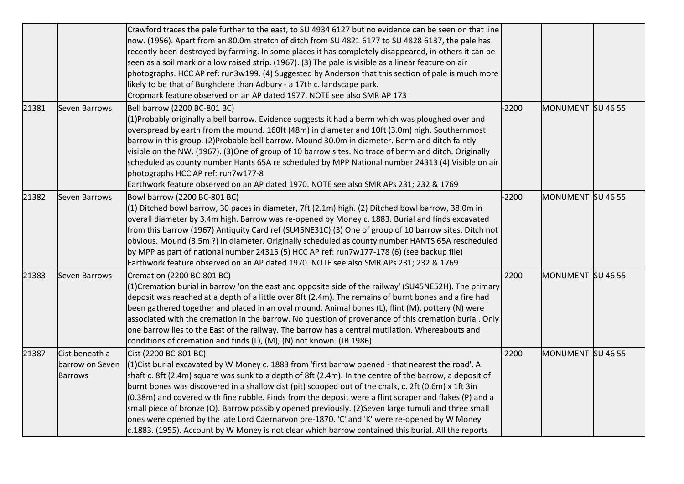|       |                                                     | Crawford traces the pale further to the east, to SU 4934 6127 but no evidence can be seen on that line<br>now. (1956). Apart from an 80.0m stretch of ditch from SU 4821 6177 to SU 4828 6137, the pale has<br>recently been destroyed by farming. In some places it has completely disappeared, in others it can be<br>seen as a soil mark or a low raised strip. (1967). (3) The pale is visible as a linear feature on air<br>photographs. HCC AP ref: run3w199. (4) Suggested by Anderson that this section of pale is much more<br>likely to be that of Burghclere than Adbury - a 17th c. landscape park.<br>Cropmark feature observed on an AP dated 1977. NOTE see also SMR AP 173                                                                                   |         |                   |  |
|-------|-----------------------------------------------------|------------------------------------------------------------------------------------------------------------------------------------------------------------------------------------------------------------------------------------------------------------------------------------------------------------------------------------------------------------------------------------------------------------------------------------------------------------------------------------------------------------------------------------------------------------------------------------------------------------------------------------------------------------------------------------------------------------------------------------------------------------------------------|---------|-------------------|--|
| 21381 | Seven Barrows                                       | Bell barrow (2200 BC-801 BC)<br>$(1)$ Probably originally a bell barrow. Evidence suggests it had a berm which was ploughed over and<br>overspread by earth from the mound. 160ft (48m) in diameter and 10ft (3.0m) high. Southernmost<br>barrow in this group. (2)Probable bell barrow. Mound 30.0m in diameter. Berm and ditch faintly<br>visible on the NW. (1967). (3) One of group of 10 barrow sites. No trace of berm and ditch. Originally<br>scheduled as county number Hants 65A re scheduled by MPP National number 24313 (4) Visible on air<br>photographs HCC AP ref: run7w177-8<br>Earthwork feature observed on an AP dated 1970. NOTE see also SMR APs 231; 232 & 1769                                                                                       | $-2200$ | MONUMENT SU 46 55 |  |
| 21382 | <b>Seven Barrows</b>                                | Bowl barrow (2200 BC-801 BC)<br>$(1)$ Ditched bowl barrow, 30 paces in diameter, 7ft (2.1m) high. (2) Ditched bowl barrow, 38.0m in<br>overall diameter by 3.4m high. Barrow was re-opened by Money c. 1883. Burial and finds excavated<br>from this barrow (1967) Antiquity Card ref (SU45NE31C) (3) One of group of 10 barrow sites. Ditch not<br>obvious. Mound (3.5m?) in diameter. Originally scheduled as county number HANTS 65A rescheduled<br>by MPP as part of national number 24315 (5) HCC AP ref: run7w177-178 (6) (see backup file)<br>Earthwork feature observed on an AP dated 1970. NOTE see also SMR APs 231; 232 & 1769                                                                                                                                   | $-2200$ | MONUMENT SU 46 55 |  |
| 21383 | Seven Barrows                                       | Cremation (2200 BC-801 BC)<br>(1) Cremation burial in barrow 'on the east and opposite side of the railway' (SU45NE52H). The primary<br>deposit was reached at a depth of a little over 8ft (2.4m). The remains of burnt bones and a fire had<br>been gathered together and placed in an oval mound. Animal bones (L), flint (M), pottery (N) were<br>associated with the cremation in the barrow. No question of provenance of this cremation burial. Only<br>one barrow lies to the East of the railway. The barrow has a central mutilation. Whereabouts and<br>conditions of cremation and finds (L), (M), (N) not known. (JB 1986).                                                                                                                                     | $-2200$ | MONUMENT SU 46 55 |  |
| 21387 | Cist beneath a<br>barrow on Seven<br><b>Barrows</b> | Cist (2200 BC-801 BC)<br>$(1)$ Cist burial excavated by W Money c. 1883 from 'first barrow opened - that nearest the road'. A<br>shaft c. 8ft (2.4m) square was sunk to a depth of 8ft (2.4m). In the centre of the barrow, a deposit of<br>burnt bones was discovered in a shallow cist (pit) scooped out of the chalk, c. 2ft (0.6m) x 1ft 3in<br>$(0.38m)$ and covered with fine rubble. Finds from the deposit were a flint scraper and flakes (P) and a<br>small piece of bronze (Q). Barrow possibly opened previously. (2)Seven large tumuli and three small<br>ones were opened by the late Lord Caernarvon pre-1870. 'C' and 'K' were re-opened by W Money<br>$c.1883.$ (1955). Account by W Money is not clear which barrow contained this burial. All the reports | $-2200$ | MONUMENT SU 46 55 |  |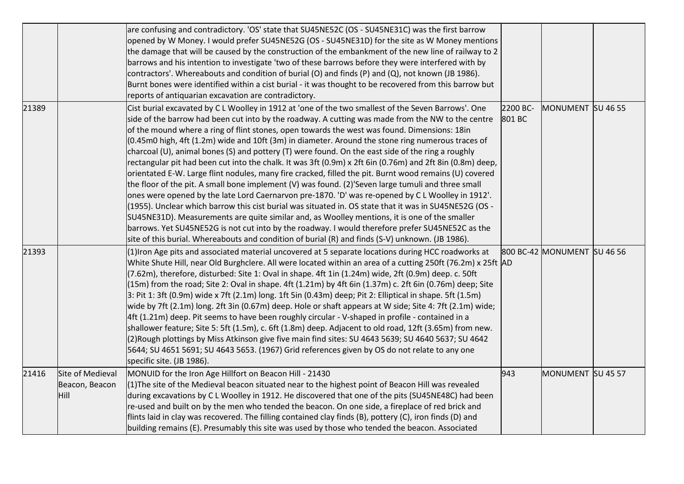|       |                                            | are confusing and contradictory. 'OS' state that SU45NE52C (OS - SU45NE31C) was the first barrow<br>opened by W Money. I would prefer SU45NE52G (OS - SU45NE31D) for the site as W Money mentions<br>the damage that will be caused by the construction of the embankment of the new line of railway to 2<br>barrows and his intention to investigate 'two of these barrows before they were interfered with by<br>contractors'. Whereabouts and condition of burial (O) and finds (P) and (Q), not known (JB 1986).<br>Burnt bones were identified within a cist burial - it was thought to be recovered from this barrow but<br>reports of antiquarian excavation are contradictory.                                                                                                                                                                                                                                                                                                                                                                                                                                                                                                                                                                                                                                                                                        |                    |                             |  |
|-------|--------------------------------------------|-------------------------------------------------------------------------------------------------------------------------------------------------------------------------------------------------------------------------------------------------------------------------------------------------------------------------------------------------------------------------------------------------------------------------------------------------------------------------------------------------------------------------------------------------------------------------------------------------------------------------------------------------------------------------------------------------------------------------------------------------------------------------------------------------------------------------------------------------------------------------------------------------------------------------------------------------------------------------------------------------------------------------------------------------------------------------------------------------------------------------------------------------------------------------------------------------------------------------------------------------------------------------------------------------------------------------------------------------------------------------------|--------------------|-----------------------------|--|
| 21389 |                                            | Cist burial excavated by C L Woolley in 1912 at 'one of the two smallest of the Seven Barrows'. One<br>side of the barrow had been cut into by the roadway. A cutting was made from the NW to the centre<br>of the mound where a ring of flint stones, open towards the west was found. Dimensions: 18in<br>$(0.45$ m0 high, 4ft $(1.2m)$ wide and 10ft $(3m)$ in diameter. Around the stone ring numerous traces of<br>charcoal (U), animal bones (S) and pottery (T) were found. On the east side of the ring a roughly<br>rectangular pit had been cut into the chalk. It was 3ft (0.9m) x 2ft 6in (0.76m) and 2ft 8in (0.8m) deep,<br>orientated E-W. Large flint nodules, many fire cracked, filled the pit. Burnt wood remains (U) covered<br>the floor of the pit. A small bone implement (V) was found. (2)'Seven large tumuli and three small<br>ones were opened by the late Lord Caernarvon pre-1870. 'D' was re-opened by C L Woolley in 1912'.<br>- 1055). Unclear which barrow this cist burial was situated in. OS state that it was in SU45NE52G (OS<br>SU45NE31D). Measurements are quite similar and, as Woolley mentions, it is one of the smaller<br>barrows. Yet SU45NE52G is not cut into by the roadway. I would therefore prefer SU45NE52C as the<br>site of this burial. Whereabouts and condition of burial (R) and finds (S-V) unknown. (JB 1986). | 2200 BC-<br>801 BC | MONUMENT SU 46 55           |  |
| 21393 |                                            | (1) Iron Age pits and associated material uncovered at 5 separate locations during HCC roadworks at<br>White Shute Hill, near Old Burghclere. All were located within an area of a cutting 250ft (76.2m) x 25ft AD<br>(7.62m), therefore, disturbed: Site 1: Oval in shape. 4ft 1in (1.24m) wide, 2ft (0.9m) deep. c. 50ft<br>(15m) from the road; Site 2: Oval in shape. 4ft (1.21m) by 4ft 6in (1.37m) c. 2ft 6in (0.76m) deep; Site<br>$3:$ Pit 1: 3ft (0.9m) wide x 7ft (2.1m) long. 1ft 5in (0.43m) deep; Pit 2: Elliptical in shape. 5ft (1.5m)<br>wide by 7ft (2.1m) long. 2ft 3in (0.67m) deep. Hole or shaft appears at W side; Site 4: 7ft (2.1m) wide;<br>4ft (1.21m) deep. Pit seems to have been roughly circular - V-shaped in profile - contained in a<br>shallower feature; Site 5: 5ft (1.5m), c. 6ft (1.8m) deep. Adjacent to old road, 12ft (3.65m) from new.<br>(2) Rough plottings by Miss Atkinson give five main find sites: SU 4643 5639; SU 4640 5637; SU 4642<br>5644; SU 4651 5691; SU 4643 5653. (1967) Grid references given by OS do not relate to any one<br>specific site. (JB 1986).                                                                                                                                                                                                                                                         |                    | 800 BC-42 MONUMENT SU 46 56 |  |
| 21416 | Site of Medieval<br>Beacon, Beacon<br>Hill | MONUID for the Iron Age Hillfort on Beacon Hill - 21430<br>$(1)$ The site of the Medieval beacon situated near to the highest point of Beacon Hill was revealed<br>during excavations by C L Woolley in 1912. He discovered that one of the pits (SU45NE48C) had been<br>re-used and built on by the men who tended the beacon. On one side, a fireplace of red brick and<br>flints laid in clay was recovered. The filling contained clay finds (B), pottery (C), iron finds (D) and<br>building remains (E). Presumably this site was used by those who tended the beacon. Associated                                                                                                                                                                                                                                                                                                                                                                                                                                                                                                                                                                                                                                                                                                                                                                                       | 943                | MONUMENT SU 45 57           |  |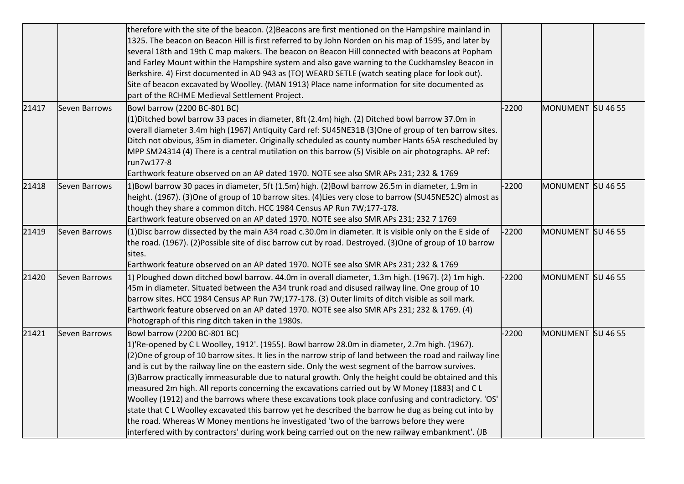|       |               | therefore with the site of the beacon. (2) Beacons are first mentioned on the Hampshire mainland in<br>1325. The beacon on Beacon Hill is first referred to by John Norden on his map of 1595, and later by<br>several 18th and 19th C map makers. The beacon on Beacon Hill connected with beacons at Popham<br>and Farley Mount within the Hampshire system and also gave warning to the Cuckhamsley Beacon in<br>Berkshire. 4) First documented in AD 943 as (TO) WEARD SETLE (watch seating place for look out).<br>Site of beacon excavated by Woolley. (MAN 1913) Place name information for site documented as<br>part of the RCHME Medieval Settlement Project.                                                                                                                                                                                                                                                                                                 |         |                   |  |
|-------|---------------|-------------------------------------------------------------------------------------------------------------------------------------------------------------------------------------------------------------------------------------------------------------------------------------------------------------------------------------------------------------------------------------------------------------------------------------------------------------------------------------------------------------------------------------------------------------------------------------------------------------------------------------------------------------------------------------------------------------------------------------------------------------------------------------------------------------------------------------------------------------------------------------------------------------------------------------------------------------------------|---------|-------------------|--|
| 21417 | Seven Barrows | Bowl barrow (2200 BC-801 BC)<br>(1) Ditched bowl barrow 33 paces in diameter, 8ft (2.4m) high. (2) Ditched bowl barrow 37.0m in<br>overall diameter 3.4m high (1967) Antiquity Card ref: SU45NE31B (3)One of group of ten barrow sites.<br>Ditch not obvious, 35m in diameter. Originally scheduled as county number Hants 65A rescheduled by<br>MPP SM24314 (4) There is a central mutilation on this barrow (5) Visible on air photographs. AP ref:<br>run7w177-8<br>Earthwork feature observed on an AP dated 1970. NOTE see also SMR APs 231; 232 & 1769                                                                                                                                                                                                                                                                                                                                                                                                            | $-2200$ | MONUMENT SU 46 55 |  |
| 21418 | Seven Barrows | 1)Bowl barrow 30 paces in diameter, 5ft (1.5m) high. (2)Bowl barrow 26.5m in diameter, 1.9m in<br>height. (1967). (3)One of group of 10 barrow sites. (4)Lies very close to barrow (SU45NE52C) almost as<br>though they share a common ditch. HCC 1984 Census AP Run 7W;177-178.<br>Earthwork feature observed on an AP dated 1970. NOTE see also SMR APs 231; 232 7 1769                                                                                                                                                                                                                                                                                                                                                                                                                                                                                                                                                                                               | $-2200$ | MONUMENT SU 46 55 |  |
| 21419 | Seven Barrows | $(1)$ Disc barrow dissected by the main A34 road c.30.0m in diameter. It is visible only on the E side of<br>the road. (1967). (2)Possible site of disc barrow cut by road. Destroyed. (3)One of group of 10 barrow<br>sites.<br>Earthwork feature observed on an AP dated 1970. NOTE see also SMR APs 231; 232 & 1769                                                                                                                                                                                                                                                                                                                                                                                                                                                                                                                                                                                                                                                  | $-2200$ | MONUMENT SU 46 55 |  |
| 21420 | Seven Barrows | 1) Ploughed down ditched bowl barrow. 44.0m in overall diameter, 1.3m high. (1967). (2) 1m high.<br>45m in diameter. Situated between the A34 trunk road and disused railway line. One group of 10<br>barrow sites. HCC 1984 Census AP Run 7W;177-178. (3) Outer limits of ditch visible as soil mark.<br>Earthwork feature observed on an AP dated 1970. NOTE see also SMR APs 231; 232 & 1769. (4)<br>Photograph of this ring ditch taken in the 1980s.                                                                                                                                                                                                                                                                                                                                                                                                                                                                                                               | $-2200$ | MONUMENT SU 46 55 |  |
| 21421 | Seven Barrows | Bowl barrow (2200 BC-801 BC)<br>1)'Re-opened by CL Woolley, 1912'. (1955). Bowl barrow 28.0m in diameter, 2.7m high. (1967).<br>(2) One of group of 10 barrow sites. It lies in the narrow strip of land between the road and railway line<br>and is cut by the railway line on the eastern side. Only the west segment of the barrow survives.<br>(3)Barrow practically immeasurable due to natural growth. Only the height could be obtained and this<br>measured 2m high. All reports concerning the excavations carried out by W Money (1883) and C L<br>Woolley (1912) and the barrows where these excavations took place confusing and contradictory. 'OS'<br>state that CL Woolley excavated this barrow yet he described the barrow he dug as being cut into by<br>the road. Whereas W Money mentions he investigated 'two of the barrows before they were<br>interfered with by contractors' during work being carried out on the new railway embankment'. (JB | $-2200$ | MONUMENT SU 46 55 |  |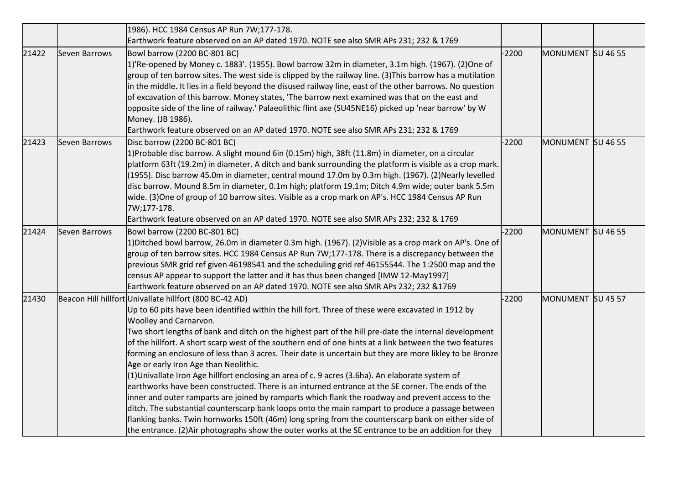|       |               | 1986). HCC 1984 Census AP Run 7W;177-178.                                                                                                                                                                                                                                                                                                                                                                                                                                                                                                                                                                                                                                                                                                                                                                                                                                                                                                                                                                                                                                                                                                                                                        |         |                   |  |
|-------|---------------|--------------------------------------------------------------------------------------------------------------------------------------------------------------------------------------------------------------------------------------------------------------------------------------------------------------------------------------------------------------------------------------------------------------------------------------------------------------------------------------------------------------------------------------------------------------------------------------------------------------------------------------------------------------------------------------------------------------------------------------------------------------------------------------------------------------------------------------------------------------------------------------------------------------------------------------------------------------------------------------------------------------------------------------------------------------------------------------------------------------------------------------------------------------------------------------------------|---------|-------------------|--|
|       |               | Earthwork feature observed on an AP dated 1970. NOTE see also SMR APs 231; 232 & 1769                                                                                                                                                                                                                                                                                                                                                                                                                                                                                                                                                                                                                                                                                                                                                                                                                                                                                                                                                                                                                                                                                                            |         |                   |  |
| 21422 | Seven Barrows | Bowl barrow (2200 BC-801 BC)<br>1)'Re-opened by Money c. 1883'. (1955). Bowl barrow 32m in diameter, 3.1m high. (1967). (2)One of<br>group of ten barrow sites. The west side is clipped by the railway line. (3) This barrow has a mutilation<br>in the middle. It lies in a field beyond the disused railway line, east of the other barrows. No question<br>of excavation of this barrow. Money states, 'The barrow next examined was that on the east and<br>opposite side of the line of railway.' Palaeolithic flint axe (SU45NE16) picked up 'near barrow' by W<br>Money. (JB 1986).<br>Earthwork feature observed on an AP dated 1970. NOTE see also SMR APs 231; 232 & 1769                                                                                                                                                                                                                                                                                                                                                                                                                                                                                                             | $-2200$ | MONUMENT SU 46 55 |  |
| 21423 | Seven Barrows | Disc barrow (2200 BC-801 BC)<br>1)Probable disc barrow. A slight mound 6in (0.15m) high, 38ft (11.8m) in diameter, on a circular<br>platform 63ft (19.2m) in diameter. A ditch and bank surrounding the platform is visible as a crop mark.<br>(1955). Disc barrow 45.0m in diameter, central mound 17.0m by 0.3m high. (1967). (2) Nearly levelled<br>disc barrow. Mound 8.5m in diameter, 0.1m high; platform 19.1m; Ditch 4.9m wide; outer bank 5.5m<br>wide. (3) One of group of 10 barrow sites. Visible as a crop mark on AP's. HCC 1984 Census AP Run<br>7W;177-178.<br>Earthwork feature observed on an AP dated 1970. NOTE see also SMR APs 232; 232 & 1769                                                                                                                                                                                                                                                                                                                                                                                                                                                                                                                             | $-2200$ | MONUMENT SU 46 55 |  |
| 21424 | Seven Barrows | Bowl barrow (2200 BC-801 BC)<br>1) Ditched bowl barrow, 26.0m in diameter 0.3m high. (1967). (2) Visible as a crop mark on AP's. One of<br>group of ten barrow sites. HCC 1984 Census AP Run 7W;177-178. There is a discrepancy between the<br>previous SMR grid ref given 46198541 and the scheduling grid ref 46155544. The 1:2500 map and the<br>census AP appear to support the latter and it has thus been changed [IMW 12-May1997]<br>Earthwork feature observed on an AP dated 1970. NOTE see also SMR APs 232; 232 &1769                                                                                                                                                                                                                                                                                                                                                                                                                                                                                                                                                                                                                                                                 | $-2200$ | MONUMENT SU 46 55 |  |
| 21430 |               | Beacon Hill hillfort Univallate hillfort (800 BC-42 AD)<br>Up to 60 pits have been identified within the hill fort. Three of these were excavated in 1912 by<br>Woolley and Carnarvon.<br>Two short lengths of bank and ditch on the highest part of the hill pre-date the internal development<br>of the hillfort. A short scarp west of the southern end of one hints at a link between the two features<br>forming an enclosure of less than 3 acres. Their date is uncertain but they are more likley to be Bronze<br>Age or early Iron Age than Neolithic.<br>(1)Univallate Iron Age hillfort enclosing an area of c. 9 acres (3.6ha). An elaborate system of<br>earthworks have been constructed. There is an inturned entrance at the SE corner. The ends of the<br>inner and outer ramparts are joined by ramparts which flank the roadway and prevent access to the<br>ditch. The substantial counterscarp bank loops onto the main rampart to produce a passage between<br>flanking banks. Twin hornworks 150ft (46m) long spring from the counterscarp bank on either side of<br>the entrance. (2) Air photographs show the outer works at the SE entrance to be an addition for they | $-2200$ | MONUMENT SU 45 57 |  |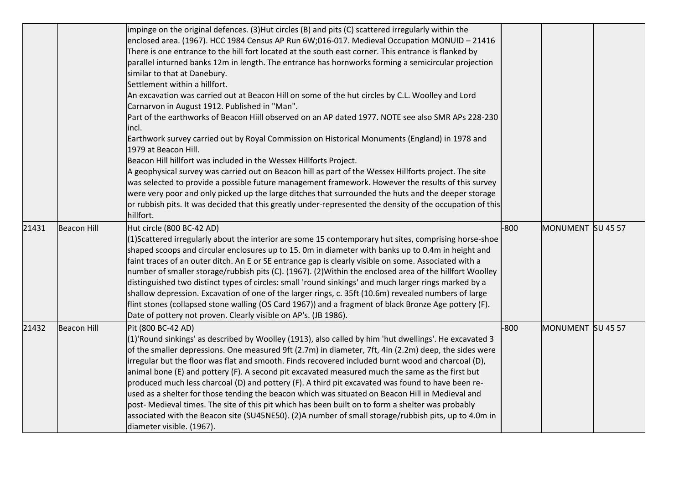|       |                    | impinge on the original defences. (3)Hut circles (B) and pits (C) scattered irregularly within the<br>enclosed area. (1967). HCC 1984 Census AP Run 6W;016-017. Medieval Occupation MONUID - 21416<br>There is one entrance to the hill fort located at the south east corner. This entrance is flanked by<br>parallel inturned banks 12m in length. The entrance has hornworks forming a semicircular projection<br>similar to that at Danebury.<br>Settlement within a hillfort.<br>An excavation was carried out at Beacon Hill on some of the hut circles by C.L. Woolley and Lord<br>Carnarvon in August 1912. Published in "Man".<br>Part of the earthworks of Beacon Hiill observed on an AP dated 1977. NOTE see also SMR APs 228-230<br>lincl.<br>Earthwork survey carried out by Royal Commission on Historical Monuments (England) in 1978 and<br>1979 at Beacon Hill.<br>Beacon Hill hillfort was included in the Wessex Hillforts Project.<br>A geophysical survey was carried out on Beacon hill as part of the Wessex Hillforts project. The site<br>was selected to provide a possible future management framework. However the results of this survey<br>were very poor and only picked up the large ditches that surrounded the huts and the deeper storage<br>or rubbish pits. It was decided that this greatly under-represented the density of the occupation of this<br>hillfort. |        |                   |  |
|-------|--------------------|---------------------------------------------------------------------------------------------------------------------------------------------------------------------------------------------------------------------------------------------------------------------------------------------------------------------------------------------------------------------------------------------------------------------------------------------------------------------------------------------------------------------------------------------------------------------------------------------------------------------------------------------------------------------------------------------------------------------------------------------------------------------------------------------------------------------------------------------------------------------------------------------------------------------------------------------------------------------------------------------------------------------------------------------------------------------------------------------------------------------------------------------------------------------------------------------------------------------------------------------------------------------------------------------------------------------------------------------------------------------------------------------------------|--------|-------------------|--|
| 21431 | <b>Beacon Hill</b> | Hut circle (800 BC-42 AD)<br>$(1)$ Scattered irregularly about the interior are some 15 contemporary hut sites, comprising horse-shoe<br>shaped scoops and circular enclosures up to 15. Om in diameter with banks up to 0.4m in height and<br>faint traces of an outer ditch. An E or SE entrance gap is clearly visible on some. Associated with a<br>number of smaller storage/rubbish pits (C). (1967). (2) Within the enclosed area of the hillfort Woolley<br>distinguished two distinct types of circles: small 'round sinkings' and much larger rings marked by a<br>shallow depression. Excavation of one of the larger rings, c. 35ft (10.6m) revealed numbers of large<br>flint stones (collapsed stone walling (OS Card 1967)) and a fragment of black Bronze Age pottery (F).<br>Date of pottery not proven. Clearly visible on AP's. (JB 1986).                                                                                                                                                                                                                                                                                                                                                                                                                                                                                                                                           | $-800$ | MONUMENT SU 45 57 |  |
| 21432 | <b>Beacon Hill</b> | Pit (800 BC-42 AD)<br>(1)'Round sinkings' as described by Woolley (1913), also called by him 'hut dwellings'. He excavated 3<br>of the smaller depressions. One measured 9ft (2.7m) in diameter, 7ft, 4in (2.2m) deep, the sides were<br>irregular but the floor was flat and smooth. Finds recovered included burnt wood and charcoal (D),<br>animal bone (E) and pottery (F). A second pit excavated measured much the same as the first but<br>produced much less charcoal (D) and pottery (F). A third pit excavated was found to have been re-<br>used as a shelter for those tending the beacon which was situated on Beacon Hill in Medieval and<br>post- Medieval times. The site of this pit which has been built on to form a shelter was probably<br>associated with the Beacon site (SU45NE50). (2)A number of small storage/rubbish pits, up to 4.0m in<br>diameter visible. (1967).                                                                                                                                                                                                                                                                                                                                                                                                                                                                                                       | $-800$ | MONUMENT SU 45 57 |  |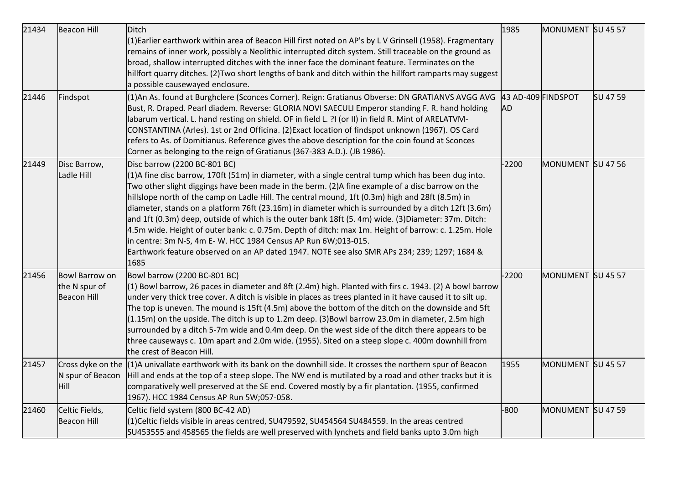| 21434 | <b>Beacon Hill</b>                                    | Ditch                                                                                                                                                                                                                                                                                                                                                                                                                                                                                                                                                                                                                                                                                                                                                                                                                                   | 1985                            | MONUMENT SU 45 57 |          |
|-------|-------------------------------------------------------|-----------------------------------------------------------------------------------------------------------------------------------------------------------------------------------------------------------------------------------------------------------------------------------------------------------------------------------------------------------------------------------------------------------------------------------------------------------------------------------------------------------------------------------------------------------------------------------------------------------------------------------------------------------------------------------------------------------------------------------------------------------------------------------------------------------------------------------------|---------------------------------|-------------------|----------|
|       |                                                       | (1) Earlier earthwork within area of Beacon Hill first noted on AP's by L V Grinsell (1958). Fragmentary<br>remains of inner work, possibly a Neolithic interrupted ditch system. Still traceable on the ground as<br>broad, shallow interrupted ditches with the inner face the dominant feature. Terminates on the<br>hillfort quarry ditches. (2) Two short lengths of bank and ditch within the hillfort ramparts may suggest<br>a possible causewayed enclosure.                                                                                                                                                                                                                                                                                                                                                                   |                                 |                   |          |
| 21446 | Findspot                                              | (1)An As. found at Burghclere (Sconces Corner). Reign: Gratianus Obverse: DN GRATIANVS AVGG AVG<br>Bust, R. Draped. Pearl diadem. Reverse: GLORIA NOVI SAECULI Emperor standing F. R. hand holding<br>labarum vertical. L. hand resting on shield. OF in field L. ?I (or II) in field R. Mint of ARELATVM-<br>CONSTANTINA (Arles). 1st or 2nd Officina. (2) Exact location of findspot unknown (1967). OS Card<br>refers to As. of Domitianus. Reference gives the above description for the coin found at Sconces<br>Corner as belonging to the reign of Gratianus (367-383 A.D.). (JB 1986).                                                                                                                                                                                                                                          | 43 AD-409 FINDSPOT<br><b>AD</b> |                   | SU 47 59 |
| 21449 | Disc Barrow,<br>Ladle Hill                            | Disc barrow (2200 BC-801 BC)<br>(1)A fine disc barrow, 170ft (51m) in diameter, with a single central tump which has been dug into.<br>Two other slight diggings have been made in the berm. (2)A fine example of a disc barrow on the<br>hillslope north of the camp on Ladle Hill. The central mound, 1ft (0.3m) high and 28ft (8.5m) in<br>diameter, stands on a platform 76ft (23.16m) in diameter which is surrounded by a ditch 12ft (3.6m)<br>and 1ft (0.3m) deep, outside of which is the outer bank 18ft (5.4m) wide. (3)Diameter: 37m. Ditch:<br>4.5m wide. Height of outer bank: c. 0.75m. Depth of ditch: max 1m. Height of barrow: c. 1.25m. Hole<br>in centre: 3m N-S, 4m E-W. HCC 1984 Census AP Run 6W;013-015.<br>Earthwork feature observed on an AP dated 1947. NOTE see also SMR APs 234; 239; 1297; 1684 &<br>1685 | $-2200$                         | MONUMENT SU 47 56 |          |
| 21456 | Bowl Barrow on<br>the N spur of<br><b>Beacon Hill</b> | Bowl barrow (2200 BC-801 BC)<br>$(1)$ Bowl barrow, 26 paces in diameter and 8ft (2.4m) high. Planted with firs c. 1943. (2) A bowl barrow<br>under very thick tree cover. A ditch is visible in places as trees planted in it have caused it to silt up.<br>The top is uneven. The mound is 15ft (4.5m) above the bottom of the ditch on the downside and 5ft<br>(1.15m) on the upside. The ditch is up to 1.2m deep. (3)Bowl barrow 23.0m in diameter, 2.5m high<br>surrounded by a ditch 5-7m wide and 0.4m deep. On the west side of the ditch there appears to be<br>three causeways c. 10m apart and 2.0m wide. (1955). Sited on a steep slope c. 400m downhill from<br>the crest of Beacon Hill.                                                                                                                                  | $-2200$                         | MONUMENT SU 45 57 |          |
| 21457 | Cross dyke on the<br>N spur of Beacon<br>Hill         | $(1)$ A univallate earthwork with its bank on the downhill side. It crosses the northern spur of Beacon<br>Hill and ends at the top of a steep slope. The NW end is mutilated by a road and other tracks but it is<br>comparatively well preserved at the SE end. Covered mostly by a fir plantation. (1955, confirmed<br>1967). HCC 1984 Census AP Run 5W;057-058.                                                                                                                                                                                                                                                                                                                                                                                                                                                                     | 1955                            | MONUMENT SU 45 57 |          |
| 21460 | Celtic Fields,<br><b>Beacon Hill</b>                  | Celtic field system (800 BC-42 AD)<br>(1)Celtic fields visible in areas centred, SU479592, SU454564 SU484559. In the areas centred<br>SU453555 and 458565 the fields are well preserved with lynchets and field banks upto 3.0m high                                                                                                                                                                                                                                                                                                                                                                                                                                                                                                                                                                                                    | $-800$                          | MONUMENT SU 47 59 |          |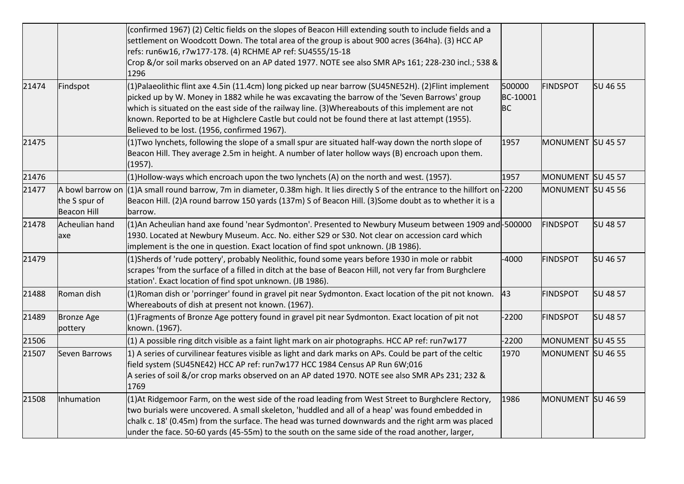|       |                                                         | (confirmed 1967) (2) Celtic fields on the slopes of Beacon Hill extending south to include fields and a<br>settlement on Woodcott Down. The total area of the group is about 900 acres (364ha). (3) HCC AP<br>refs: run6w16, r7w177-178. (4) RCHME AP ref: SU4555/15-18<br>Crop &/or soil marks observed on an AP dated 1977. NOTE see also SMR APs 161; 228-230 incl.; 538 &<br>1296                                                                       |                                 |                   |                 |
|-------|---------------------------------------------------------|-------------------------------------------------------------------------------------------------------------------------------------------------------------------------------------------------------------------------------------------------------------------------------------------------------------------------------------------------------------------------------------------------------------------------------------------------------------|---------------------------------|-------------------|-----------------|
| 21474 | Findspot                                                | (1)Palaeolithic flint axe 4.5in (11.4cm) long picked up near barrow (SU45NE52H). (2)Flint implement<br>picked up by W. Money in 1882 while he was excavating the barrow of the 'Seven Barrows' group<br>which is situated on the east side of the railway line. (3) Whereabouts of this implement are not<br>known. Reported to be at Highclere Castle but could not be found there at last attempt (1955).<br>Believed to be lost. (1956, confirmed 1967). | 500000<br>BC-10001<br><b>BC</b> | <b>FINDSPOT</b>   | SU 46 55        |
| 21475 |                                                         | (1) Two lynchets, following the slope of a small spur are situated half-way down the north slope of<br>Beacon Hill. They average 2.5m in height. A number of later hollow ways (B) encroach upon them.<br>(1957).                                                                                                                                                                                                                                           | 1957                            | MONUMENT SU 45 57 |                 |
| 21476 |                                                         | (1)Hollow-ways which encroach upon the two lynchets (A) on the north and west. (1957).                                                                                                                                                                                                                                                                                                                                                                      | 1957                            | MONUMENT SU 45 57 |                 |
| 21477 | A bowl barrow on<br>the S spur of<br><b>Beacon Hill</b> | $(1)$ A small round barrow, 7m in diameter, 0.38m high. It lies directly S of the entrance to the hillfort on -2200<br>Beacon Hill. (2)A round barrow 150 yards (137m) S of Beacon Hill. (3)Some doubt as to whether it is a<br>barrow.                                                                                                                                                                                                                     |                                 | MONUMENT SU 45 56 |                 |
| 21478 | Acheulian hand<br>axe                                   | (1)An Acheulian hand axe found 'near Sydmonton'. Presented to Newbury Museum between 1909 and - 500000<br>1930. Located at Newbury Museum. Acc. No. either S29 or S30. Not clear on accession card which<br>implement is the one in question. Exact location of find spot unknown. (JB 1986).                                                                                                                                                               |                                 | <b>FINDSPOT</b>   | <b>SU 48 57</b> |
| 21479 |                                                         | (1)Sherds of 'rude pottery', probably Neolithic, found some years before 1930 in mole or rabbit<br>scrapes 'from the surface of a filled in ditch at the base of Beacon Hill, not very far from Burghclere<br>station'. Exact location of find spot unknown. (JB 1986).                                                                                                                                                                                     | $-4000$                         | <b>FINDSPOT</b>   | SU 46 57        |
| 21488 | Roman dish                                              | (1) Roman dish or 'porringer' found in gravel pit near Sydmonton. Exact location of the pit not known.<br>Whereabouts of dish at present not known. (1967).                                                                                                                                                                                                                                                                                                 | 43                              | <b>FINDSPOT</b>   | SU 48 57        |
| 21489 | <b>Bronze Age</b><br>pottery                            | (1) Fragments of Bronze Age pottery found in gravel pit near Sydmonton. Exact location of pit not<br>known. (1967).                                                                                                                                                                                                                                                                                                                                         | $-2200$                         | <b>FINDSPOT</b>   | SU 48 57        |
| 21506 |                                                         | (1) A possible ring ditch visible as a faint light mark on air photographs. HCC AP ref: run7w177                                                                                                                                                                                                                                                                                                                                                            | $-2200$                         | MONUMENT SU 45 55 |                 |
| 21507 | Seven Barrows                                           | $ 1\rangle$ A series of curvilinear features visible as light and dark marks on APs. Could be part of the celtic<br>field system (SU45NE42) HCC AP ref: run7w177 HCC 1984 Census AP Run 6W;016<br>A series of soil &/or crop marks observed on an AP dated 1970. NOTE see also SMR APs 231; 232 &<br>1769                                                                                                                                                   | 1970                            | MONUMENT SU 46 55 |                 |
| 21508 | Inhumation                                              | (1) At Ridgemoor Farm, on the west side of the road leading from West Street to Burghclere Rectory,<br>two burials were uncovered. A small skeleton, 'huddled and all of a heap' was found embedded in<br>chalk c. 18' (0.45m) from the surface. The head was turned downwards and the right arm was placed<br>under the face. 50-60 yards (45-55m) to the south on the same side of the road another, larger,                                              | 1986                            | MONUMENT SU 46 59 |                 |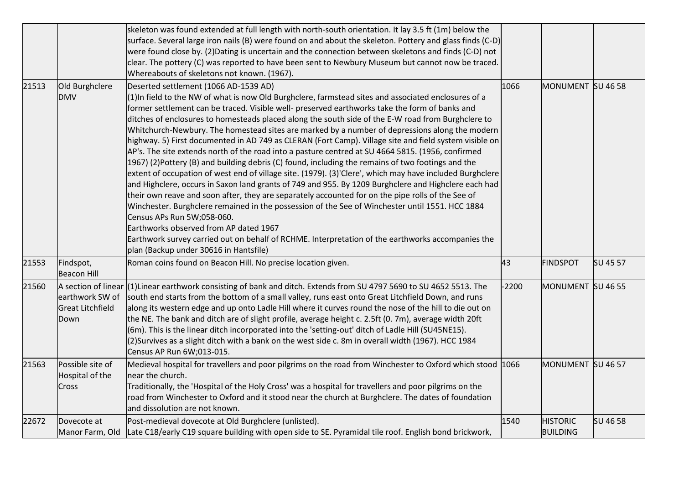|       |                                                                           | skeleton was found extended at full length with north-south orientation. It lay 3.5 ft (1m) below the<br>surface. Several large iron nails (B) were found on and about the skeleton. Pottery and glass finds (C-D)<br>were found close by. (2) Dating is uncertain and the connection between skeletons and finds (C-D) not<br>clear. The pottery (C) was reported to have been sent to Newbury Museum but cannot now be traced.<br>Whereabouts of skeletons not known. (1967).                                                                                                                                                                                                                                                                                                                                                                                                                                                                                                                                                                                                                                                                                                                                                                                                                                                                                                                                                   |         |                                    |          |
|-------|---------------------------------------------------------------------------|-----------------------------------------------------------------------------------------------------------------------------------------------------------------------------------------------------------------------------------------------------------------------------------------------------------------------------------------------------------------------------------------------------------------------------------------------------------------------------------------------------------------------------------------------------------------------------------------------------------------------------------------------------------------------------------------------------------------------------------------------------------------------------------------------------------------------------------------------------------------------------------------------------------------------------------------------------------------------------------------------------------------------------------------------------------------------------------------------------------------------------------------------------------------------------------------------------------------------------------------------------------------------------------------------------------------------------------------------------------------------------------------------------------------------------------|---------|------------------------------------|----------|
| 21513 | Old Burghclere<br><b>DMV</b>                                              | Deserted settlement (1066 AD-1539 AD)<br>$(1)$ In field to the NW of what is now Old Burghclere, farmstead sites and associated enclosures of a<br>former settlement can be traced. Visible well- preserved earthworks take the form of banks and<br>ditches of enclosures to homesteads placed along the south side of the E-W road from Burghclere to<br>Whitchurch-Newbury. The homestead sites are marked by a number of depressions along the modern<br>highway. 5) First documented in AD 749 as CLERAN (Fort Camp). Village site and field system visible on<br>AP's. The site extends north of the road into a pasture centred at SU 4664 5815. (1956, confirmed<br>[1967] (2)Pottery (B) and building debris (C) found, including the remains of two footings and the<br>extent of occupation of west end of village site. (1979). (3)'Clere', which may have included Burghclere<br>and Highclere, occurs in Saxon land grants of 749 and 955. By 1209 Burghclere and Highclere each had<br>their own reave and soon after, they are separately accounted for on the pipe rolls of the See of<br>Winchester. Burghclere remained in the possession of the See of Winchester until 1551. HCC 1884<br>Census APs Run 5W;058-060.<br>Earthworks observed from AP dated 1967<br>Earthwork survey carried out on behalf of RCHME. Interpretation of the earthworks accompanies the<br>plan (Backup under 30616 in Hantsfile) | 1066    | MONUMENT SU 46 58                  |          |
| 21553 | Findspot,<br><b>Beacon Hill</b>                                           | Roman coins found on Beacon Hill. No precise location given.                                                                                                                                                                                                                                                                                                                                                                                                                                                                                                                                                                                                                                                                                                                                                                                                                                                                                                                                                                                                                                                                                                                                                                                                                                                                                                                                                                      | 43      | <b>FINDSPOT</b>                    | SU 45 57 |
| 21560 | A section of linear<br>earthwork SW of<br><b>Great Litchfield</b><br>Down | (1) Linear earthwork consisting of bank and ditch. Extends from SU 4797 5690 to SU 4652 5513. The<br>south end starts from the bottom of a small valley, runs east onto Great Litchfield Down, and runs<br>along its western edge and up onto Ladle Hill where it curves round the nose of the hill to die out on<br>the NE. The bank and ditch are of slight profile, average height c. 2.5ft (0. 7m), average width 20ft<br>(6m). This is the linear ditch incorporated into the 'setting-out' ditch of Ladle Hill (SU45NE15).<br>(2)Survives as a slight ditch with a bank on the west side c. 8m in overall width (1967). HCC 1984<br>Census AP Run 6W;013-015.                                                                                                                                                                                                                                                                                                                                                                                                                                                                                                                                                                                                                                                                                                                                                               | $-2200$ | MONUMENT SU 46 55                  |          |
| 21563 | Possible site of<br>Hospital of the<br>Cross                              | Medieval hospital for travellers and poor pilgrims on the road from Winchester to Oxford which stood 1066<br>near the church.<br>Traditionally, the 'Hospital of the Holy Cross' was a hospital for travellers and poor pilgrims on the<br>road from Winchester to Oxford and it stood near the church at Burghclere. The dates of foundation<br>and dissolution are not known.                                                                                                                                                                                                                                                                                                                                                                                                                                                                                                                                                                                                                                                                                                                                                                                                                                                                                                                                                                                                                                                   |         | MONUMENT SU 46 57                  |          |
| 22672 | Dovecote at<br>Manor Farm, Old                                            | Post-medieval dovecote at Old Burghclere (unlisted).<br>Late C18/early C19 square building with open side to SE. Pyramidal tile roof. English bond brickwork,                                                                                                                                                                                                                                                                                                                                                                                                                                                                                                                                                                                                                                                                                                                                                                                                                                                                                                                                                                                                                                                                                                                                                                                                                                                                     | 1540    | <b>HISTORIC</b><br><b>BUILDING</b> | SU 46 58 |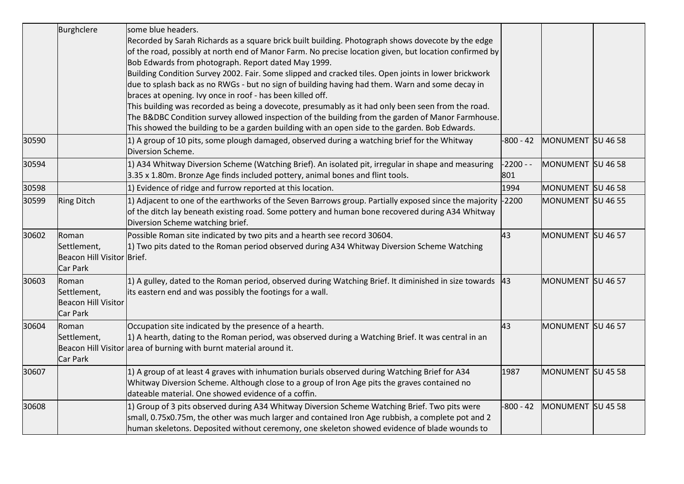|       | Burghclere                                                     | some blue headers.<br>Recorded by Sarah Richards as a square brick built building. Photograph shows dovecote by the edge<br>of the road, possibly at north end of Manor Farm. No precise location given, but location confirmed by<br>Bob Edwards from photograph. Report dated May 1999.<br>Building Condition Survey 2002. Fair. Some slipped and cracked tiles. Open joints in lower brickwork<br>due to splash back as no RWGs - but no sign of building having had them. Warn and some decay in<br>braces at opening. Ivy once in roof - has been killed off.<br>This building was recorded as being a dovecote, presumably as it had only been seen from the road.<br>The B&DBC Condition survey allowed inspection of the building from the garden of Manor Farmhouse. |                  |                   |  |
|-------|----------------------------------------------------------------|-------------------------------------------------------------------------------------------------------------------------------------------------------------------------------------------------------------------------------------------------------------------------------------------------------------------------------------------------------------------------------------------------------------------------------------------------------------------------------------------------------------------------------------------------------------------------------------------------------------------------------------------------------------------------------------------------------------------------------------------------------------------------------|------------------|-------------------|--|
| 30590 |                                                                | This showed the building to be a garden building with an open side to the garden. Bob Edwards.<br>1) A group of 10 pits, some plough damaged, observed during a watching brief for the Whitway<br>Diversion Scheme.                                                                                                                                                                                                                                                                                                                                                                                                                                                                                                                                                           | $-800 - 42$      | MONUMENT SU 46 58 |  |
| 30594 |                                                                | 1) A34 Whitway Diversion Scheme (Watching Brief). An isolated pit, irregular in shape and measuring<br>3.35 x 1.80m. Bronze Age finds included pottery, animal bones and flint tools.                                                                                                                                                                                                                                                                                                                                                                                                                                                                                                                                                                                         | $-2200 -$<br>801 | MONUMENT SU 46 58 |  |
| 30598 |                                                                | 1) Evidence of ridge and furrow reported at this location.                                                                                                                                                                                                                                                                                                                                                                                                                                                                                                                                                                                                                                                                                                                    | 1994             | MONUMENT SU 46 58 |  |
| 30599 | <b>Ring Ditch</b>                                              | 1) Adjacent to one of the earthworks of the Seven Barrows group. Partially exposed since the majority<br>of the ditch lay beneath existing road. Some pottery and human bone recovered during A34 Whitway<br>Diversion Scheme watching brief.                                                                                                                                                                                                                                                                                                                                                                                                                                                                                                                                 | $-2200$          | MONUMENT SU 46 55 |  |
| 30602 | Roman<br>Settlement,<br>Beacon Hill Visitor Brief.<br>Car Park | Possible Roman site indicated by two pits and a hearth see record 30604.<br>1) Two pits dated to the Roman period observed during A34 Whitway Diversion Scheme Watching                                                                                                                                                                                                                                                                                                                                                                                                                                                                                                                                                                                                       | 43               | MONUMENT SU 46 57 |  |
| 30603 | Roman<br>Settlement,<br><b>Beacon Hill Visitor</b><br>Car Park | 1) A gulley, dated to the Roman period, observed during Watching Brief. It diminished in size towards $ 43 $<br>its eastern end and was possibly the footings for a wall.                                                                                                                                                                                                                                                                                                                                                                                                                                                                                                                                                                                                     |                  | MONUMENT SU 46 57 |  |
| 30604 | Roman<br>Settlement,<br>Car Park                               | Occupation site indicated by the presence of a hearth.<br>1) A hearth, dating to the Roman period, was observed during a Watching Brief. It was central in an<br>Beacon Hill Visitor area of burning with burnt material around it.                                                                                                                                                                                                                                                                                                                                                                                                                                                                                                                                           | 43               | MONUMENT SU 46 57 |  |
| 30607 |                                                                | 1) A group of at least 4 graves with inhumation burials observed during Watching Brief for A34<br>Whitway Diversion Scheme. Although close to a group of Iron Age pits the graves contained no<br>dateable material. One showed evidence of a coffin.                                                                                                                                                                                                                                                                                                                                                                                                                                                                                                                         | 1987             | MONUMENT SU 45 58 |  |
| 30608 |                                                                | 1) Group of 3 pits observed during A34 Whitway Diversion Scheme Watching Brief. Two pits were<br>small, 0.75x0.75m, the other was much larger and contained Iron Age rubbish, a complete pot and 2<br>human skeletons. Deposited without ceremony, one skeleton showed evidence of blade wounds to                                                                                                                                                                                                                                                                                                                                                                                                                                                                            | $-800 - 42$      | MONUMENT SU 45 58 |  |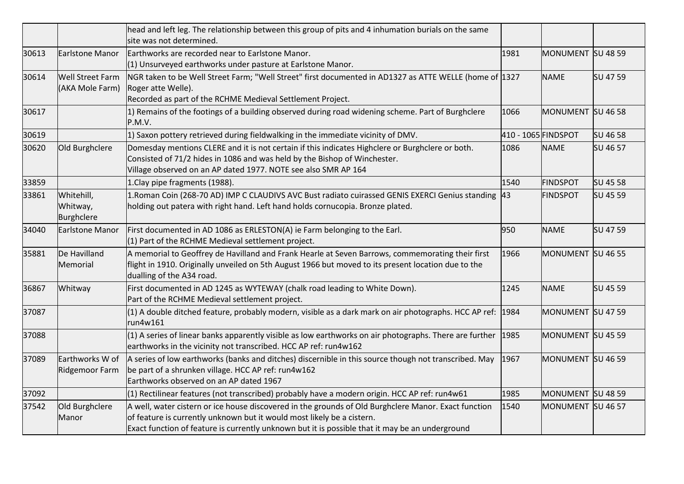|       |                                            | head and left leg. The relationship between this group of pits and 4 inhumation burials on the same<br>site was not determined.                                                                                                                                                   |                     |                   |          |
|-------|--------------------------------------------|-----------------------------------------------------------------------------------------------------------------------------------------------------------------------------------------------------------------------------------------------------------------------------------|---------------------|-------------------|----------|
| 30613 | Earlstone Manor                            | Earthworks are recorded near to Earlstone Manor.<br>(1) Unsurveyed earthworks under pasture at Earlstone Manor.                                                                                                                                                                   | 1981                | MONUMENT SU 48 59 |          |
| 30614 | <b>Well Street Farm</b><br>(AKA Mole Farm) | NGR taken to be Well Street Farm; "Well Street" first documented in AD1327 as ATTE WELLE (home of 1327<br>Roger atte Welle).<br>Recorded as part of the RCHME Medieval Settlement Project.                                                                                        |                     | <b>NAME</b>       | SU 47 59 |
| 30617 |                                            | 1) Remains of the footings of a building observed during road widening scheme. Part of Burghclere<br>P.M.V.                                                                                                                                                                       | 1066                | MONUMENT SU 46 58 |          |
| 30619 |                                            | 1) Saxon pottery retrieved during fieldwalking in the immediate vicinity of DMV.                                                                                                                                                                                                  | 410 - 1065 FINDSPOT |                   | SU 46 58 |
| 30620 | Old Burghclere                             | Domesday mentions CLERE and it is not certain if this indicates Highclere or Burghclere or both.<br>Consisted of 71/2 hides in 1086 and was held by the Bishop of Winchester.<br>Village observed on an AP dated 1977. NOTE see also SMR AP 164                                   | 1086                | <b>NAME</b>       | SU 46 57 |
| 33859 |                                            | 1. Clay pipe fragments (1988).                                                                                                                                                                                                                                                    | 1540                | <b>FINDSPOT</b>   | SU 45 58 |
| 33861 | Whitehill,<br>Whitway,<br>Burghclere       | 1. Roman Coin (268-70 AD) IMP C CLAUDIVS AVC Bust radiato cuirassed GENIS EXERCI Genius standing<br>holding out patera with right hand. Left hand holds cornucopia. Bronze plated.                                                                                                | 43                  | <b>FINDSPOT</b>   | SU 45 59 |
| 34040 | Earlstone Manor                            | First documented in AD 1086 as ERLESTON(A) ie Farm belonging to the Earl.<br>$(1)$ Part of the RCHME Medieval settlement project.                                                                                                                                                 | 950                 | <b>NAME</b>       | SU 47 59 |
| 35881 | De Havilland<br>Memorial                   | A memorial to Geoffrey de Havilland and Frank Hearle at Seven Barrows, commemorating their first<br>flight in 1910. Originally unveiled on 5th August 1966 but moved to its present location due to the<br>dualling of the A34 road.                                              | 1966                | MONUMENT SU 46 55 |          |
| 36867 | Whitway                                    | First documented in AD 1245 as WYTEWAY (chalk road leading to White Down).<br>Part of the RCHME Medieval settlement project.                                                                                                                                                      | 1245                | <b>NAME</b>       | SU 45 59 |
| 37087 |                                            | $(1)$ A double ditched feature, probably modern, visible as a dark mark on air photographs. HCC AP ref: 1984<br>run4w161                                                                                                                                                          |                     | MONUMENT SU 47 59 |          |
| 37088 |                                            | $(1)$ A series of linear banks apparently visible as low earthworks on air photographs. There are further<br>earthworks in the vicinity not transcribed. HCC AP ref: run4w162                                                                                                     | 1985                | MONUMENT SU 45 59 |          |
| 37089 | Earthworks W of<br>Ridgemoor Farm          | A series of low earthworks (banks and ditches) discernible in this source though not transcribed. May 1967<br>be part of a shrunken village. HCC AP ref: run4w162<br>Earthworks observed on an AP dated 1967                                                                      |                     | MONUMENT SU 46 59 |          |
| 37092 |                                            | $(1)$ Rectilinear features (not transcribed) probably have a modern origin. HCC AP ref: run4w61                                                                                                                                                                                   | 1985                | MONUMENT SU 48 59 |          |
| 37542 | Old Burghclere<br>Manor                    | A well, water cistern or ice house discovered in the grounds of Old Burghclere Manor. Exact function<br>of feature is currently unknown but it would most likely be a cistern.<br>Exact function of feature is currently unknown but it is possible that it may be an underground | 1540                | MONUMENT SU 46 57 |          |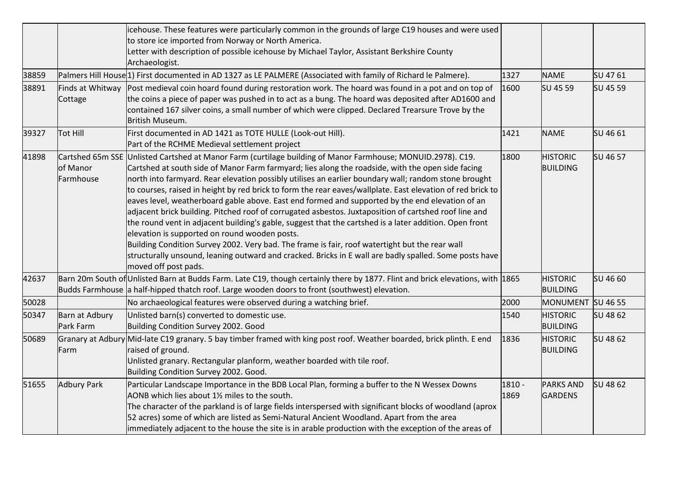|       |                             | icehouse. These features were particularly common in the grounds of large C19 houses and were used<br>to store ice imported from Norway or North America.<br>Letter with description of possible icehouse by Michael Taylor, Assistant Berkshire County<br>Archaeologist.                                                                                                                                                                                                                                                                                                                                                                                                                                                                                                                                                                                                                                                                                                                                                                         |                  |                                    |          |
|-------|-----------------------------|---------------------------------------------------------------------------------------------------------------------------------------------------------------------------------------------------------------------------------------------------------------------------------------------------------------------------------------------------------------------------------------------------------------------------------------------------------------------------------------------------------------------------------------------------------------------------------------------------------------------------------------------------------------------------------------------------------------------------------------------------------------------------------------------------------------------------------------------------------------------------------------------------------------------------------------------------------------------------------------------------------------------------------------------------|------------------|------------------------------------|----------|
| 38859 |                             | Palmers Hill House <sup>[1]</sup> First documented in AD 1327 as LE PALMERE (Associated with family of Richard le Palmere).                                                                                                                                                                                                                                                                                                                                                                                                                                                                                                                                                                                                                                                                                                                                                                                                                                                                                                                       | 1327             | <b>NAME</b>                        | SU 4761  |
| 38891 | Finds at Whitway<br>Cottage | Post medieval coin hoard found during restoration work. The hoard was found in a pot and on top of<br>the coins a piece of paper was pushed in to act as a bung. The hoard was deposited after AD1600 and<br>contained 167 silver coins, a small number of which were clipped. Declared Trearsure Trove by the<br>British Museum.                                                                                                                                                                                                                                                                                                                                                                                                                                                                                                                                                                                                                                                                                                                 | 1600             | SU 45 59                           | SU 45 59 |
| 39327 | <b>Tot Hill</b>             | First documented in AD 1421 as TOTE HULLE (Look-out Hill).<br>Part of the RCHME Medieval settlement project                                                                                                                                                                                                                                                                                                                                                                                                                                                                                                                                                                                                                                                                                                                                                                                                                                                                                                                                       | 1421             | <b>NAME</b>                        | SU 46 61 |
| 41898 | of Manor<br>Farmhouse       | Cartshed 65m SSE Unlisted Cartshed at Manor Farm (curtilage building of Manor Farmhouse; MONUID.2978). C19.<br>Cartshed at south side of Manor Farm farmyard; lies along the roadside, with the open side facing<br>north into farmyard. Rear elevation possibly utilises an earlier boundary wall; random stone brought<br>to courses, raised in height by red brick to form the rear eaves/wallplate. East elevation of red brick to<br>eaves level, weatherboard gable above. East end formed and supported by the end elevation of an<br>adjacent brick building. Pitched roof of corrugated asbestos. Juxtaposition of cartshed roof line and<br>the round vent in adjacent building's gable, suggest that the cartshed is a later addition. Open front<br>elevation is supported on round wooden posts.<br>Building Condition Survey 2002. Very bad. The frame is fair, roof watertight but the rear wall<br>structurally unsound, leaning outward and cracked. Bricks in E wall are badly spalled. Some posts have<br>moved off post pads. | 1800             | <b>HISTORIC</b><br><b>BUILDING</b> | SU 46 57 |
| 42637 |                             | Barn 20m South of Unlisted Barn at Budds Farm. Late C19, though certainly there by 1877. Flint and brick elevations, with 1865<br>Budds Farmhouse a half-hipped thatch roof. Large wooden doors to front (southwest) elevation.                                                                                                                                                                                                                                                                                                                                                                                                                                                                                                                                                                                                                                                                                                                                                                                                                   |                  | <b>HISTORIC</b><br><b>BUILDING</b> | SU 46 60 |
| 50028 |                             | No archaeological features were observed during a watching brief.                                                                                                                                                                                                                                                                                                                                                                                                                                                                                                                                                                                                                                                                                                                                                                                                                                                                                                                                                                                 | 2000             | MONUMENT SU 46 55                  |          |
| 50347 | Barn at Adbury<br>Park Farm | Unlisted barn(s) converted to domestic use.<br>Building Condition Survey 2002. Good                                                                                                                                                                                                                                                                                                                                                                                                                                                                                                                                                                                                                                                                                                                                                                                                                                                                                                                                                               | 1540             | <b>HISTORIC</b><br><b>BUILDING</b> | SU 48 62 |
| 50689 | Farm                        | Granary at Adbury Mid-late C19 granary. 5 bay timber framed with king post roof. Weather boarded, brick plinth. E end<br>raised of ground.<br>Unlisted granary. Rectangular planform, weather boarded with tile roof.<br>Building Condition Survey 2002. Good.                                                                                                                                                                                                                                                                                                                                                                                                                                                                                                                                                                                                                                                                                                                                                                                    | 1836             | <b>HISTORIC</b><br><b>BUILDING</b> | SU 48 62 |
| 51655 | <b>Adbury Park</b>          | Particular Landscape Importance in the BDB Local Plan, forming a buffer to the N Wessex Downs<br>AONB which lies about 1% miles to the south.<br>The character of the parkland is of large fields interspersed with significant blocks of woodland (aprox<br>52 acres) some of which are listed as Semi-Natural Ancient Woodland. Apart from the area<br>immediately adjacent to the house the site is in arable production with the exception of the areas of                                                                                                                                                                                                                                                                                                                                                                                                                                                                                                                                                                                    | $1810 -$<br>1869 | <b>PARKS AND</b><br><b>GARDENS</b> | SU 48 62 |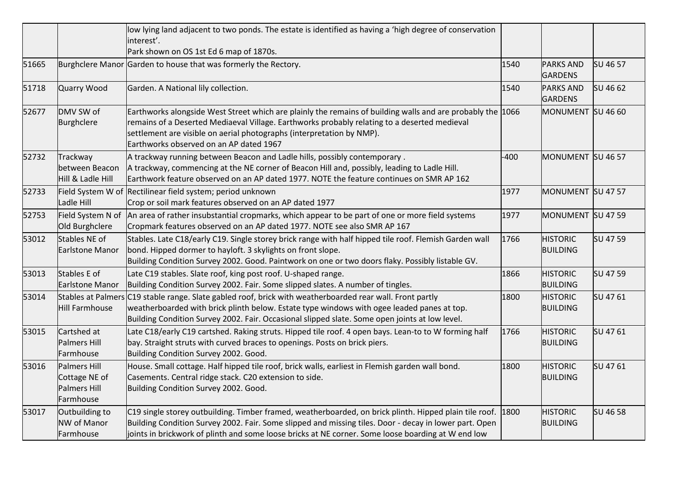|       |                                                            | low lying land adjacent to two ponds. The estate is identified as having a 'high degree of conservation<br>interest'.<br>Park shown on OS 1st Ed 6 map of 1870s.                                                                                                                                                               |        |                                    |          |
|-------|------------------------------------------------------------|--------------------------------------------------------------------------------------------------------------------------------------------------------------------------------------------------------------------------------------------------------------------------------------------------------------------------------|--------|------------------------------------|----------|
| 51665 |                                                            | Burghclere Manor Garden to house that was formerly the Rectory.                                                                                                                                                                                                                                                                | 1540   | <b>PARKS AND</b><br><b>GARDENS</b> | SU 46 57 |
| 51718 | Quarry Wood                                                | Garden. A National lily collection.                                                                                                                                                                                                                                                                                            | 1540   | <b>PARKS AND</b><br><b>GARDENS</b> | SU 46 62 |
| 52677 | DMV SW of<br>Burghclere                                    | Earthworks alongside West Street which are plainly the remains of building walls and are probably the 1066<br>remains of a Deserted Mediaeval Village. Earthworks probably relating to a deserted medieval<br>settlement are visible on aerial photographs (interpretation by NMP).<br>Earthworks observed on an AP dated 1967 |        | MONUMENT SU 46 60                  |          |
| 52732 | Trackway<br>between Beacon<br>Hill & Ladle Hill            | A trackway running between Beacon and Ladle hills, possibly contemporary.<br>A trackway, commencing at the NE corner of Beacon Hill and, possibly, leading to Ladle Hill.<br>Earthwork feature observed on an AP dated 1977. NOTE the feature continues on SMR AP 162                                                          | $-400$ | MONUMENT SU 46 57                  |          |
| 52733 | Field System W of<br>Ladle Hill                            | Rectilinear field system; period unknown<br>Crop or soil mark features observed on an AP dated 1977                                                                                                                                                                                                                            | 1977   | MONUMENT SU 47 57                  |          |
| 52753 | Field System N of<br>Old Burghclere                        | An area of rather insubstantial cropmarks, which appear to be part of one or more field systems<br>Cropmark features observed on an AP dated 1977. NOTE see also SMR AP 167                                                                                                                                                    | 1977   | MONUMENT SU 47 59                  |          |
| 53012 | Stables NE of<br>Earlstone Manor                           | Stables. Late C18/early C19. Single storey brick range with half hipped tile roof. Flemish Garden wall<br>bond. Hipped dormer to hayloft. 3 skylights on front slope.<br>Building Condition Survey 2002. Good. Paintwork on one or two doors flaky. Possibly listable GV.                                                      | 1766   | <b>HISTORIC</b><br><b>BUILDING</b> | SU 47 59 |
| 53013 | Stables E of<br>Earlstone Manor                            | Late C19 stables. Slate roof, king post roof. U-shaped range.<br>Building Condition Survey 2002. Fair. Some slipped slates. A number of tingles.                                                                                                                                                                               | 1866   | <b>HISTORIC</b><br><b>BUILDING</b> | SU 47 59 |
| 53014 | Hill Farmhouse                                             | Stables at Palmers C19 stable range. Slate gabled roof, brick with weatherboarded rear wall. Front partly<br>weatherboarded with brick plinth below. Estate type windows with ogee leaded panes at top.<br>Building Condition Survey 2002. Fair. Occasional slipped slate. Some open joints at low level.                      | 1800   | <b>HISTORIC</b><br><b>BUILDING</b> | SU 4761  |
| 53015 | Cartshed at<br>Palmers Hill<br>Farmhouse                   | Late C18/early C19 cartshed. Raking struts. Hipped tile roof. 4 open bays. Lean-to to W forming half<br>bay. Straight struts with curved braces to openings. Posts on brick piers.<br>Building Condition Survey 2002. Good.                                                                                                    | 1766   | <b>HISTORIC</b><br><b>BUILDING</b> | SU 4761  |
| 53016 | Palmers Hill<br>Cottage NE of<br>Palmers Hill<br>Farmhouse | House. Small cottage. Half hipped tile roof, brick walls, earliest in Flemish garden wall bond.<br>Casements. Central ridge stack. C20 extension to side.<br>Building Condition Survey 2002. Good.                                                                                                                             | 1800   | <b>HISTORIC</b><br><b>BUILDING</b> | SU 4761  |
| 53017 | Outbuilding to<br><b>NW of Manor</b><br>Farmhouse          | C19 single storey outbuilding. Timber framed, weatherboarded, on brick plinth. Hipped plain tile roof. [1800<br>Building Condition Survey 2002. Fair. Some slipped and missing tiles. Door - decay in lower part. Open<br>joints in brickwork of plinth and some loose bricks at NE corner. Some loose boarding at W end low   |        | <b>HISTORIC</b><br><b>BUILDING</b> | SU 46 58 |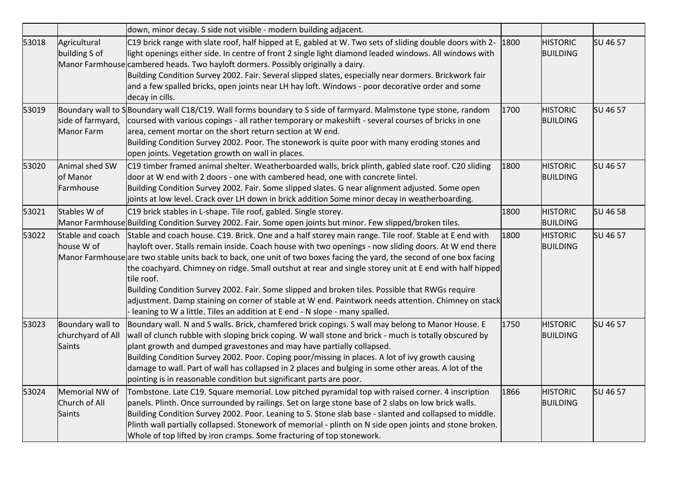|       |                                                 | down, minor decay. S side not visible - modern building adjacent.                                                                                                                                                                                                                                                                                                                                                                                                                                                                                                                                                                                                                                                                                            |      |                                    |          |
|-------|-------------------------------------------------|--------------------------------------------------------------------------------------------------------------------------------------------------------------------------------------------------------------------------------------------------------------------------------------------------------------------------------------------------------------------------------------------------------------------------------------------------------------------------------------------------------------------------------------------------------------------------------------------------------------------------------------------------------------------------------------------------------------------------------------------------------------|------|------------------------------------|----------|
| 53018 | Agricultural<br>building S of                   | C19 brick range with slate roof, half hipped at E, gabled at W. Two sets of sliding double doors with 2-<br>light openings either side. In centre of front 2 single light diamond leaded windows. All windows with<br>Manor Farmhouse cambered heads. Two hayloft dormers. Possibly originally a dairy.<br>Building Condition Survey 2002. Fair. Several slipped slates, especially near dormers. Brickwork fair<br>and a few spalled bricks, open joints near LH hay loft. Windows - poor decorative order and some<br>decay in cills.                                                                                                                                                                                                                      | 1800 | <b>HISTORIC</b><br><b>BUILDING</b> | SU 46 57 |
| 53019 | side of farmyard,<br>Manor Farm                 | Boundary wall to SBoundary wall C18/C19. Wall forms boundary to S side of farmyard. Malmstone type stone, random<br>coursed with various copings - all rather temporary or makeshift - several courses of bricks in one<br>area, cement mortar on the short return section at W end.<br>Building Condition Survey 2002. Poor. The stonework is quite poor with many eroding stones and<br>open joints. Vegetation growth on wall in places.                                                                                                                                                                                                                                                                                                                  | 1700 | <b>HISTORIC</b><br><b>BUILDING</b> | SU 46 57 |
| 53020 | Animal shed SW<br>of Manor<br>Farmhouse         | C19 timber framed animal shelter. Weatherboarded walls, brick plinth, gabled slate roof. C20 sliding<br>door at W end with 2 doors - one with cambered head, one with concrete lintel.<br>Building Condition Survey 2002. Fair. Some slipped slates. G near alignment adjusted. Some open<br>joints at low level. Crack over LH down in brick addition Some minor decay in weatherboarding.                                                                                                                                                                                                                                                                                                                                                                  | 1800 | <b>HISTORIC</b><br><b>BUILDING</b> | SU 46 57 |
| 53021 | Stables W of                                    | C19 brick stables in L-shape. Tile roof, gabled. Single storey.<br>Manor Farmhouse Building Condition Survey 2002. Fair. Some open joints but minor. Few slipped/broken tiles.                                                                                                                                                                                                                                                                                                                                                                                                                                                                                                                                                                               | 1800 | <b>HISTORIC</b><br><b>BUILDING</b> | SU 46 58 |
| 53022 | Stable and coach<br>house W of                  | Stable and coach house. C19. Brick. One and a half storey main range. Tile roof. Stable at E end with<br>hayloft over. Stalls remain inside. Coach house with two openings - now sliding doors. At W end there<br>Manor Farmhouse are two stable units back to back, one unit of two boxes facing the yard, the second of one box facing<br>the coachyard. Chimney on ridge. Small outshut at rear and single storey unit at E end with half hipped<br>tile roof.<br>Building Condition Survey 2002. Fair. Some slipped and broken tiles. Possible that RWGs require<br>adjustment. Damp staining on corner of stable at W end. Paintwork needs attention. Chimney on stack<br>- leaning to W a little. Tiles an addition at E end - N slope - many spalled. | 1800 | <b>HISTORIC</b><br><b>BUILDING</b> | SU 46 57 |
| 53023 | Boundary wall to<br>churchyard of All<br>Saints | Boundary wall. N and S walls. Brick, chamfered brick copings. S wall may belong to Manor House. E<br>wall of clunch rubble with sloping brick coping. W wall stone and brick - much is totally obscured by<br>plant growth and dumped gravestones and may have partially collapsed.<br>Building Condition Survey 2002. Poor. Coping poor/missing in places. A lot of ivy growth causing<br>damage to wall. Part of wall has collapsed in 2 places and bulging in some other areas. A lot of the<br>pointing is in reasonable condition but significant parts are poor.                                                                                                                                                                                       | 1750 | <b>HISTORIC</b><br><b>BUILDING</b> | SU 46 57 |
| 53024 | Memorial NW of<br>Church of All<br>Saints       | Tombstone. Late C19. Square memorial. Low pitched pyramidal top with raised corner. 4 inscription<br>panels. Plinth. Once surrounded by railings. Set on large stone base of 2 slabs on low brick walls.<br>Building Condition Survey 2002. Poor. Leaning to S. Stone slab base - slanted and collapsed to middle.<br>Plinth wall partially collapsed. Stonework of memorial - plinth on N side open joints and stone broken.<br>Whole of top lifted by iron cramps. Some fracturing of top stonework.                                                                                                                                                                                                                                                       | 1866 | <b>HISTORIC</b><br><b>BUILDING</b> | SU 46 57 |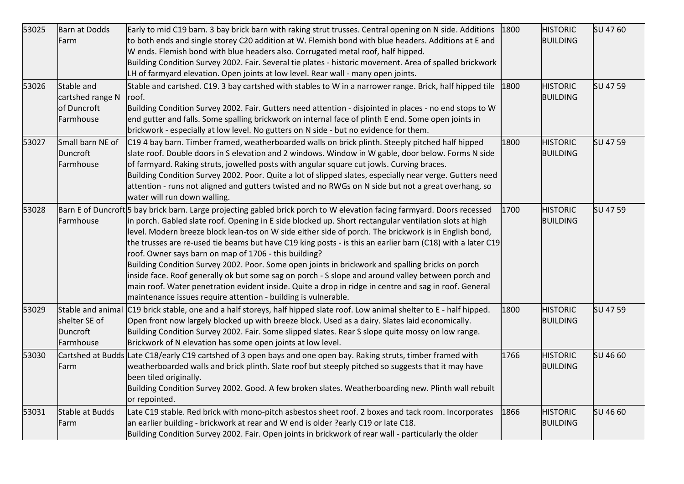| 53025 | Barn at Dodds<br>Farm                                       | Early to mid C19 barn. 3 bay brick barn with raking strut trusses. Central opening on N side. Additions<br>to both ends and single storey C20 addition at W. Flemish bond with blue headers. Additions at E and<br>W ends. Flemish bond with blue headers also. Corrugated metal roof, half hipped.<br>Building Condition Survey 2002. Fair. Several tie plates - historic movement. Area of spalled brickwork<br>LH of farmyard elevation. Open joints at low level. Rear wall - many open joints.                                                                                                                                                                                                                                                                                                                                                                                                    | 1800 | <b>HISTORIC</b><br><b>BUILDING</b> | SU 47 60 |
|-------|-------------------------------------------------------------|--------------------------------------------------------------------------------------------------------------------------------------------------------------------------------------------------------------------------------------------------------------------------------------------------------------------------------------------------------------------------------------------------------------------------------------------------------------------------------------------------------------------------------------------------------------------------------------------------------------------------------------------------------------------------------------------------------------------------------------------------------------------------------------------------------------------------------------------------------------------------------------------------------|------|------------------------------------|----------|
| 53026 | Stable and<br>cartshed range N<br>of Duncroft<br>Farmhouse  | Stable and cartshed. C19. 3 bay cartshed with stables to W in a narrower range. Brick, half hipped tile<br>roof.<br>Building Condition Survey 2002. Fair. Gutters need attention - disjointed in places - no end stops to W<br>end gutter and falls. Some spalling brickwork on internal face of plinth E end. Some open joints in<br>brickwork - especially at low level. No gutters on N side - but no evidence for them.                                                                                                                                                                                                                                                                                                                                                                                                                                                                            | 1800 | <b>HISTORIC</b><br><b>BUILDING</b> | SU 47 59 |
| 53027 | Small barn NE of<br>Duncroft<br>Farmhouse                   | C19 4 bay barn. Timber framed, weatherboarded walls on brick plinth. Steeply pitched half hipped<br>slate roof. Double doors in S elevation and 2 windows. Window in W gable, door below. Forms N side<br>of farmyard. Raking struts, jowelled posts with angular square cut jowls. Curving braces.<br>Building Condition Survey 2002. Poor. Quite a lot of slipped slates, especially near verge. Gutters need<br>attention - runs not aligned and gutters twisted and no RWGs on N side but not a great overhang, so<br>water will run down walling.                                                                                                                                                                                                                                                                                                                                                 | 1800 | <b>HISTORIC</b><br><b>BUILDING</b> | SU 47 59 |
| 53028 | Farmhouse                                                   | Barn E of Duncroft 5 bay brick barn. Large projecting gabled brick porch to W elevation facing farmyard. Doors recessed<br>in porch. Gabled slate roof. Opening in E side blocked up. Short rectangular ventilation slots at high<br>level. Modern breeze block lean-tos on W side either side of porch. The brickwork is in English bond,<br>the trusses are re-used tie beams but have C19 king posts - is this an earlier barn (C18) with a later C19<br>roof. Owner says barn on map of 1706 - this building?<br>Building Condition Survey 2002. Poor. Some open joints in brickwork and spalling bricks on porch<br>inside face. Roof generally ok but some sag on porch - S slope and around valley between porch and<br>main roof. Water penetration evident inside. Quite a drop in ridge in centre and sag in roof. General<br>maintenance issues require attention - building is vulnerable. | 1700 | <b>HISTORIC</b><br><b>BUILDING</b> | SU 47 59 |
| 53029 | Stable and animal<br>shelter SE of<br>Duncroft<br>Farmhouse | C19 brick stable, one and a half storeys, half hipped slate roof. Low animal shelter to E - half hipped.<br>Open front now largely blocked up with breeze block. Used as a dairy. Slates laid economically.<br>Building Condition Survey 2002. Fair. Some slipped slates. Rear S slope quite mossy on low range.<br>Brickwork of N elevation has some open joints at low level.                                                                                                                                                                                                                                                                                                                                                                                                                                                                                                                        | 1800 | <b>HISTORIC</b><br><b>BUILDING</b> | SU 47 59 |
| 53030 | Farm                                                        | Cartshed at Budds Late C18/early C19 cartshed of 3 open bays and one open bay. Raking struts, timber framed with<br>weatherboarded walls and brick plinth. Slate roof but steeply pitched so suggests that it may have<br>been tiled originally.<br>Building Condition Survey 2002. Good. A few broken slates. Weatherboarding new. Plinth wall rebuilt<br>or repointed.                                                                                                                                                                                                                                                                                                                                                                                                                                                                                                                               | 1766 | <b>HISTORIC</b><br><b>BUILDING</b> | SU 46 60 |
| 53031 | Stable at Budds<br>Farm                                     | Late C19 stable. Red brick with mono-pitch asbestos sheet roof. 2 boxes and tack room. Incorporates<br>an earlier building - brickwork at rear and W end is older ?early C19 or late C18.<br>Building Condition Survey 2002. Fair. Open joints in brickwork of rear wall - particularly the older                                                                                                                                                                                                                                                                                                                                                                                                                                                                                                                                                                                                      | 1866 | <b>HISTORIC</b><br><b>BUILDING</b> | SU 46 60 |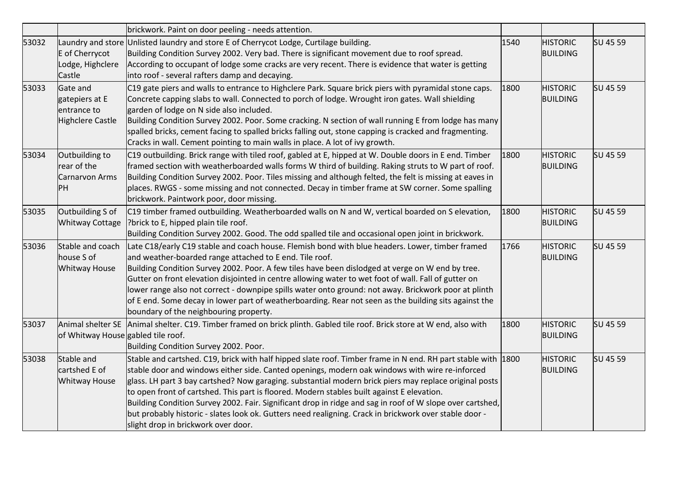|       |                                                                      | brickwork. Paint on door peeling - needs attention.                                                                                                                                                                                                                                                                                                                                                                                                                                                                                                                                                                                                                                  |      |                                    |          |
|-------|----------------------------------------------------------------------|--------------------------------------------------------------------------------------------------------------------------------------------------------------------------------------------------------------------------------------------------------------------------------------------------------------------------------------------------------------------------------------------------------------------------------------------------------------------------------------------------------------------------------------------------------------------------------------------------------------------------------------------------------------------------------------|------|------------------------------------|----------|
| 53032 | E of Cherrycot<br>Lodge, Highclere<br>Castle                         | Laundry and store Unlisted laundry and store E of Cherrycot Lodge, Curtilage building.<br>Building Condition Survey 2002. Very bad. There is significant movement due to roof spread.<br>According to occupant of lodge some cracks are very recent. There is evidence that water is getting<br>into roof - several rafters damp and decaying.                                                                                                                                                                                                                                                                                                                                       | 1540 | <b>HISTORIC</b><br><b>BUILDING</b> | SU 45 59 |
| 53033 | Gate and<br>gatepiers at E<br>entrance to<br><b>Highclere Castle</b> | C19 gate piers and walls to entrance to Highclere Park. Square brick piers with pyramidal stone caps.<br>Concrete capping slabs to wall. Connected to porch of lodge. Wrought iron gates. Wall shielding<br>garden of lodge on N side also included.<br>Building Condition Survey 2002. Poor. Some cracking. N section of wall running E from lodge has many<br>spalled bricks, cement facing to spalled bricks falling out, stone capping is cracked and fragmenting.<br>Cracks in wall. Cement pointing to main walls in place. A lot of ivy growth.                                                                                                                               | 1800 | <b>HISTORIC</b><br><b>BUILDING</b> | SU 45 59 |
| 53034 | Outbuilding to<br>rear of the<br><b>Carnarvon Arms</b><br>PH         | C19 outbuilding. Brick range with tiled roof, gabled at E, hipped at W. Double doors in E end. Timber<br>framed section with weatherboarded walls forms W third of building. Raking struts to W part of roof.<br>Building Condition Survey 2002. Poor. Tiles missing and although felted, the felt is missing at eaves in<br>places. RWGS - some missing and not connected. Decay in timber frame at SW corner. Some spalling<br>brickwork. Paintwork poor, door missing.                                                                                                                                                                                                            | 1800 | <b>HISTORIC</b><br><b>BUILDING</b> | SU 45 59 |
| 53035 | Outbuilding S of<br><b>Whitway Cottage</b>                           | C19 timber framed outbuilding. Weatherboarded walls on N and W, vertical boarded on S elevation,<br>?brick to E, hipped plain tile roof.<br>Building Condition Survey 2002. Good. The odd spalled tile and occasional open joint in brickwork.                                                                                                                                                                                                                                                                                                                                                                                                                                       | 1800 | <b>HISTORIC</b><br><b>BUILDING</b> | SU 45 59 |
| 53036 | Stable and coach<br>house S of<br><b>Whitway House</b>               | Late C18/early C19 stable and coach house. Flemish bond with blue headers. Lower, timber framed<br>and weather-boarded range attached to E end. Tile roof.<br>Building Condition Survey 2002. Poor. A few tiles have been dislodged at verge on W end by tree.<br>Gutter on front elevation disjointed in centre allowing water to wet foot of wall. Fall of gutter on<br>lower range also not correct - downpipe spills water onto ground: not away. Brickwork poor at plinth<br>of E end. Some decay in lower part of weatherboarding. Rear not seen as the building sits against the<br>boundary of the neighbouring property.                                                    | 1766 | <b>HISTORIC</b><br><b>BUILDING</b> | SU 45 59 |
| 53037 | Animal shelter SE<br>of Whitway House gabled tile roof.              | Animal shelter. C19. Timber framed on brick plinth. Gabled tile roof. Brick store at W end, also with<br>Building Condition Survey 2002. Poor.                                                                                                                                                                                                                                                                                                                                                                                                                                                                                                                                       | 1800 | <b>HISTORIC</b><br><b>BUILDING</b> | SU 45 59 |
| 53038 | Stable and<br>cartshed E of<br><b>Whitway House</b>                  | Stable and cartshed. C19, brick with half hipped slate roof. Timber frame in N end. RH part stable with 1800<br>stable door and windows either side. Canted openings, modern oak windows with wire re-inforced<br>glass. LH part 3 bay cartshed? Now garaging. substantial modern brick piers may replace original posts<br>to open front of cartshed. This part is floored. Modern stables built against E elevation.<br>Building Condition Survey 2002. Fair. Significant drop in ridge and sag in roof of W slope over cartshed,<br>but probably historic - slates look ok. Gutters need realigning. Crack in brickwork over stable door -<br>slight drop in brickwork over door. |      | <b>HISTORIC</b><br><b>BUILDING</b> | SU 45 59 |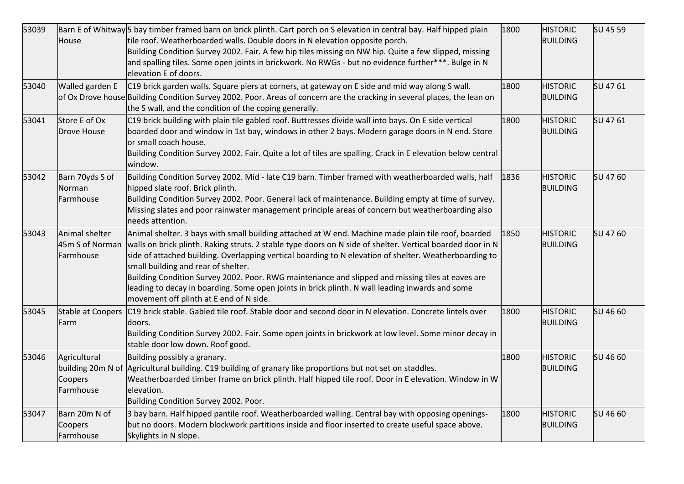| 53039 | House                                                     | Barn E of Whitway 5 bay timber framed barn on brick plinth. Cart porch on S elevation in central bay. Half hipped plain<br>tile roof. Weatherboarded walls. Double doors in N elevation opposite porch.<br>Building Condition Survey 2002. Fair. A few hip tiles missing on NW hip. Quite a few slipped, missing<br>and spalling tiles. Some open joints in brickwork. No RWGs - but no evidence further***. Bulge in N<br>elevation E of doors.                                                                                                                                                                     | 1800 | <b>HISTORIC</b><br><b>BUILDING</b> | SU 45 59 |
|-------|-----------------------------------------------------------|----------------------------------------------------------------------------------------------------------------------------------------------------------------------------------------------------------------------------------------------------------------------------------------------------------------------------------------------------------------------------------------------------------------------------------------------------------------------------------------------------------------------------------------------------------------------------------------------------------------------|------|------------------------------------|----------|
| 53040 | Walled garden E                                           | C19 brick garden walls. Square piers at corners, at gateway on E side and mid way along S wall.<br>of Ox Drove house Building Condition Survey 2002. Poor. Areas of concern are the cracking in several places, the lean on<br>the S wall, and the condition of the coping generally.                                                                                                                                                                                                                                                                                                                                | 1800 | <b>HISTORIC</b><br><b>BUILDING</b> | SU 4761  |
| 53041 | Store E of Ox<br>Drove House                              | C19 brick building with plain tile gabled roof. Buttresses divide wall into bays. On E side vertical<br>boarded door and window in 1st bay, windows in other 2 bays. Modern garage doors in N end. Store<br>or small coach house.<br>Building Condition Survey 2002. Fair. Quite a lot of tiles are spalling. Crack in E elevation below central<br>window.                                                                                                                                                                                                                                                          | 1800 | <b>HISTORIC</b><br><b>BUILDING</b> | SU 4761  |
| 53042 | Barn 70yds S of<br>Norman<br>Farmhouse                    | Building Condition Survey 2002. Mid - late C19 barn. Timber framed with weatherboarded walls, half<br>hipped slate roof. Brick plinth.<br>Building Condition Survey 2002. Poor. General lack of maintenance. Building empty at time of survey.<br>Missing slates and poor rainwater management principle areas of concern but weatherboarding also<br>needs attention.                                                                                                                                                                                                                                               | 1836 | <b>HISTORIC</b><br><b>BUILDING</b> | SU 47 60 |
| 53043 | Animal shelter<br>45m S of Norman<br>Farmhouse            | Animal shelter. 3 bays with small building attached at W end. Machine made plain tile roof, boarded<br>walls on brick plinth. Raking struts. 2 stable type doors on N side of shelter. Vertical boarded door in N<br>side of attached building. Overlapping vertical boarding to N elevation of shelter. Weatherboarding to<br>small building and rear of shelter.<br>Building Condition Survey 2002. Poor. RWG maintenance and slipped and missing tiles at eaves are<br>leading to decay in boarding. Some open joints in brick plinth. N wall leading inwards and some<br>movement off plinth at E end of N side. | 1850 | <b>HISTORIC</b><br><b>BUILDING</b> | SU 47 60 |
| 53045 | <b>Stable at Coopers</b><br>Farm                          | C19 brick stable. Gabled tile roof. Stable door and second door in N elevation. Concrete lintels over<br>doors.<br>Building Condition Survey 2002. Fair. Some open joints in brickwork at low level. Some minor decay in<br>stable door low down. Roof good.                                                                                                                                                                                                                                                                                                                                                         | 1800 | <b>HISTORIC</b><br><b>BUILDING</b> | SU 46 60 |
| 53046 | Agricultural<br>building 20m N of<br>Coopers<br>Farmhouse | Building possibly a granary.<br>Agricultural building. C19 building of granary like proportions but not set on staddles.<br>Weatherboarded timber frame on brick plinth. Half hipped tile roof. Door in E elevation. Window in W<br>elevation.<br>Building Condition Survey 2002. Poor.                                                                                                                                                                                                                                                                                                                              | 1800 | <b>HISTORIC</b><br><b>BUILDING</b> | SU 46 60 |
| 53047 | Barn 20m N of<br>Coopers<br>Farmhouse                     | 3 bay barn. Half hipped pantile roof. Weatherboarded walling. Central bay with opposing openings-<br>but no doors. Modern blockwork partitions inside and floor inserted to create useful space above.<br>Skylights in N slope.                                                                                                                                                                                                                                                                                                                                                                                      | 1800 | <b>HISTORIC</b><br><b>BUILDING</b> | SU 46 60 |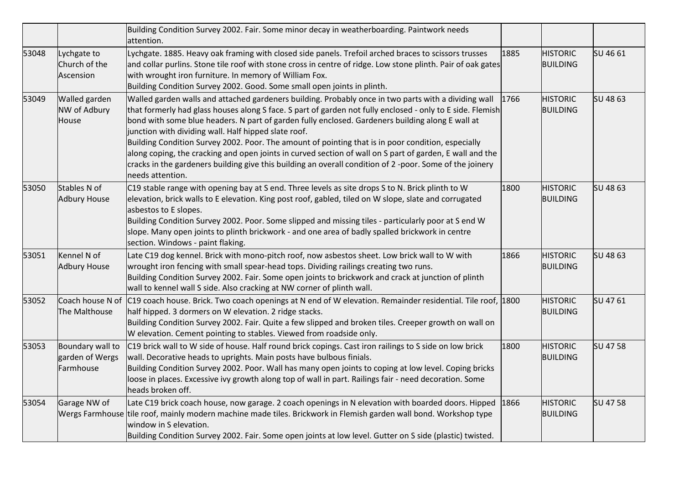|       |                                                  | Building Condition Survey 2002. Fair. Some minor decay in weatherboarding. Paintwork needs<br>attention.                                                                                                                                                                                                                                                                                                                                                                                                                                                                                                                                                                                                                        |      |                                    |                 |
|-------|--------------------------------------------------|---------------------------------------------------------------------------------------------------------------------------------------------------------------------------------------------------------------------------------------------------------------------------------------------------------------------------------------------------------------------------------------------------------------------------------------------------------------------------------------------------------------------------------------------------------------------------------------------------------------------------------------------------------------------------------------------------------------------------------|------|------------------------------------|-----------------|
| 53048 | Lychgate to<br>Church of the<br>Ascension        | Lychgate. 1885. Heavy oak framing with closed side panels. Trefoil arched braces to scissors trusses<br>and collar purlins. Stone tile roof with stone cross in centre of ridge. Low stone plinth. Pair of oak gates<br>with wrought iron furniture. In memory of William Fox.<br>Building Condition Survey 2002. Good. Some small open joints in plinth.                                                                                                                                                                                                                                                                                                                                                                       | 1885 | <b>HISTORIC</b><br><b>BUILDING</b> | SU 46 61        |
| 53049 | <b>Walled garden</b><br>NW of Adbury<br>House    | Walled garden walls and attached gardeners building. Probably once in two parts with a dividing wall<br>that formerly had glass houses along S face. S part of garden not fully enclosed - only to E side. Flemish<br>bond with some blue headers. N part of garden fully enclosed. Gardeners building along E wall at<br>junction with dividing wall. Half hipped slate roof.<br>Building Condition Survey 2002. Poor. The amount of pointing that is in poor condition, especially<br>along coping, the cracking and open joints in curved section of wall on S part of garden, E wall and the<br>cracks in the gardeners building give this building an overall condition of 2-poor. Some of the joinery<br>needs attention. | 1766 | <b>HISTORIC</b><br><b>BUILDING</b> | <b>SU 48 63</b> |
| 53050 | Stables N of<br>Adbury House                     | C19 stable range with opening bay at S end. Three levels as site drops S to N. Brick plinth to W<br>elevation, brick walls to E elevation. King post roof, gabled, tiled on W slope, slate and corrugated<br>asbestos to E slopes.<br>Building Condition Survey 2002. Poor. Some slipped and missing tiles - particularly poor at S end W<br>slope. Many open joints to plinth brickwork - and one area of badly spalled brickwork in centre<br>section. Windows - paint flaking.                                                                                                                                                                                                                                               | 1800 | <b>HISTORIC</b><br><b>BUILDING</b> | SU 48 63        |
| 53051 | Kennel N of<br><b>Adbury House</b>               | Late C19 dog kennel. Brick with mono-pitch roof, now asbestos sheet. Low brick wall to W with<br>wrought iron fencing with small spear-head tops. Dividing railings creating two runs.<br>Building Condition Survey 2002. Fair. Some open joints to brickwork and crack at junction of plinth<br>wall to kennel wall S side. Also cracking at NW corner of plinth wall.                                                                                                                                                                                                                                                                                                                                                         | 1866 | <b>HISTORIC</b><br><b>BUILDING</b> | SU 48 63        |
| 53052 | The Malthouse                                    | Coach house N of C19 coach house. Brick. Two coach openings at N end of W elevation. Remainder residential. Tile roof, 1800<br>half hipped. 3 dormers on W elevation. 2 ridge stacks.<br>Building Condition Survey 2002. Fair. Quite a few slipped and broken tiles. Creeper growth on wall on<br>W elevation. Cement pointing to stables. Viewed from roadside only.                                                                                                                                                                                                                                                                                                                                                           |      | <b>HISTORIC</b><br><b>BUILDING</b> | SU 47 61        |
| 53053 | Boundary wall to<br>garden of Wergs<br>Farmhouse | C19 brick wall to W side of house. Half round brick copings. Cast iron railings to S side on low brick<br>wall. Decorative heads to uprights. Main posts have bulbous finials.<br>Building Condition Survey 2002. Poor. Wall has many open joints to coping at low level. Coping bricks<br>loose in places. Excessive ivy growth along top of wall in part. Railings fair - need decoration. Some<br>heads broken off.                                                                                                                                                                                                                                                                                                          | 1800 | <b>HISTORIC</b><br><b>BUILDING</b> | SU 47 58        |
| 53054 | Garage NW of                                     | Late C19 brick coach house, now garage. 2 coach openings in N elevation with boarded doors. Hipped<br>Wergs Farmhouse tile roof, mainly modern machine made tiles. Brickwork in Flemish garden wall bond. Workshop type<br>window in S elevation.<br>Building Condition Survey 2002. Fair. Some open joints at low level. Gutter on S side (plastic) twisted.                                                                                                                                                                                                                                                                                                                                                                   | 1866 | <b>HISTORIC</b><br><b>BUILDING</b> | SU 47 58        |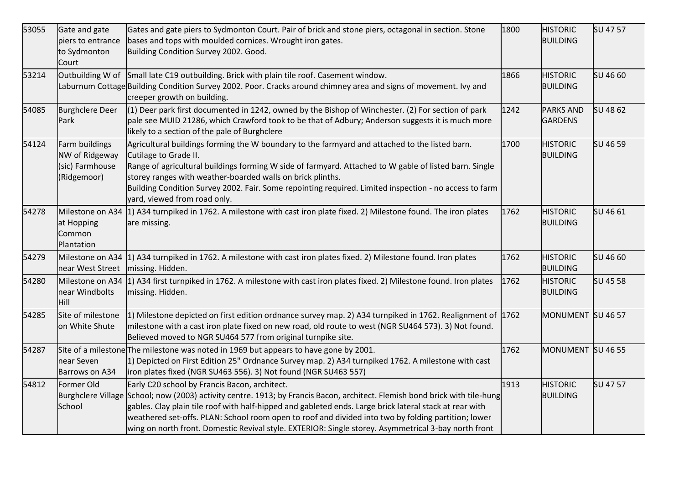| 53055 | Gate and gate<br>piers to entrance<br>to Sydmonton<br>Court        | Gates and gate piers to Sydmonton Court. Pair of brick and stone piers, octagonal in section. Stone<br>bases and tops with moulded cornices. Wrought iron gates.<br>Building Condition Survey 2002. Good.                                                                                                                                                                                                                                                                                              | 1800 | <b>HISTORIC</b><br><b>BUILDING</b> | SU 47 57 |
|-------|--------------------------------------------------------------------|--------------------------------------------------------------------------------------------------------------------------------------------------------------------------------------------------------------------------------------------------------------------------------------------------------------------------------------------------------------------------------------------------------------------------------------------------------------------------------------------------------|------|------------------------------------|----------|
| 53214 | Outbuilding W of                                                   | Small late C19 outbuilding. Brick with plain tile roof. Casement window.<br>Laburnum Cottage Building Condition Survey 2002. Poor. Cracks around chimney area and signs of movement. Ivy and<br>creeper growth on building.                                                                                                                                                                                                                                                                            | 1866 | <b>HISTORIC</b><br><b>BUILDING</b> | SU 46 60 |
| 54085 | <b>Burghclere Deer</b><br>Park                                     | $(1)$ Deer park first documented in 1242, owned by the Bishop of Winchester. (2) For section of park<br>pale see MUID 21286, which Crawford took to be that of Adbury; Anderson suggests it is much more<br>likely to a section of the pale of Burghclere                                                                                                                                                                                                                                              | 1242 | <b>PARKS AND</b><br><b>GARDENS</b> | SU 48 62 |
| 54124 | Farm buildings<br>NW of Ridgeway<br>(sic) Farmhouse<br>(Ridgemoor) | Agricultural buildings forming the W boundary to the farmyard and attached to the listed barn.<br>Cutilage to Grade II.<br>Range of agricultural buildings forming W side of farmyard. Attached to W gable of listed barn. Single<br>storey ranges with weather-boarded walls on brick plinths.<br>Building Condition Survey 2002. Fair. Some repointing required. Limited inspection - no access to farm<br>yard, viewed from road only.                                                              | 1700 | <b>HISTORIC</b><br><b>BUILDING</b> | SU 46 59 |
| 54278 | Milestone on A34<br>at Hopping<br>Common<br>Plantation             | 1) A34 turnpiked in 1762. A milestone with cast iron plate fixed. 2) Milestone found. The iron plates<br>are missing.                                                                                                                                                                                                                                                                                                                                                                                  | 1762 | <b>HISTORIC</b><br><b>BUILDING</b> | SU 46 61 |
| 54279 | Milestone on A34<br>near West Street                               | 1) A34 turnpiked in 1762. A milestone with cast iron plates fixed. 2) Milestone found. Iron plates<br>missing. Hidden.                                                                                                                                                                                                                                                                                                                                                                                 | 1762 | <b>HISTORIC</b><br><b>BUILDING</b> | SU 46 60 |
| 54280 | Milestone on A34<br>near Windbolts<br><b>Hill</b>                  | 1) A34 first turnpiked in 1762. A milestone with cast iron plates fixed. 2) Milestone found. Iron plates<br>missing. Hidden.                                                                                                                                                                                                                                                                                                                                                                           | 1762 | <b>HISTORIC</b><br><b>BUILDING</b> | SU 45 58 |
| 54285 | Site of milestone<br>on White Shute                                | 1) Milestone depicted on first edition ordnance survey map. 2) A34 turnpiked in 1762. Realignment of $ 1762 $<br>milestone with a cast iron plate fixed on new road, old route to west (NGR SU464 573). 3) Not found.<br>Believed moved to NGR SU464 577 from original turnpike site.                                                                                                                                                                                                                  |      | MONUMENT SU 46 57                  |          |
| 54287 | near Seven<br>Barrows on A34                                       | Site of a milestone The milestone was noted in 1969 but appears to have gone by 2001.<br>1) Depicted on First Edition 25" Ordnance Survey map. 2) A34 turnpiked 1762. A milestone with cast<br>iron plates fixed (NGR SU463 556). 3) Not found (NGR SU463 557)                                                                                                                                                                                                                                         | 1762 | MONUMENT SU 46 55                  |          |
| 54812 | Former Old<br>School                                               | Early C20 school by Francis Bacon, architect.<br>Burghclere Village School; now (2003) activity centre. 1913; by Francis Bacon, architect. Flemish bond brick with tile-hung<br>gables. Clay plain tile roof with half-hipped and gableted ends. Large brick lateral stack at rear with<br>weathered set-offs. PLAN: School room open to roof and divided into two by folding partition; lower<br>wing on north front. Domestic Revival style. EXTERIOR: Single storey. Asymmetrical 3-bay north front | 1913 | <b>HISTORIC</b><br><b>BUILDING</b> | SU 47 57 |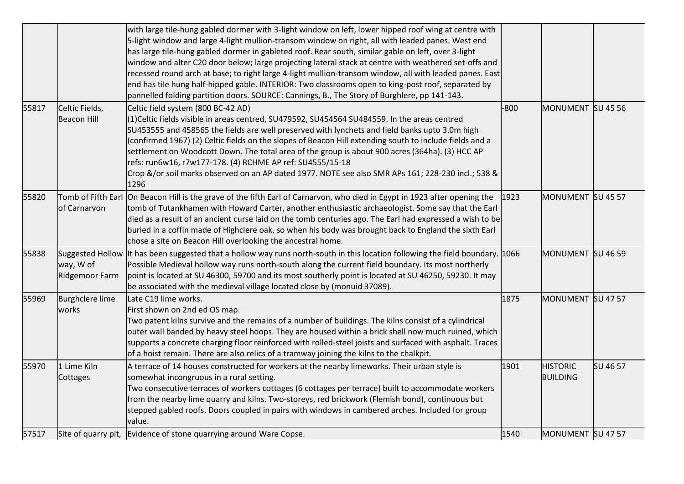|       |                                      | with large tile-hung gabled dormer with 3-light window on left, lower hipped roof wing at centre with<br>5-light window and large 4-light mullion-transom window on right, all with leaded panes. West end<br>has large tile-hung gabled dormer in gableted roof. Rear south, similar gable on left, over 3-light<br>window and alter C20 door below; large projecting lateral stack at centre with weathered set-offs and<br>recessed round arch at base; to right large 4-light mullion-transom window, all with leaded panes. East<br>end has tile hung half-hipped gable. INTERIOR: Two classrooms open to king-post roof, separated by<br>pannelled folding partition doors. SOURCE: Cannings, B., The Story of Burghlere, pp 141-143. |        |                                    |          |
|-------|--------------------------------------|---------------------------------------------------------------------------------------------------------------------------------------------------------------------------------------------------------------------------------------------------------------------------------------------------------------------------------------------------------------------------------------------------------------------------------------------------------------------------------------------------------------------------------------------------------------------------------------------------------------------------------------------------------------------------------------------------------------------------------------------|--------|------------------------------------|----------|
| 55817 | Celtic Fields,<br><b>Beacon Hill</b> | Celtic field system (800 BC-42 AD)<br>(1)Celtic fields visible in areas centred, SU479592, SU454564 SU484559. In the areas centred<br>SU453555 and 458565 the fields are well preserved with lynchets and field banks upto 3.0m high<br>(confirmed 1967) (2) Celtic fields on the slopes of Beacon Hill extending south to include fields and a<br>settlement on Woodcott Down. The total area of the group is about 900 acres (364ha). (3) HCC AP<br>refs: run6w16, r7w177-178. (4) RCHME AP ref: SU4555/15-18<br>Crop &/or soil marks observed on an AP dated 1977. NOTE see also SMR APs 161; 228-230 incl.; 538 &<br>1296                                                                                                               | $-800$ | MONUMENT SU 45 56                  |          |
| 55820 | of Carnarvon                         | Tomb of Fifth Earl On Beacon Hill is the grave of the fifth Earl of Carnarvon, who died in Egypt in 1923 after opening the<br>tomb of Tutankhamen with Howard Carter, another enthusiastic archaeologist. Some say that the Earl<br>died as a result of an ancient curse laid on the tomb centuries ago. The Earl had expressed a wish to be<br>buried in a coffin made of Highclere oak, so when his body was brought back to England the sixth Earl<br>chose a site on Beacon Hill overlooking the ancestral home.                                                                                                                                                                                                                        | 1923   | MONUMENT SU 45 57                  |          |
| 55838 | way, W of<br>Ridgemoor Farm          | Suggested Hollow It has been suggested that a hollow way runs north-south in this location following the field boundary. 1066<br>Possible Medieval hollow way runs north-south along the current field boundary. Its most northerly<br>point is located at SU 46300, 59700 and its most southerly point is located at SU 46250, 59230. It may<br>be associated with the medieval village located close by (monuid 37089).                                                                                                                                                                                                                                                                                                                   |        | MONUMENT SU 46 59                  |          |
| 55969 | <b>Burghclere lime</b><br>works      | Late C19 lime works.<br>First shown on 2nd ed OS map.<br>Two patent kilns survive and the remains of a number of buildings. The kilns consist of a cylindrical<br>outer wall banded by heavy steel hoops. They are housed within a brick shell now much ruined, which<br>supports a concrete charging floor reinforced with rolled-steel joists and surfaced with asphalt. Traces<br>of a hoist remain. There are also relics of a tramway joining the kilns to the chalkpit.                                                                                                                                                                                                                                                               | 1875   | MONUMENT SU 47 57                  |          |
| 55970 | 1 Lime Kiln<br>Cottages              | A terrace of 14 houses constructed for workers at the nearby limeworks. Their urban style is<br>somewhat incongruous in a rural setting.<br>Two consecutive terraces of workers cottages (6 cottages per terrace) built to accommodate workers<br>from the nearby lime quarry and kilns. Two-storeys, red brickwork (Flemish bond), continuous but<br>stepped gabled roofs. Doors coupled in pairs with windows in cambered arches. Included for group<br>value.                                                                                                                                                                                                                                                                            | 1901   | <b>HISTORIC</b><br><b>BUILDING</b> | SU 46 57 |
| 57517 |                                      | Site of quarry pit, Evidence of stone quarrying around Ware Copse.                                                                                                                                                                                                                                                                                                                                                                                                                                                                                                                                                                                                                                                                          | 1540   | MONUMENT SU 47 57                  |          |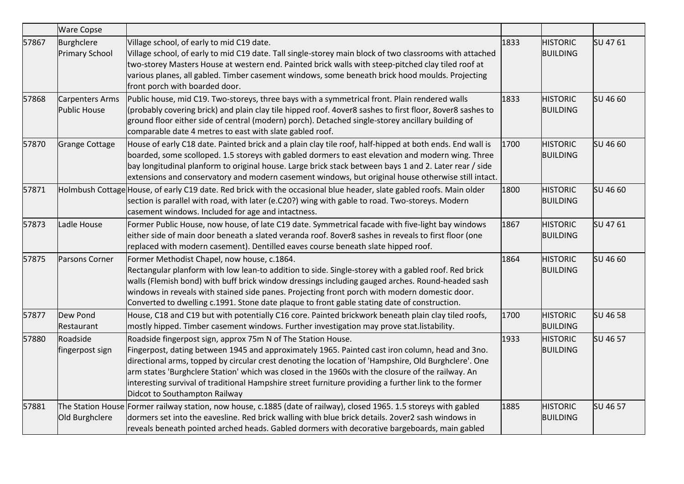|       | <b>Ware Copse</b>                   |                                                                                                                                                                                                                                                                                                                                                                                                                                                                                                                        |      |                                    |          |
|-------|-------------------------------------|------------------------------------------------------------------------------------------------------------------------------------------------------------------------------------------------------------------------------------------------------------------------------------------------------------------------------------------------------------------------------------------------------------------------------------------------------------------------------------------------------------------------|------|------------------------------------|----------|
| 57867 | Burghclere<br><b>Primary School</b> | Village school, of early to mid C19 date.<br>Village school, of early to mid C19 date. Tall single-storey main block of two classrooms with attached<br>two-storey Masters House at western end. Painted brick walls with steep-pitched clay tiled roof at<br>various planes, all gabled. Timber casement windows, some beneath brick hood moulds. Projecting<br>front porch with boarded door.                                                                                                                        | 1833 | <b>HISTORIC</b><br><b>BUILDING</b> | SU 4761  |
| 57868 | Carpenters Arms<br>Public House     | Public house, mid C19. Two-storeys, three bays with a symmetrical front. Plain rendered walls<br>(probably covering brick) and plain clay tile hipped roof. 4over8 sashes to first floor, 8over8 sashes to<br>ground floor either side of central (modern) porch). Detached single-storey ancillary building of<br>comparable date 4 metres to east with slate gabled roof.                                                                                                                                            | 1833 | <b>HISTORIC</b><br><b>BUILDING</b> | SU 46 60 |
| 57870 | <b>Grange Cottage</b>               | House of early C18 date. Painted brick and a plain clay tile roof, half-hipped at both ends. End wall is<br>boarded, some scolloped. 1.5 storeys with gabled dormers to east elevation and modern wing. Three<br>bay longitudinal planform to original house. Large brick stack between bays 1 and 2. Later rear / side<br>extensions and conservatory and modern casement windows, but original house otherwise still intact.                                                                                         | 1700 | <b>HISTORIC</b><br><b>BUILDING</b> | SU 46 60 |
| 57871 |                                     | Holmbush Cottage House, of early C19 date. Red brick with the occasional blue header, slate gabled roofs. Main older<br>section is parallel with road, with later (e.C20?) wing with gable to road. Two-storeys. Modern<br>casement windows. Included for age and intactness.                                                                                                                                                                                                                                          | 1800 | <b>HISTORIC</b><br><b>BUILDING</b> | SU 46 60 |
| 57873 | Ladle House                         | Former Public House, now house, of late C19 date. Symmetrical facade with five-light bay windows<br>either side of main door beneath a slated veranda roof. 8over8 sashes in reveals to first floor (one<br>replaced with modern casement). Dentilled eaves course beneath slate hipped roof.                                                                                                                                                                                                                          | 1867 | <b>HISTORIC</b><br><b>BUILDING</b> | SU 4761  |
| 57875 | Parsons Corner                      | Former Methodist Chapel, now house, c.1864.<br>Rectangular planform with low lean-to addition to side. Single-storey with a gabled roof. Red brick<br>walls (Flemish bond) with buff brick window dressings including gauged arches. Round-headed sash<br>windows in reveals with stained side panes. Projecting front porch with modern domestic door.<br>Converted to dwelling c.1991. Stone date plaque to front gable stating date of construction.                                                                | 1864 | <b>HISTORIC</b><br><b>BUILDING</b> | SU 46 60 |
| 57877 | Dew Pond<br>Restaurant              | House, C18 and C19 but with potentially C16 core. Painted brickwork beneath plain clay tiled roofs,<br>mostly hipped. Timber casement windows. Further investigation may prove stat.listability.                                                                                                                                                                                                                                                                                                                       | 1700 | <b>HISTORIC</b><br><b>BUILDING</b> | SU 46 58 |
| 57880 | Roadside<br>fingerpost sign         | Roadside fingerpost sign, approx 75m N of The Station House.<br>Fingerpost, dating between 1945 and approximately 1965. Painted cast iron column, head and 3no.<br>directional arms, topped by circular crest denoting the location of 'Hampshire, Old Burghclere'. One<br>arm states 'Burghclere Station' which was closed in the 1960s with the closure of the railway. An<br>interesting survival of traditional Hampshire street furniture providing a further link to the former<br>Didcot to Southampton Railway | 1933 | <b>HISTORIC</b><br><b>BUILDING</b> | SU 46 57 |
| 57881 | Old Burghclere                      | The Station House Former railway station, now house, c.1885 (date of railway), closed 1965. 1.5 storeys with gabled<br>dormers set into the eavesline. Red brick walling with blue brick details. 2over2 sash windows in<br>reveals beneath pointed arched heads. Gabled dormers with decorative bargeboards, main gabled                                                                                                                                                                                              | 1885 | <b>HISTORIC</b><br><b>BUILDING</b> | SU 46 57 |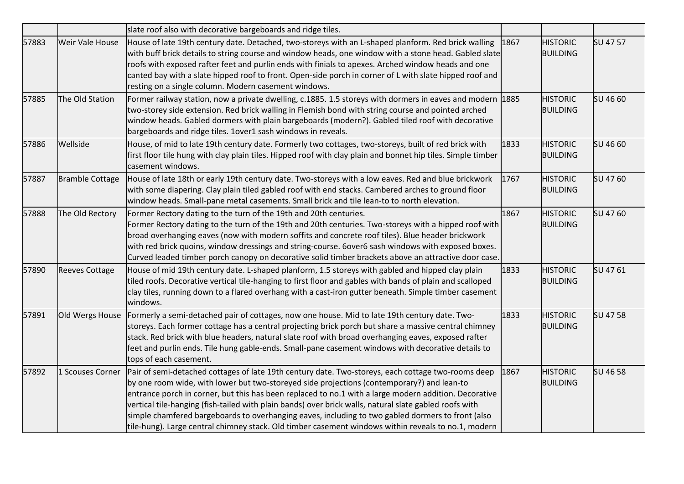|       |                        | slate roof also with decorative bargeboards and ridge tiles.                                                                                                                                                                                                                                                                                                                                                                                                                                                                                                                                                                    |      |                                    |          |
|-------|------------------------|---------------------------------------------------------------------------------------------------------------------------------------------------------------------------------------------------------------------------------------------------------------------------------------------------------------------------------------------------------------------------------------------------------------------------------------------------------------------------------------------------------------------------------------------------------------------------------------------------------------------------------|------|------------------------------------|----------|
| 57883 | <b>Weir Vale House</b> | House of late 19th century date. Detached, two-storeys with an L-shaped planform. Red brick walling<br>with buff brick details to string course and window heads, one window with a stone head. Gabled slate<br>roofs with exposed rafter feet and purlin ends with finials to apexes. Arched window heads and one<br>canted bay with a slate hipped roof to front. Open-side porch in corner of L with slate hipped roof and<br>resting on a single column. Modern casement windows.                                                                                                                                           | 1867 | <b>HISTORIC</b><br><b>BUILDING</b> | SU 47 57 |
| 57885 | The Old Station        | Former railway station, now a private dwelling, c.1885. 1.5 storeys with dormers in eaves and modern 1885<br>two-storey side extension. Red brick walling in Flemish bond with string course and pointed arched<br>window heads. Gabled dormers with plain bargeboards (modern?). Gabled tiled roof with decorative<br>bargeboards and ridge tiles. 1over1 sash windows in reveals.                                                                                                                                                                                                                                             |      | <b>HISTORIC</b><br><b>BUILDING</b> | SU 46 60 |
| 57886 | Wellside               | House, of mid to late 19th century date. Formerly two cottages, two-storeys, built of red brick with<br>first floor tile hung with clay plain tiles. Hipped roof with clay plain and bonnet hip tiles. Simple timber<br>casement windows.                                                                                                                                                                                                                                                                                                                                                                                       | 1833 | <b>HISTORIC</b><br><b>BUILDING</b> | SU 46 60 |
| 57887 | <b>Bramble Cottage</b> | House of late 18th or early 19th century date. Two-storeys with a low eaves. Red and blue brickwork<br>with some diapering. Clay plain tiled gabled roof with end stacks. Cambered arches to ground floor<br>window heads. Small-pane metal casements. Small brick and tile lean-to to north elevation.                                                                                                                                                                                                                                                                                                                         | 1767 | <b>HISTORIC</b><br><b>BUILDING</b> | SU 47 60 |
| 57888 | The Old Rectory        | Former Rectory dating to the turn of the 19th and 20th centuries.<br>Former Rectory dating to the turn of the 19th and 20th centuries. Two-storeys with a hipped roof with<br>broad overhanging eaves (now with modern soffits and concrete roof tiles). Blue header brickwork<br>with red brick quoins, window dressings and string-course. 6over6 sash windows with exposed boxes.<br>Curved leaded timber porch canopy on decorative solid timber brackets above an attractive door case.                                                                                                                                    | 1867 | <b>HISTORIC</b><br><b>BUILDING</b> | SU 47 60 |
| 57890 | <b>Reeves Cottage</b>  | House of mid 19th century date. L-shaped planform, 1.5 storeys with gabled and hipped clay plain<br>tiled roofs. Decorative vertical tile-hanging to first floor and gables with bands of plain and scalloped<br>clay tiles, running down to a flared overhang with a cast-iron gutter beneath. Simple timber casement<br>windows.                                                                                                                                                                                                                                                                                              | 1833 | <b>HISTORIC</b><br><b>BUILDING</b> | SU 4761  |
| 57891 | Old Wergs House        | Formerly a semi-detached pair of cottages, now one house. Mid to late 19th century date. Two-<br>storeys. Each former cottage has a central projecting brick porch but share a massive central chimney<br>stack. Red brick with blue headers, natural slate roof with broad overhanging eaves, exposed rafter<br>feet and purlin ends. Tile hung gable-ends. Small-pane casement windows with decorative details to<br>tops of each casement.                                                                                                                                                                                   | 1833 | <b>HISTORIC</b><br><b>BUILDING</b> | SU 47 58 |
| 57892 | 1 Scouses Corner       | Pair of semi-detached cottages of late 19th century date. Two-storeys, each cottage two-rooms deep<br>by one room wide, with lower but two-storeyed side projections (contemporary?) and lean-to<br>entrance porch in corner, but this has been replaced to no.1 with a large modern addition. Decorative<br>vertical tile-hanging (fish-tailed with plain bands) over brick walls, natural slate gabled roofs with<br>simple chamfered bargeboards to overhanging eaves, including to two gabled dormers to front (also<br>tile-hung). Large central chimney stack. Old timber casement windows within reveals to no.1, modern | 1867 | <b>HISTORIC</b><br><b>BUILDING</b> | SU 46 58 |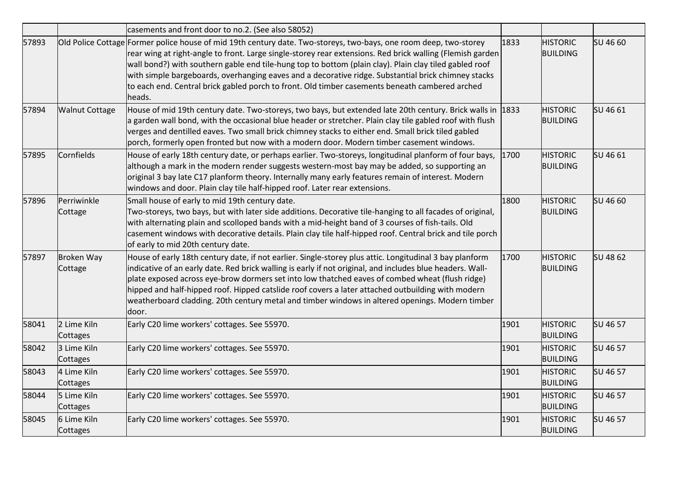|       |                              | casements and front door to no.2. (See also 58052)                                                                                                                                                                                                                                                                                                                                                                                                                                                                                                          |      |                                    |          |
|-------|------------------------------|-------------------------------------------------------------------------------------------------------------------------------------------------------------------------------------------------------------------------------------------------------------------------------------------------------------------------------------------------------------------------------------------------------------------------------------------------------------------------------------------------------------------------------------------------------------|------|------------------------------------|----------|
| 57893 |                              | Old Police Cottage Former police house of mid 19th century date. Two-storeys, two-bays, one room deep, two-storey<br>rear wing at right-angle to front. Large single-storey rear extensions. Red brick walling (Flemish garden<br>wall bond?) with southern gable end tile-hung top to bottom (plain clay). Plain clay tiled gabled roof<br>with simple bargeboards, overhanging eaves and a decorative ridge. Substantial brick chimney stacks<br>to each end. Central brick gabled porch to front. Old timber casements beneath cambered arched<br>heads. | 1833 | <b>HISTORIC</b><br><b>BUILDING</b> | SU 46 60 |
| 57894 | <b>Walnut Cottage</b>        | House of mid 19th century date. Two-storeys, two bays, but extended late 20th century. Brick walls in 1833<br>a garden wall bond, with the occasional blue header or stretcher. Plain clay tile gabled roof with flush<br>verges and dentilled eaves. Two small brick chimney stacks to either end. Small brick tiled gabled<br>porch, formerly open fronted but now with a modern door. Modern timber casement windows.                                                                                                                                    |      | <b>HISTORIC</b><br><b>BUILDING</b> | SU 46 61 |
| 57895 | Cornfields                   | House of early 18th century date, or perhaps earlier. Two-storeys, longitudinal planform of four bays,<br>although a mark in the modern render suggests western-most bay may be added, so supporting an<br>original 3 bay late C17 planform theory. Internally many early features remain of interest. Modern<br>windows and door. Plain clay tile half-hipped roof. Later rear extensions.                                                                                                                                                                 | 1700 | <b>HISTORIC</b><br><b>BUILDING</b> | SU 46 61 |
| 57896 | Perriwinkle<br>Cottage       | Small house of early to mid 19th century date.<br>Two-storeys, two bays, but with later side additions. Decorative tile-hanging to all facades of original,<br>with alternating plain and scolloped bands with a mid-height band of 3 courses of fish-tails. Old<br>casement windows with decorative details. Plain clay tile half-hipped roof. Central brick and tile porch<br>of early to mid 20th century date.                                                                                                                                          | 1800 | <b>HISTORIC</b><br><b>BUILDING</b> | SU 46 60 |
| 57897 | <b>Broken Way</b><br>Cottage | House of early 18th century date, if not earlier. Single-storey plus attic. Longitudinal 3 bay planform<br>indicative of an early date. Red brick walling is early if not original, and includes blue headers. Wall-<br>plate exposed across eye-brow dormers set into low thatched eaves of combed wheat (flush ridge)<br>hipped and half-hipped roof. Hipped catslide roof covers a later attached outbuilding with modern<br>weatherboard cladding. 20th century metal and timber windows in altered openings. Modern timber<br>door.                    | 1700 | <b>HISTORIC</b><br><b>BUILDING</b> | SU 48 62 |
| 58041 | 2 Lime Kiln<br>Cottages      | Early C20 lime workers' cottages. See 55970.                                                                                                                                                                                                                                                                                                                                                                                                                                                                                                                | 1901 | <b>HISTORIC</b><br><b>BUILDING</b> | SU 46 57 |
| 58042 | 3 Lime Kiln<br>Cottages      | Early C20 lime workers' cottages. See 55970.                                                                                                                                                                                                                                                                                                                                                                                                                                                                                                                | 1901 | <b>HISTORIC</b><br><b>BUILDING</b> | SU 46 57 |
| 58043 | 4 Lime Kiln<br>Cottages      | Early C20 lime workers' cottages. See 55970.                                                                                                                                                                                                                                                                                                                                                                                                                                                                                                                | 1901 | <b>HISTORIC</b><br><b>BUILDING</b> | SU 46 57 |
| 58044 | 5 Lime Kiln<br>Cottages      | Early C20 lime workers' cottages. See 55970.                                                                                                                                                                                                                                                                                                                                                                                                                                                                                                                | 1901 | <b>HISTORIC</b><br><b>BUILDING</b> | SU 46 57 |
| 58045 | 6 Lime Kiln<br>Cottages      | Early C20 lime workers' cottages. See 55970.                                                                                                                                                                                                                                                                                                                                                                                                                                                                                                                | 1901 | <b>HISTORIC</b><br><b>BUILDING</b> | SU 46 57 |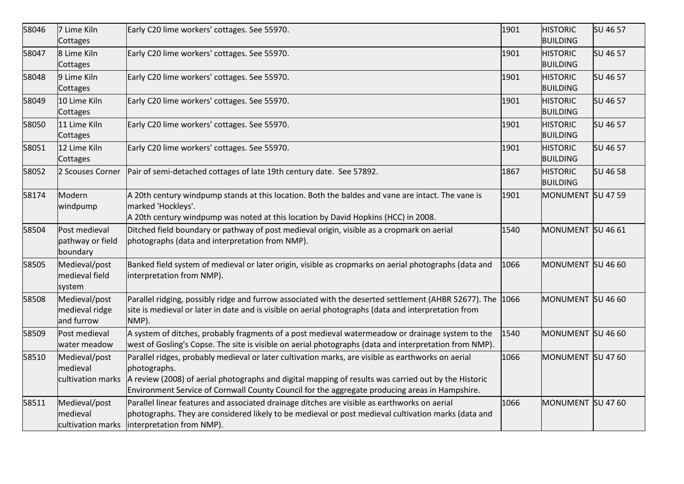| 58046 | 7 Lime Kiln<br>Cottages                        | Early C20 lime workers' cottages. See 55970.                                                                                                                                                                                                                                                                                 | 1901 | <b>HISTORIC</b><br><b>BUILDING</b> | SU 46 57 |
|-------|------------------------------------------------|------------------------------------------------------------------------------------------------------------------------------------------------------------------------------------------------------------------------------------------------------------------------------------------------------------------------------|------|------------------------------------|----------|
| 58047 | 8 Lime Kiln<br>Cottages                        | Early C20 lime workers' cottages. See 55970.                                                                                                                                                                                                                                                                                 | 1901 | <b>HISTORIC</b><br><b>BUILDING</b> | SU 46 57 |
| 58048 | 9 Lime Kiln<br>Cottages                        | Early C20 lime workers' cottages. See 55970.                                                                                                                                                                                                                                                                                 | 1901 | <b>HISTORIC</b><br><b>BUILDING</b> | SU 46 57 |
| 58049 | 10 Lime Kiln<br>Cottages                       | Early C20 lime workers' cottages. See 55970.                                                                                                                                                                                                                                                                                 | 1901 | <b>HISTORIC</b><br><b>BUILDING</b> | SU 46 57 |
| 58050 | 11 Lime Kiln<br>Cottages                       | Early C20 lime workers' cottages. See 55970.                                                                                                                                                                                                                                                                                 | 1901 | <b>HISTORIC</b><br><b>BUILDING</b> | SU 46 57 |
| 58051 | 12 Lime Kiln<br>Cottages                       | Early C20 lime workers' cottages. See 55970.                                                                                                                                                                                                                                                                                 | 1901 | <b>HISTORIC</b><br><b>BUILDING</b> | SU 46 57 |
| 58052 | 2 Scouses Corner                               | Pair of semi-detached cottages of late 19th century date. See 57892.                                                                                                                                                                                                                                                         | 1867 | <b>HISTORIC</b><br><b>BUILDING</b> | SU 46 58 |
| 58174 | Modern<br>windpump                             | A 20th century windpump stands at this location. Both the baldes and vane are intact. The vane is<br>marked 'Hockleys'.<br>A 20th century windpump was noted at this location by David Hopkins (HCC) in 2008.                                                                                                                | 1901 | MONUMENT SU 47 59                  |          |
| 58504 | Post medieval<br>pathway or field<br>boundary  | Ditched field boundary or pathway of post medieval origin, visible as a cropmark on aerial<br>photographs (data and interpretation from NMP).                                                                                                                                                                                | 1540 | MONUMENT SU 46 61                  |          |
| 58505 | Medieval/post<br>medieval field<br>system      | Banked field system of medieval or later origin, visible as cropmarks on aerial photographs (data and<br>interpretation from NMP).                                                                                                                                                                                           | 1066 | MONUMENT SU 46 60                  |          |
| 58508 | Medieval/post<br>medieval ridge<br>and furrow  | Parallel ridging, possibly ridge and furrow associated with the deserted settlement (AHBR 52677). The 1066<br>site is medieval or later in date and is visible on aerial photographs (data and interpretation from<br>NMP).                                                                                                  |      | MONUMENT SU 46 60                  |          |
| 58509 | Post medieval<br>water meadow                  | A system of ditches, probably fragments of a post medieval watermeadow or drainage system to the<br>west of Gosling's Copse. The site is visible on aerial photographs (data and interpretation from NMP).                                                                                                                   | 1540 | MONUMENT SU 46 60                  |          |
| 58510 | Medieval/post<br>medieval<br>cultivation marks | Parallel ridges, probably medieval or later cultivation marks, are visible as earthworks on aerial<br>photographs.<br>A review (2008) of aerial photographs and digital mapping of results was carried out by the Historic<br>Environment Service of Cornwall County Council for the aggregate producing areas in Hampshire. | 1066 | MONUMENT SU 47 60                  |          |
| 58511 | Medieval/post<br>medieval<br>cultivation marks | Parallel linear features and associated drainage ditches are visible as earthworks on aerial<br>photographs. They are considered likely to be medieval or post medieval cultivation marks (data and<br>interpretation from NMP).                                                                                             | 1066 | MONUMENT SU 47 60                  |          |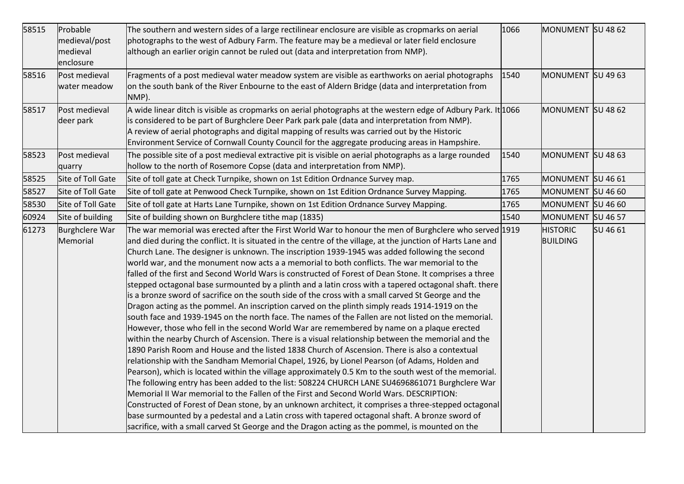| 58515 | Probable<br>medieval/post<br>medieval<br>enclosure | The southern and western sides of a large rectilinear enclosure are visible as cropmarks on aerial<br>photographs to the west of Adbury Farm. The feature may be a medieval or later field enclosure<br>although an earlier origin cannot be ruled out (data and interpretation from NMP).                                                                                                                                                                                                                                                                                                                                                                                                                                                                                                                                                                                                                                                                                                                                                                                                                                                                                                                                                                                                                                                                                                                                                                                                                                                                                                                                                                                                                                                                                                                                                                                                                                                                                            | 1066 | MONUMENT SU 48 62                  |          |
|-------|----------------------------------------------------|---------------------------------------------------------------------------------------------------------------------------------------------------------------------------------------------------------------------------------------------------------------------------------------------------------------------------------------------------------------------------------------------------------------------------------------------------------------------------------------------------------------------------------------------------------------------------------------------------------------------------------------------------------------------------------------------------------------------------------------------------------------------------------------------------------------------------------------------------------------------------------------------------------------------------------------------------------------------------------------------------------------------------------------------------------------------------------------------------------------------------------------------------------------------------------------------------------------------------------------------------------------------------------------------------------------------------------------------------------------------------------------------------------------------------------------------------------------------------------------------------------------------------------------------------------------------------------------------------------------------------------------------------------------------------------------------------------------------------------------------------------------------------------------------------------------------------------------------------------------------------------------------------------------------------------------------------------------------------------------|------|------------------------------------|----------|
| 58516 | Post medieval<br>water meadow                      | Fragments of a post medieval water meadow system are visible as earthworks on aerial photographs<br>on the south bank of the River Enbourne to the east of Aldern Bridge (data and interpretation from<br>NMP).                                                                                                                                                                                                                                                                                                                                                                                                                                                                                                                                                                                                                                                                                                                                                                                                                                                                                                                                                                                                                                                                                                                                                                                                                                                                                                                                                                                                                                                                                                                                                                                                                                                                                                                                                                       | 1540 | MONUMENT SU 49 63                  |          |
| 58517 | Post medieval<br>deer park                         | A wide linear ditch is visible as cropmarks on aerial photographs at the western edge of Adbury Park. It 1066<br>is considered to be part of Burghclere Deer Park park pale (data and interpretation from NMP).<br>A review of aerial photographs and digital mapping of results was carried out by the Historic<br>Environment Service of Cornwall County Council for the aggregate producing areas in Hampshire.                                                                                                                                                                                                                                                                                                                                                                                                                                                                                                                                                                                                                                                                                                                                                                                                                                                                                                                                                                                                                                                                                                                                                                                                                                                                                                                                                                                                                                                                                                                                                                    |      | MONUMENT SU 48 62                  |          |
| 58523 | Post medieval<br>quarry                            | The possible site of a post medieval extractive pit is visible on aerial photographs as a large rounded<br>hollow to the north of Rosemore Copse (data and interpretation from NMP).                                                                                                                                                                                                                                                                                                                                                                                                                                                                                                                                                                                                                                                                                                                                                                                                                                                                                                                                                                                                                                                                                                                                                                                                                                                                                                                                                                                                                                                                                                                                                                                                                                                                                                                                                                                                  | 1540 | MONUMENT SU 48 63                  |          |
| 58525 | Site of Toll Gate                                  | Site of toll gate at Check Turnpike, shown on 1st Edition Ordnance Survey map.                                                                                                                                                                                                                                                                                                                                                                                                                                                                                                                                                                                                                                                                                                                                                                                                                                                                                                                                                                                                                                                                                                                                                                                                                                                                                                                                                                                                                                                                                                                                                                                                                                                                                                                                                                                                                                                                                                        | 1765 | MONUMENT SU 46 61                  |          |
| 58527 | Site of Toll Gate                                  | Site of toll gate at Penwood Check Turnpike, shown on 1st Edition Ordnance Survey Mapping.                                                                                                                                                                                                                                                                                                                                                                                                                                                                                                                                                                                                                                                                                                                                                                                                                                                                                                                                                                                                                                                                                                                                                                                                                                                                                                                                                                                                                                                                                                                                                                                                                                                                                                                                                                                                                                                                                            | 1765 | MONUMENT SU 46 60                  |          |
| 58530 | Site of Toll Gate                                  | Site of toll gate at Harts Lane Turnpike, shown on 1st Edition Ordnance Survey Mapping.                                                                                                                                                                                                                                                                                                                                                                                                                                                                                                                                                                                                                                                                                                                                                                                                                                                                                                                                                                                                                                                                                                                                                                                                                                                                                                                                                                                                                                                                                                                                                                                                                                                                                                                                                                                                                                                                                               | 1765 | MONUMENT SU 46 60                  |          |
| 60924 | Site of building                                   | Site of building shown on Burghclere tithe map (1835)                                                                                                                                                                                                                                                                                                                                                                                                                                                                                                                                                                                                                                                                                                                                                                                                                                                                                                                                                                                                                                                                                                                                                                                                                                                                                                                                                                                                                                                                                                                                                                                                                                                                                                                                                                                                                                                                                                                                 | 1540 | MONUMENT SU 46 57                  |          |
| 61273 | <b>Burghclere War</b><br>Memorial                  | The war memorial was erected after the First World War to honour the men of Burghclere who served 1919<br>and died during the conflict. It is situated in the centre of the village, at the junction of Harts Lane and<br>Church Lane. The designer is unknown. The inscription 1939-1945 was added following the second<br>world war, and the monument now acts a a memorial to both conflicts. The war memorial to the<br>falled of the first and Second World Wars is constructed of Forest of Dean Stone. It comprises a three<br>stepped octagonal base surmounted by a plinth and a latin cross with a tapered octagonal shaft. there<br>is a bronze sword of sacrifice on the south side of the cross with a small carved St George and the<br>Dragon acting as the pommel. An inscription carved on the plinth simply reads 1914-1919 on the<br>south face and 1939-1945 on the north face. The names of the Fallen are not listed on the memorial.<br>However, those who fell in the second World War are remembered by name on a plaque erected<br>within the nearby Church of Ascension. There is a visual relationship between the memorial and the<br>1890 Parish Room and House and the listed 1838 Church of Ascension. There is also a contextual<br>relationship with the Sandham Memorial Chapel, 1926, by Lionel Pearson (of Adams, Holden and<br>Pearson), which is located within the village approximately 0.5 Km to the south west of the memorial.<br>The following entry has been added to the list: 508224 CHURCH LANE SU4696861071 Burghclere War<br>Memorial II War memorial to the Fallen of the First and Second World Wars. DESCRIPTION:<br>Constructed of Forest of Dean stone, by an unknown architect, it comprises a three-stepped octagonal<br>base surmounted by a pedestal and a Latin cross with tapered octagonal shaft. A bronze sword of<br>sacrifice, with a small carved St George and the Dragon acting as the pommel, is mounted on the |      | <b>HISTORIC</b><br><b>BUILDING</b> | SU 46 61 |